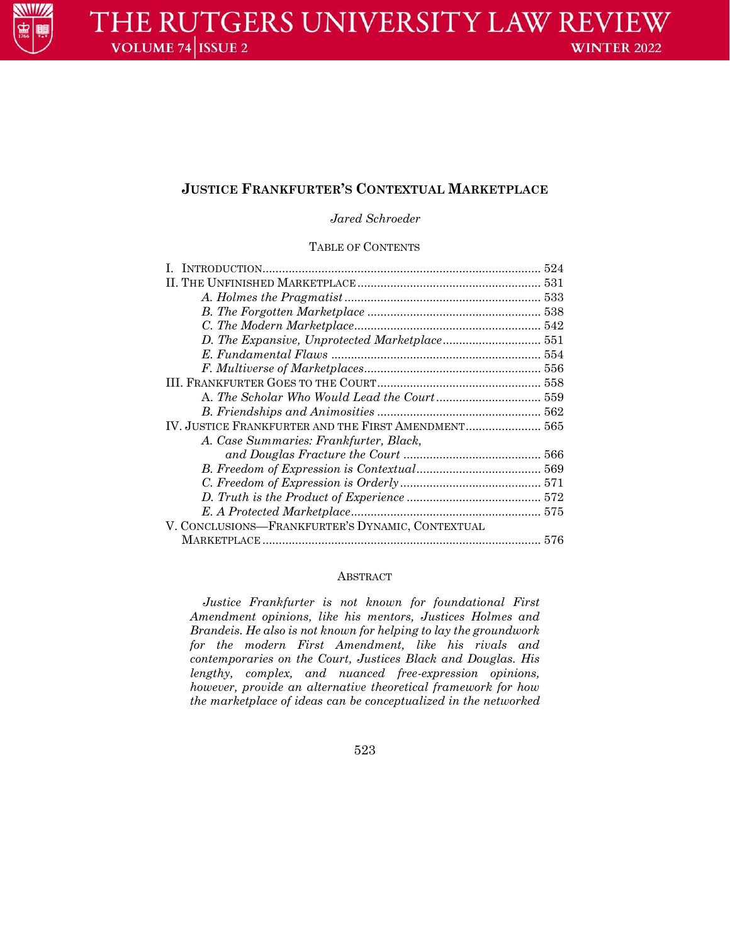

# **JUSTICE FRANKFURTER'S CONTEXTUAL MARKETPLACE**

*Jared Schroeder*

### TABLE OF CONTENTS

| IV. JUSTICE FRANKFURTER AND THE FIRST AMENDMENT 565 |  |
|-----------------------------------------------------|--|
| A. Case Summaries: Frankfurter, Black,              |  |
|                                                     |  |
|                                                     |  |
|                                                     |  |
|                                                     |  |
|                                                     |  |
| V. CONCLUSIONS—FRANKFURTER'S DYNAMIC, CONTEXTUAL    |  |
|                                                     |  |

## ABSTRACT

*Justice Frankfurter is not known for foundational First Amendment opinions, like his mentors, Justices Holmes and Brandeis. He also is not known for helping to lay the groundwork for the modern First Amendment, like his rivals and contemporaries on the Court, Justices Black and Douglas. His lengthy, complex, and nuanced free-expression opinions, however, provide an alternative theoretical framework for how the marketplace of ideas can be conceptualized in the networked* 

523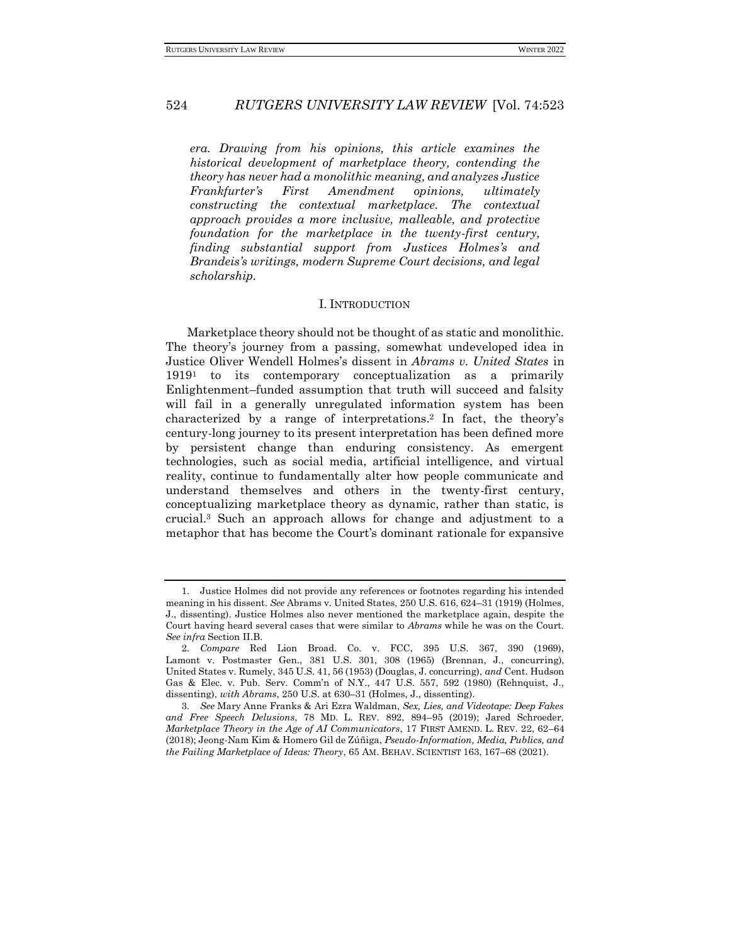*era. Drawing from his opinions, this article examines the historical development of marketplace theory, contending the theory has never had a monolithic meaning, and analyzes Justice Frankfurter's First Amendment opinions, ultimately constructing the contextual marketplace. The contextual approach provides a more inclusive, malleable, and protective foundation for the marketplace in the twenty-first century, finding substantial support from Justices Holmes's and Brandeis's writings, modern Supreme Court decisions, and legal scholarship.*

#### I. INTRODUCTION

Marketplace theory should not be thought of as static and monolithic. The theory's journey from a passing, somewhat undeveloped idea in Justice Oliver Wendell Holmes's dissent in *Abrams v. United States* in 1919<sup>1</sup> to its contemporary conceptualization as a primarily Enlightenment–funded assumption that truth will succeed and falsity will fail in a generally unregulated information system has been characterized by a range of interpretations.<sup>2</sup> In fact, the theory's century-long journey to its present interpretation has been defined more by persistent change than enduring consistency. As emergent technologies, such as social media, artificial intelligence, and virtual reality, continue to fundamentally alter how people communicate and understand themselves and others in the twenty-first century, conceptualizing marketplace theory as dynamic, rather than static, is crucial.<sup>3</sup> Such an approach allows for change and adjustment to a metaphor that has become the Court's dominant rationale for expansive

<sup>1.</sup> Justice Holmes did not provide any references or footnotes regarding his intended meaning in his dissent. *See* Abrams v. United States, 250 U.S. 616, 624–31 (1919) (Holmes, J., dissenting). Justice Holmes also never mentioned the marketplace again, despite the Court having heard several cases that were similar to *Abrams* while he was on the Court. *See infra* Section II.B.

<sup>2</sup>*. Compare* Red Lion Broad. Co. v. FCC, 395 U.S. 367, 390 (1969), Lamont v. Postmaster Gen., 381 U.S. 301, 308 (1965) (Brennan, J., concurring), United States v. Rumely, 345 U.S. 41, 56 (1953) (Douglas, J. concurring), *and* Cent. Hudson Gas & Elec. v. Pub. Serv. Comm'n of N.Y., 447 U.S. 557, 592 (1980) (Rehnquist, J., dissenting), *with Abrams*, 250 U.S. at 630–31 (Holmes, J., dissenting).

<sup>3</sup>*. See* Mary Anne Franks & Ari Ezra Waldman, *Sex, Lies, and Videotape: Deep Fakes and Free Speech Delusions*, 78 MD. L. REV. 892, 894–95 (2019); Jared Schroeder, *Marketplace Theory in the Age of AI Communicators*, 17 FIRST AMEND. L. REV. 22, 62–64 (2018); Jeong-Nam Kim & Homero Gil de Zúñiga, *Pseudo-Information, Media, Publics, and the Failing Marketplace of Ideas: Theory*, 65 AM. BEHAV. SCIENTIST 163, 167–68 (2021).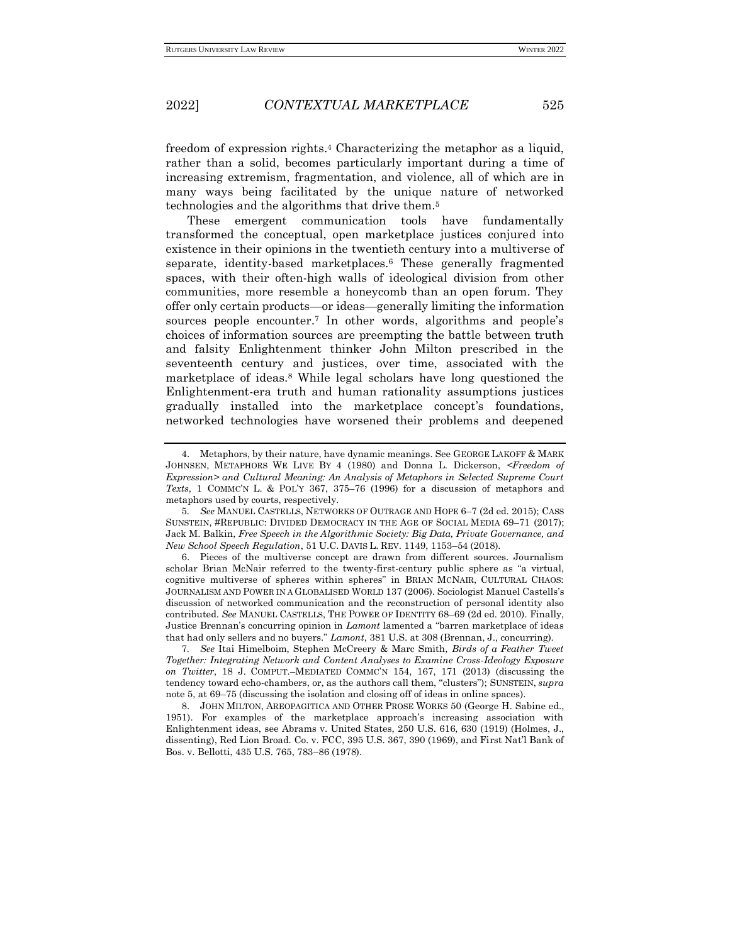freedom of expression rights.<sup>4</sup> Characterizing the metaphor as a liquid, rather than a solid, becomes particularly important during a time of increasing extremism, fragmentation, and violence, all of which are in many ways being facilitated by the unique nature of networked technologies and the algorithms that drive them.<sup>5</sup>

These emergent communication tools have fundamentally transformed the conceptual, open marketplace justices conjured into existence in their opinions in the twentieth century into a multiverse of separate, identity-based marketplaces.<sup>6</sup> These generally fragmented spaces, with their often-high walls of ideological division from other communities, more resemble a honeycomb than an open forum. They offer only certain products—or ideas—generally limiting the information sources people encounter.<sup>7</sup> In other words, algorithms and people's choices of information sources are preempting the battle between truth and falsity Enlightenment thinker John Milton prescribed in the seventeenth century and justices, over time, associated with the marketplace of ideas.<sup>8</sup> While legal scholars have long questioned the Enlightenment-era truth and human rationality assumptions justices gradually installed into the marketplace concept's foundations, networked technologies have worsened their problems and deepened

<sup>4.</sup> Metaphors, by their nature, have dynamic meanings. See GEORGE LAKOFF & MARK JOHNSEN, METAPHORS WE LIVE BY 4 (1980) and Donna L. Dickerson, *<Freedom of Expression> and Cultural Meaning: An Analysis of Metaphors in Selected Supreme Court Texts*, 1 COMMC'N L. & POL'Y 367, 375–76 (1996) for a discussion of metaphors and metaphors used by courts, respectively.

<sup>5</sup>*. See* MANUEL CASTELLS, NETWORKS OF OUTRAGE AND HOPE 6–7 (2d ed. 2015); CASS SUNSTEIN, #REPUBLIC: DIVIDED DEMOCRACY IN THE AGE OF SOCIAL MEDIA 69–71 (2017); Jack M. Balkin, *Free Speech in the Algorithmic Society: Big Data, Private Governance, and New School Speech Regulation*, 51 U.C. DAVIS L. REV. 1149, 1153–54 (2018).

<sup>6.</sup> Pieces of the multiverse concept are drawn from different sources. Journalism scholar Brian McNair referred to the twenty-first-century public sphere as "a virtual, cognitive multiverse of spheres within spheres" in BRIAN MCNAIR, CULTURAL CHAOS: JOURNALISM AND POWER IN A GLOBALISED WORLD 137 (2006). Sociologist Manuel Castells's discussion of networked communication and the reconstruction of personal identity also contributed. *See* MANUEL CASTELLS, THE POWER OF IDENTITY 68–69 (2d ed. 2010). Finally, Justice Brennan's concurring opinion in *Lamont* lamented a "barren marketplace of ideas that had only sellers and no buyers." *Lamont*, 381 U.S. at 308 (Brennan, J., concurring).

<sup>7</sup>*. See* Itai Himelboim, Stephen McCreery & Marc Smith, *Birds of a Feather Tweet Together: Integrating Network and Content Analyses to Examine Cross-Ideology Exposure on Twitter*, 18 J. COMPUT.–MEDIATED COMMC'N 154, 167, 171 (2013) (discussing the tendency toward echo-chambers, or, as the authors call them, "clusters"); SUNSTEIN, *supra*  note 5, at 69–75 (discussing the isolation and closing off of ideas in online spaces).

<sup>8.</sup> JOHN MILTON, AREOPAGITICA AND OTHER PROSE WORKS 50 (George H. Sabine ed., 1951). For examples of the marketplace approach's increasing association with Enlightenment ideas, see Abrams v. United States, 250 U.S. 616, 630 (1919) (Holmes, J., dissenting), Red Lion Broad. Co. v. FCC, 395 U.S. 367, 390 (1969), and First Nat'l Bank of Bos. v. Bellotti, 435 U.S. 765, 783–86 (1978).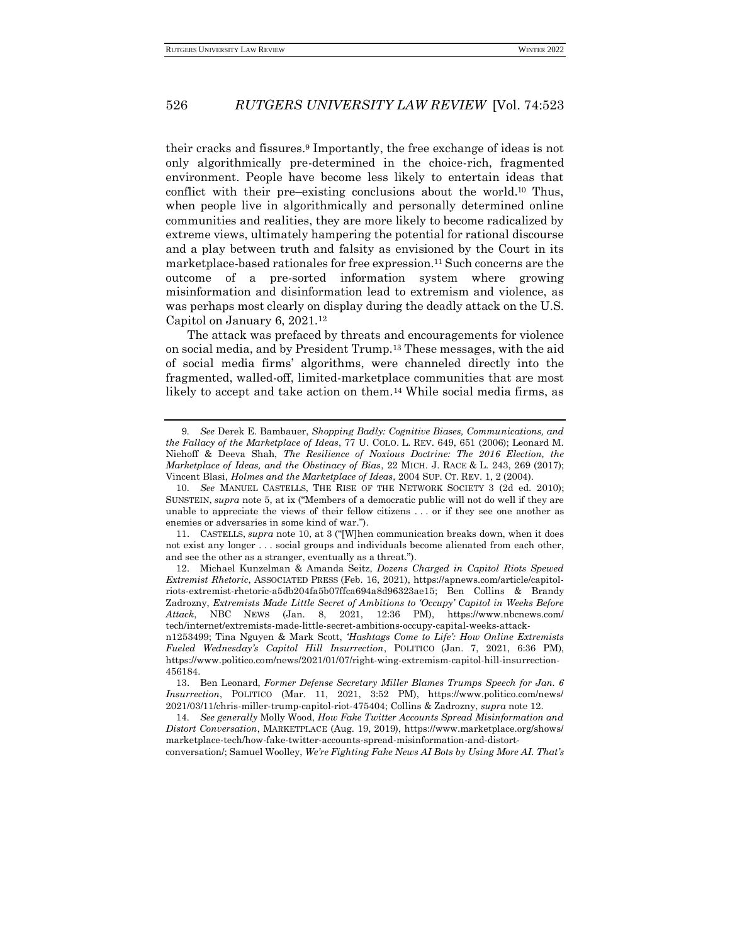their cracks and fissures.<sup>9</sup> Importantly, the free exchange of ideas is not only algorithmically pre-determined in the choice-rich, fragmented environment. People have become less likely to entertain ideas that conflict with their pre–existing conclusions about the world.<sup>10</sup> Thus, when people live in algorithmically and personally determined online communities and realities, they are more likely to become radicalized by extreme views, ultimately hampering the potential for rational discourse and a play between truth and falsity as envisioned by the Court in its marketplace-based rationales for free expression.<sup>11</sup> Such concerns are the outcome of a pre-sorted information system where growing misinformation and disinformation lead to extremism and violence, as was perhaps most clearly on display during the deadly attack on the U.S. Capitol on January 6, 2021.<sup>12</sup>

The attack was prefaced by threats and encouragements for violence on social media, and by President Trump.<sup>13</sup> These messages, with the aid of social media firms' algorithms, were channeled directly into the fragmented, walled-off, limited-marketplace communities that are most likely to accept and take action on them.<sup>14</sup> While social media firms, as

conversation/; Samuel Woolley, *We're Fighting Fake News AI Bots by Using More AI. That's* 

<sup>9</sup>*. See* Derek E. Bambauer, *Shopping Badly: Cognitive Biases, Communications, and the Fallacy of the Marketplace of Ideas*, 77 U. COLO. L. REV. 649, 651 (2006); Leonard M. Niehoff & Deeva Shah, *The Resilience of Noxious Doctrine: The 2016 Election, the Marketplace of Ideas, and the Obstinacy of Bias*, 22 MICH. J. RACE & L. 243, 269 (2017); Vincent Blasi, *Holmes and the Marketplace of Ideas*, 2004 SUP. CT. REV. 1, 2 (2004).

<sup>10</sup>*. See* MANUEL CASTELLS, THE RISE OF THE NETWORK SOCIETY 3 (2d ed. 2010); SUNSTEIN, *supra* note 5, at ix ("Members of a democratic public will not do well if they are unable to appreciate the views of their fellow citizens . . . or if they see one another as enemies or adversaries in some kind of war.").

<sup>11.</sup> CASTELLS, *supra* note 10, at 3 ("[W]hen communication breaks down, when it does not exist any longer . . . social groups and individuals become alienated from each other, and see the other as a stranger, eventually as a threat.").

<sup>12.</sup> Michael Kunzelman & Amanda Seitz, *Dozens Charged in Capitol Riots Spewed Extremist Rhetoric*, ASSOCIATED PRESS (Feb. 16, 2021)[, https://apnews.com/article/capitol](about:blank)[riots-extremist-rhetoric-a5db204fa5b07ffca694a8d96323ae15;](about:blank) Ben Collins & Brandy Zadrozny, *Extremists Made Little Secret of Ambitions to 'Occupy' Capitol in Weeks Before Attack*, NBC NEWS (Jan. 8, 2021, 12:36 PM), https://www.nbcnews.com/ tech/internet/extremists-made-little-secret-ambitions-occupy-capital-weeks-attack-

n1253499; Tina Nguyen & Mark Scott, *'Hashtags Come to Life': How Online Extremists Fueled Wednesday's Capitol Hill Insurrection*, POLITICO (Jan. 7, 2021, 6:36 PM), https://www.politico.com/news/2021/01/07/right-wing-extremism-capitol-hill-insurrection-456184.

<sup>13.</sup> Ben Leonard, *Former Defense Secretary Miller Blames Trumps Speech for Jan. 6 Insurrection*, POLITICO (Mar. 11, 2021, 3:52 PM), https://www.politico.com/news/ 2021/03/11/chris-miller-trump-capitol-riot-475404; Collins & Zadrozny, *supra* note 12.

<sup>14</sup>*. See generally* Molly Wood, *How Fake Twitter Accounts Spread Misinformation and Distort Conversation*, MARKETPLACE (Aug. 19, 2019), https://www.marketplace.org/shows/ marketplace-tech/how-fake-twitter-accounts-spread-misinformation-and-distort-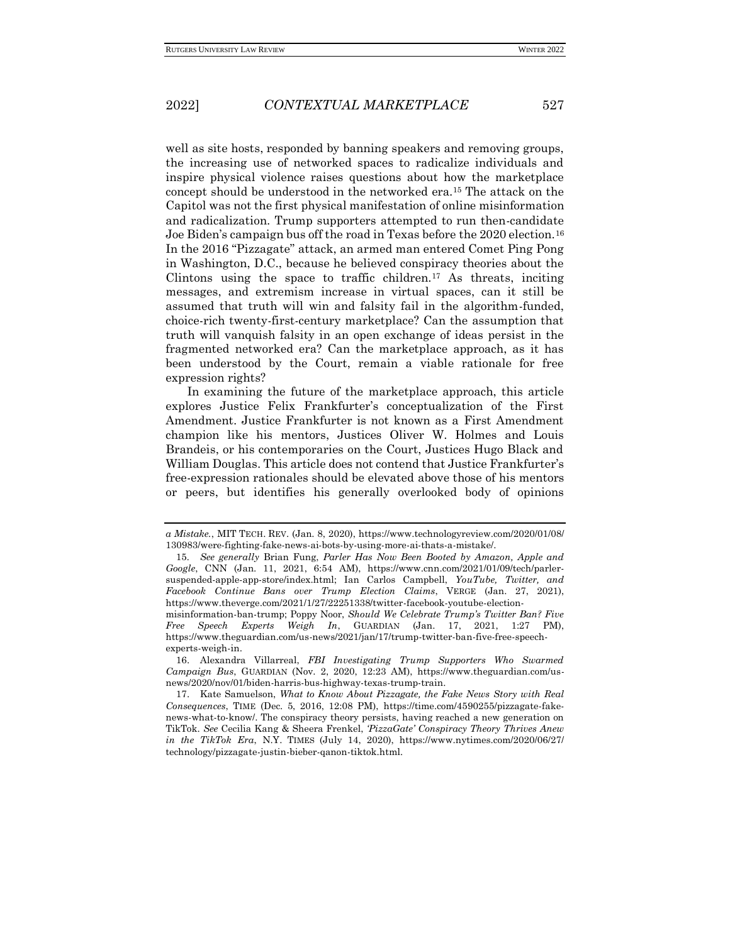well as site hosts, responded by banning speakers and removing groups, the increasing use of networked spaces to radicalize individuals and inspire physical violence raises questions about how the marketplace concept should be understood in the networked era.<sup>15</sup> The attack on the Capitol was not the first physical manifestation of online misinformation and radicalization. Trump supporters attempted to run then-candidate Joe Biden's campaign bus off the road in Texas before the 2020 election.<sup>16</sup> In the 2016 "Pizzagate" attack, an armed man entered Comet Ping Pong in Washington, D.C., because he believed conspiracy theories about the Clintons using the space to traffic children.<sup>17</sup> As threats, inciting messages, and extremism increase in virtual spaces, can it still be assumed that truth will win and falsity fail in the algorithm-funded, choice-rich twenty-first-century marketplace? Can the assumption that truth will vanquish falsity in an open exchange of ideas persist in the fragmented networked era? Can the marketplace approach, as it has been understood by the Court, remain a viable rationale for free expression rights?

In examining the future of the marketplace approach, this article explores Justice Felix Frankfurter's conceptualization of the First Amendment. Justice Frankfurter is not known as a First Amendment champion like his mentors, Justices Oliver W. Holmes and Louis Brandeis, or his contemporaries on the Court, Justices Hugo Black and William Douglas. This article does not contend that Justice Frankfurter's free-expression rationales should be elevated above those of his mentors or peers, but identifies his generally overlooked body of opinions

16. Alexandra Villarreal, *FBI Investigating Trump Supporters Who Swarmed Campaign Bus*, GUARDIAN (Nov. 2, 2020, 12:23 AM), https://www.theguardian.com/usnews/2020/nov/01/biden-harris-bus-highway-texas-trump-train.

*a Mistake.*, MIT TECH. REV. (Jan. 8, 2020), https://www.technologyreview.com/2020/01/08/ 130983/were-fighting-fake-news-ai-bots-by-using-more-ai-thats-a-mistake/.

<sup>15</sup>*. See generally* Brian Fung, *Parler Has Now Been Booted by Amazon, Apple and Google*, CNN (Jan. 11, 2021, 6:54 AM), https://www.cnn.com/2021/01/09/tech/parlersuspended-apple-app-store/index.html; Ian Carlos Campbell, *YouTube, Twitter, and Facebook Continue Bans over Trump Election Claims*, VERGE (Jan. 27, 2021), https://www.theverge.com/2021/1/27/22251338/twitter-facebook-youtube-election-

misinformation-ban-trump; Poppy Noor, *Should We Celebrate Trump's Twitter Ban? Five Free Speech Experts Weigh In*, GUARDIAN (Jan. 17, 2021, 1:27 PM), https://www.theguardian.com/us-news/2021/jan/17/trump-twitter-ban-five-free-speechexperts-weigh-in.

<sup>17.</sup> Kate Samuelson, *What to Know About Pizzagate, the Fake News Story with Real Consequences*, TIME (Dec. 5, 2016, 12:08 PM), https://time.com/4590255/pizzagate-fakenews-what-to-know/. The conspiracy theory persists, having reached a new generation on TikTok. *See* Cecilia Kang & Sheera Frenkel, *'PizzaGate' Conspiracy Theory Thrives Anew in the TikTok Era*, N.Y. TIMES (July 14, 2020), https://www.nytimes.com/2020/06/27/ technology/pizzagate-justin-bieber-qanon-tiktok.html.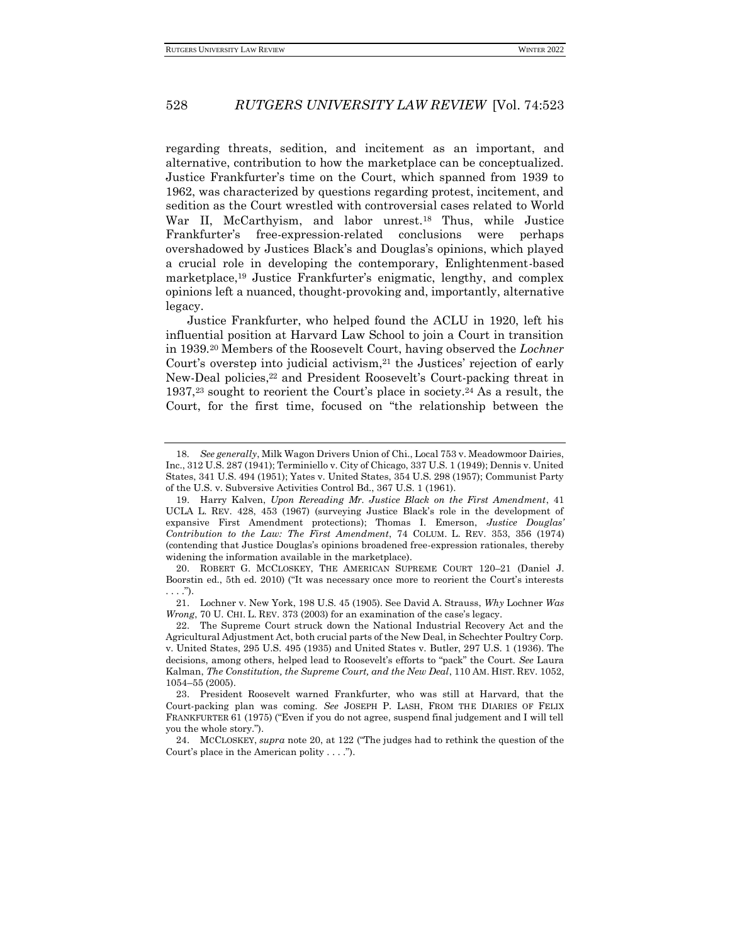regarding threats, sedition, and incitement as an important, and alternative, contribution to how the marketplace can be conceptualized. Justice Frankfurter's time on the Court, which spanned from 1939 to 1962, was characterized by questions regarding protest, incitement, and sedition as the Court wrestled with controversial cases related to World War II, McCarthyism, and labor unrest.<sup>18</sup> Thus, while Justice Frankfurter's free-expression-related conclusions were perhaps overshadowed by Justices Black's and Douglas's opinions, which played a crucial role in developing the contemporary, Enlightenment-based marketplace,<sup>19</sup> Justice Frankfurter's enigmatic, lengthy, and complex opinions left a nuanced, thought-provoking and, importantly, alternative legacy.

Justice Frankfurter, who helped found the ACLU in 1920, left his influential position at Harvard Law School to join a Court in transition in 1939.<sup>20</sup> Members of the Roosevelt Court, having observed the *Lochner* Court's overstep into judicial activism, $^{21}$  the Justices' rejection of early New-Deal policies,<sup>22</sup> and President Roosevelt's Court-packing threat in 1937,<sup>23</sup> sought to reorient the Court's place in society.<sup>24</sup> As a result, the Court, for the first time, focused on "the relationship between the

<sup>18</sup>*. See generally*, Milk Wagon Drivers Union of Chi., Local 753 v. Meadowmoor Dairies, Inc., 312 U.S. 287 (1941); Terminiello v. City of Chicago, 337 U.S. 1 (1949); Dennis v. United States, 341 U.S. 494 (1951); Yates v. United States, 354 U.S. 298 (1957); Communist Party of the U.S. v. Subversive Activities Control Bd., 367 U.S. 1 (1961).

<sup>19.</sup> Harry Kalven, *Upon Rereading Mr. Justice Black on the First Amendment*, 41 UCLA L. REV. 428, 453 (1967) (surveying Justice Black's role in the development of expansive First Amendment protections); Thomas I. Emerson, *Justice Douglas' Contribution to the Law: The First Amendment*, 74 COLUM. L. REV. 353, 356 (1974) (contending that Justice Douglas's opinions broadened free-expression rationales, thereby widening the information available in the marketplace).

<sup>20.</sup> ROBERT G. MCCLOSKEY, THE AMERICAN SUPREME COURT 120–21 (Daniel J. Boorstin ed., 5th ed. 2010) ("It was necessary once more to reorient the Court's interests  $\ldots$ .").

<sup>21.</sup> Lochner v. New York, 198 U.S. 45 (1905). See David A. Strauss, *Why* Lochner *Was Wrong*, 70 U. CHI. L. REV. 373 (2003) for an examination of the case's legacy.

<sup>22.</sup> The Supreme Court struck down the National Industrial Recovery Act and the Agricultural Adjustment Act, both crucial parts of the New Deal, in Schechter Poultry Corp. v. United States, 295 U.S. 495 (1935) and United States v. Butler, 297 U.S. 1 (1936). The decisions, among others, helped lead to Roosevelt's efforts to "pack" the Court. *See* Laura Kalman, *The Constitution, the Supreme Court, and the New Deal*, 110 AM. HIST. REV. 1052, 1054–55 (2005).

<sup>23.</sup> President Roosevelt warned Frankfurter, who was still at Harvard, that the Court-packing plan was coming. *See* JOSEPH P. LASH, FROM THE DIARIES OF FELIX FRANKFURTER 61 (1975) ("Even if you do not agree, suspend final judgement and I will tell you the whole story.").

<sup>24.</sup> MCCLOSKEY, *supra* note 20, at 122 ("The judges had to rethink the question of the Court's place in the American polity . . . .").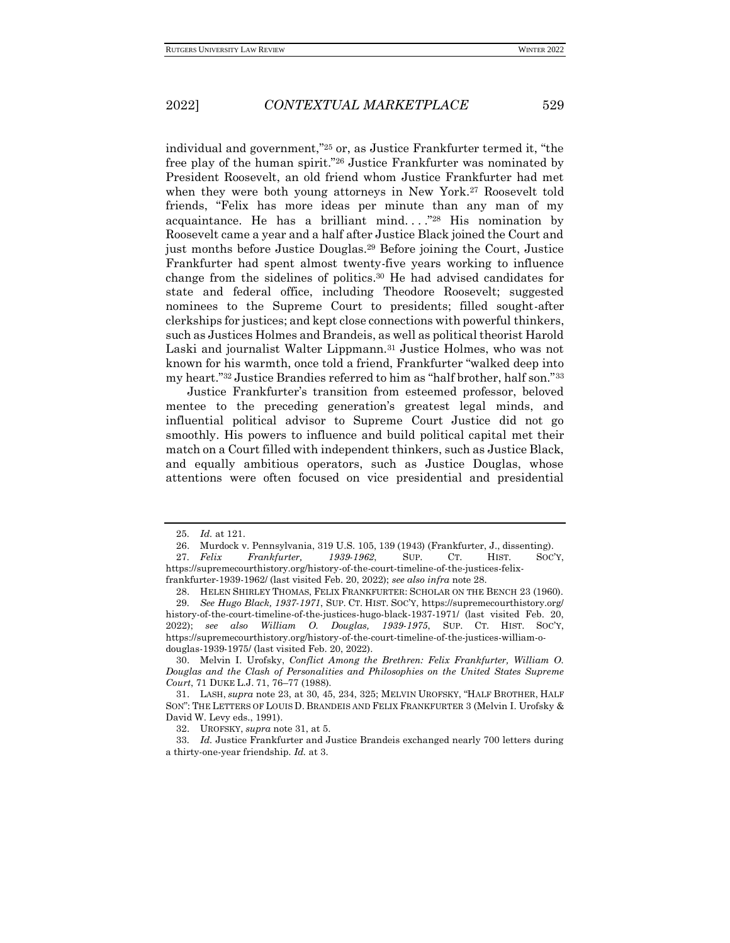individual and government,"<sup>25</sup> or, as Justice Frankfurter termed it, "the free play of the human spirit."<sup>26</sup> Justice Frankfurter was nominated by President Roosevelt, an old friend whom Justice Frankfurter had met when they were both young attorneys in New York.<sup>27</sup> Roosevelt told friends, "Felix has more ideas per minute than any man of my acquaintance. He has a brilliant mind...." $^{28}$  His nomination by Roosevelt came a year and a half after Justice Black joined the Court and just months before Justice Douglas.<sup>29</sup> Before joining the Court, Justice Frankfurter had spent almost twenty-five years working to influence change from the sidelines of politics.<sup>30</sup> He had advised candidates for state and federal office, including Theodore Roosevelt; suggested nominees to the Supreme Court to presidents; filled sought-after clerkships for justices; and kept close connections with powerful thinkers, such as Justices Holmes and Brandeis, as well as political theorist Harold Laski and journalist Walter Lippmann.<sup>31</sup> Justice Holmes, who was not known for his warmth, once told a friend, Frankfurter "walked deep into my heart."<sup>32</sup> Justice Brandies referred to him as "half brother, half son."<sup>33</sup>

Justice Frankfurter's transition from esteemed professor, beloved mentee to the preceding generation's greatest legal minds, and influential political advisor to Supreme Court Justice did not go smoothly. His powers to influence and build political capital met their match on a Court filled with independent thinkers, such as Justice Black, and equally ambitious operators, such as Justice Douglas, whose attentions were often focused on vice presidential and presidential

<sup>25</sup>*. Id.* at 121.

<sup>26.</sup> Murdock v. Pennsylvania, 319 U.S. 105, 139 (1943) (Frankfurter, J., dissenting).

<sup>27</sup>*. Felix Frankfurter, 1939-1962*, SUP. CT. HIST. SOC'Y, https://supremecourthistory.org/history-of-the-court-timeline-of-the-justices-felixfrankfurter-1939-1962/ (last visited Feb. 20, 2022); *see also infra* note 28.

<sup>28.</sup> HELEN SHIRLEY THOMAS, FELIX FRANKFURTER: SCHOLAR ON THE BENCH 23 (1960).

<sup>29</sup>*. See Hugo Black, 1937-1971*, SUP. CT. HIST. SOC'Y, https://supremecourthistory.org/ history-of-the-court-timeline-of-the-justices-hugo-black-1937-1971/ (last visited Feb. 20, 2022); *see also William O. Douglas, 1939-1975*, SUP. CT. HIST. SOC'Y, https://supremecourthistory.org/history-of-the-court-timeline-of-the-justices-william-odouglas-1939-1975/ (last visited Feb. 20, 2022).

<sup>30.</sup> Melvin I. Urofsky, *Conflict Among the Brethren: Felix Frankfurter, William O. Douglas and the Clash of Personalities and Philosophies on the United States Supreme Court*, 71 DUKE L.J. 71, 76–77 (1988).

<sup>31.</sup> LASH, *supra* note 23, at 30, 45, 234, 325; MELVIN UROFSKY, "HALF BROTHER, HALF SON": THE LETTERS OF LOUIS D. BRANDEIS AND FELIX FRANKFURTER 3 (Melvin I. Urofsky & David W. Levy eds., 1991).

<sup>32.</sup> UROFSKY, *supra* note 31, at 5.

<sup>33</sup>*. Id.* Justice Frankfurter and Justice Brandeis exchanged nearly 700 letters during a thirty-one-year friendship. *Id.* at 3.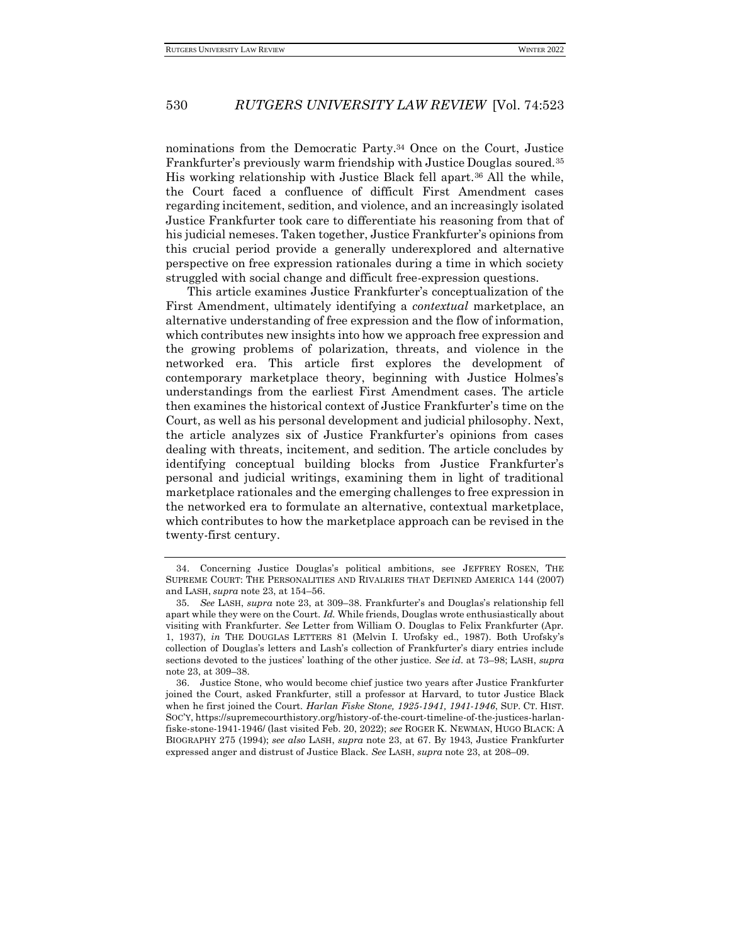nominations from the Democratic Party.<sup>34</sup> Once on the Court, Justice Frankfurter's previously warm friendship with Justice Douglas soured.<sup>35</sup> His working relationship with Justice Black fell apart.<sup>36</sup> All the while, the Court faced a confluence of difficult First Amendment cases regarding incitement, sedition, and violence, and an increasingly isolated Justice Frankfurter took care to differentiate his reasoning from that of his judicial nemeses. Taken together, Justice Frankfurter's opinions from this crucial period provide a generally underexplored and alternative perspective on free expression rationales during a time in which society struggled with social change and difficult free-expression questions.

This article examines Justice Frankfurter's conceptualization of the First Amendment, ultimately identifying a *contextual* marketplace, an alternative understanding of free expression and the flow of information, which contributes new insights into how we approach free expression and the growing problems of polarization, threats, and violence in the networked era. This article first explores the development of contemporary marketplace theory, beginning with Justice Holmes's understandings from the earliest First Amendment cases. The article then examines the historical context of Justice Frankfurter's time on the Court, as well as his personal development and judicial philosophy. Next, the article analyzes six of Justice Frankfurter's opinions from cases dealing with threats, incitement, and sedition. The article concludes by identifying conceptual building blocks from Justice Frankfurter's personal and judicial writings, examining them in light of traditional marketplace rationales and the emerging challenges to free expression in the networked era to formulate an alternative, contextual marketplace, which contributes to how the marketplace approach can be revised in the twenty-first century.

<sup>34.</sup> Concerning Justice Douglas's political ambitions, see JEFFREY ROSEN, THE SUPREME COURT: THE PERSONALITIES AND RIVALRIES THAT DEFINED AMERICA 144 (2007) and LASH, *supra* note 23, at 154–56.

<sup>35</sup>*. See* LASH, *supra* note 23, at 309–38. Frankfurter's and Douglas's relationship fell apart while they were on the Court. *Id.* While friends, Douglas wrote enthusiastically about visiting with Frankfurter. *See* Letter from William O. Douglas to Felix Frankfurter (Apr. 1, 1937), *in* THE DOUGLAS LETTERS 81 (Melvin I. Urofsky ed., 1987). Both Urofsky's collection of Douglas's letters and Lash's collection of Frankfurter's diary entries include sections devoted to the justices' loathing of the other justice. *See id.* at 73–98; LASH, *supra*  note 23, at 309–38.

<sup>36.</sup> Justice Stone, who would become chief justice two years after Justice Frankfurter joined the Court, asked Frankfurter, still a professor at Harvard, to tutor Justice Black when he first joined the Court. *Harlan Fiske Stone, 1925-1941, 1941-1946*, SUP. CT. HIST. SOC'Y, https://supremecourthistory.org/history-of-the-court-timeline-of-the-justices-harlanfiske-stone-1941-1946/ (last visited Feb. 20, 2022); *see* ROGER K. NEWMAN, HUGO BLACK: A BIOGRAPHY 275 (1994); *see also* LASH, *supra* note 23, at 67. By 1943, Justice Frankfurter expressed anger and distrust of Justice Black. *See* LASH, *supra* note 23, at 208–09.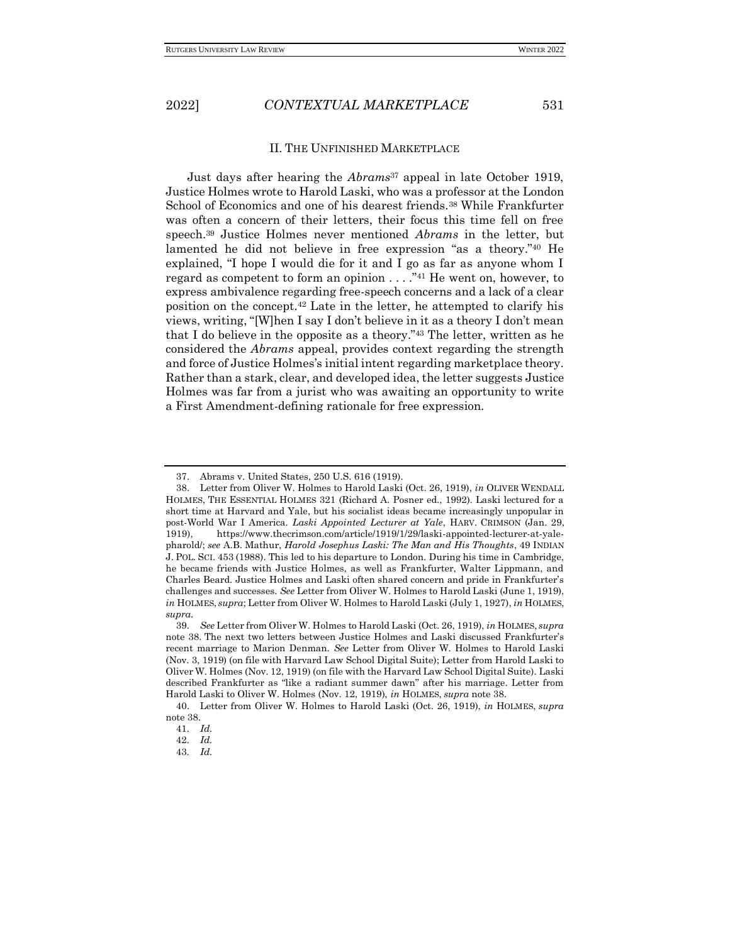#### II. THE UNFINISHED MARKETPLACE

Just days after hearing the *Abrams*<sup>37</sup> appeal in late October 1919, Justice Holmes wrote to Harold Laski, who was a professor at the London School of Economics and one of his dearest friends.<sup>38</sup> While Frankfurter was often a concern of their letters, their focus this time fell on free speech.<sup>39</sup> Justice Holmes never mentioned *Abrams* in the letter, but lamented he did not believe in free expression "as a theory."<sup>40</sup> He explained, "I hope I would die for it and I go as far as anyone whom I regard as competent to form an opinion  $\dots$ ."<sup>41</sup> He went on, however, to express ambivalence regarding free-speech concerns and a lack of a clear position on the concept.<sup>42</sup> Late in the letter, he attempted to clarify his views, writing, "[W]hen I say I don't believe in it as a theory I don't mean that I do believe in the opposite as a theory."<sup>43</sup> The letter, written as he considered the *Abrams* appeal, provides context regarding the strength and force of Justice Holmes's initial intent regarding marketplace theory. Rather than a stark, clear, and developed idea, the letter suggests Justice Holmes was far from a jurist who was awaiting an opportunity to write a First Amendment-defining rationale for free expression.

<sup>37.</sup> Abrams v. United States, 250 U.S. 616 (1919).

<sup>38.</sup> Letter from Oliver W. Holmes to Harold Laski (Oct. 26, 1919), *in* OLIVER WENDALL HOLMES, THE ESSENTIAL HOLMES 321 (Richard A. Posner ed., 1992). Laski lectured for a short time at Harvard and Yale, but his socialist ideas became increasingly unpopular in post-World War I America. *Laski Appointed Lecturer at Yale*, HARV. CRIMSON (Jan. 29, 1919), https://www.thecrimson.com/article/1919/1/29/laski-appointed-lecturer-at-yalepharold/; *see* A.B. Mathur, *Harold Josephus Laski: The Man and His Thoughts*, 49 INDIAN J. POL. SCI. 453 (1988). This led to his departure to London. During his time in Cambridge, he became friends with Justice Holmes, as well as Frankfurter, Walter Lippmann, and Charles Beard. Justice Holmes and Laski often shared concern and pride in Frankfurter's challenges and successes. *See* Letter from Oliver W. Holmes to Harold Laski (June 1, 1919), *in* HOLMES, *supra*; Letter from Oliver W. Holmes to Harold Laski (July 1, 1927), *in* HOLMES, *supra*.

<sup>39</sup>*. See* Letter from Oliver W. Holmes to Harold Laski (Oct. 26, 1919), *in* HOLMES, *supra*  note 38. The next two letters between Justice Holmes and Laski discussed Frankfurter's recent marriage to Marion Denman. *See* Letter from Oliver W. Holmes to Harold Laski (Nov. 3, 1919) (on file with Harvard Law School Digital Suite); Letter from Harold Laski to Oliver W. Holmes (Nov. 12, 1919) (on file with the Harvard Law School Digital Suite). Laski described Frankfurter as "like a radiant summer dawn" after his marriage. Letter from Harold Laski to Oliver W. Holmes (Nov. 12, 1919), *in* HOLMES, *supra* note 38.

<sup>40.</sup> Letter from Oliver W. Holmes to Harold Laski (Oct. 26, 1919), *in* HOLMES, *supra*  note 38.

<sup>41</sup>*. Id.*

<sup>42</sup>*. Id.*

<sup>43</sup>*. Id.*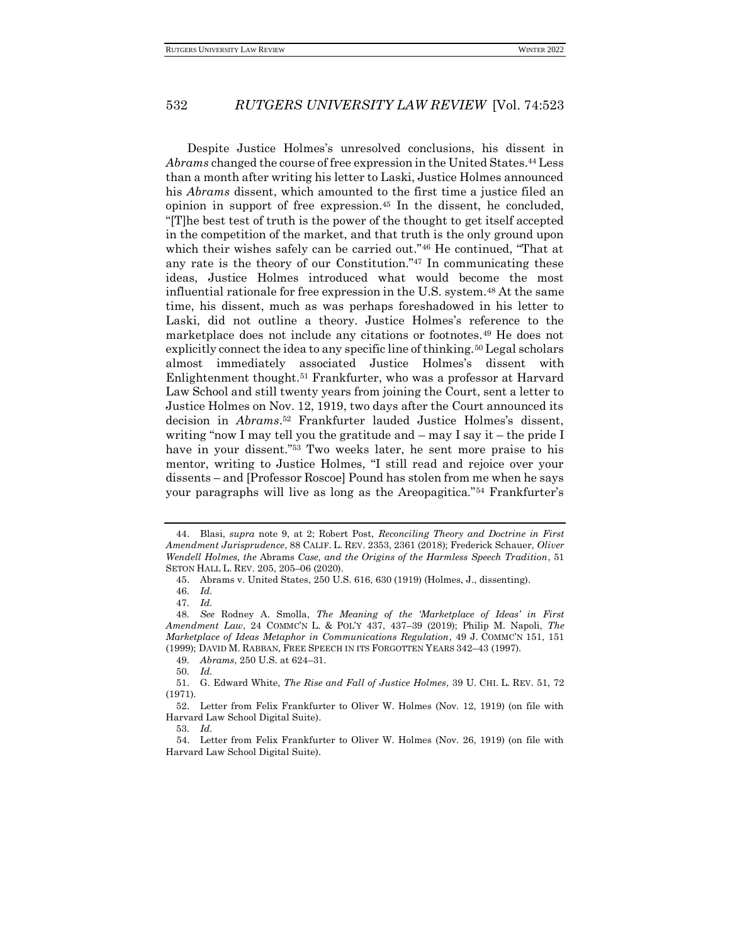Despite Justice Holmes's unresolved conclusions, his dissent in *Abrams* changed the course of free expression in the United States.<sup>44</sup> Less than a month after writing his letter to Laski, Justice Holmes announced his *Abrams* dissent, which amounted to the first time a justice filed an opinion in support of free expression.<sup>45</sup> In the dissent, he concluded, "[T]he best test of truth is the power of the thought to get itself accepted in the competition of the market, and that truth is the only ground upon which their wishes safely can be carried out."<sup>46</sup> He continued, "That at any rate is the theory of our Constitution."<sup>47</sup> In communicating these ideas, Justice Holmes introduced what would become the most influential rationale for free expression in the U.S. system.<sup>48</sup> At the same time, his dissent, much as was perhaps foreshadowed in his letter to Laski, did not outline a theory. Justice Holmes's reference to the marketplace does not include any citations or footnotes.<sup>49</sup> He does not explicitly connect the idea to any specific line of thinking.<sup>50</sup> Legal scholars almost immediately associated Justice Holmes's dissent with Enlightenment thought.<sup>51</sup> Frankfurter, who was a professor at Harvard Law School and still twenty years from joining the Court, sent a letter to Justice Holmes on Nov. 12, 1919, two days after the Court announced its decision in *Abrams*. <sup>52</sup> Frankfurter lauded Justice Holmes's dissent, writing "now I may tell you the gratitude and – may I say it – the pride I have in your dissent."<sup>53</sup> Two weeks later, he sent more praise to his mentor, writing to Justice Holmes, "I still read and rejoice over your dissents – and [Professor Roscoe] Pound has stolen from me when he says your paragraphs will live as long as the Areopagitica."<sup>54</sup> Frankfurter's

<sup>44.</sup> Blasi, *supra* note 9, at 2; Robert Post, *Reconciling Theory and Doctrine in First Amendment Jurisprudence*, 88 CALIF. L. REV. 2353, 2361 (2018); Frederick Schauer, *Oliver Wendell Holmes, the* Abrams *Case, and the Origins of the Harmless Speech Tradition*, 51 SETON HALL L. REV. 205, 205–06 (2020).

<sup>45.</sup> Abrams v. United States, 250 U.S. 616, 630 (1919) (Holmes, J., dissenting).

<sup>46</sup>*. Id.*

<sup>47</sup>*. Id.*

<sup>48</sup>*. See* Rodney A. Smolla, *The Meaning of the 'Marketplace of Ideas' in First Amendment Law*, 24 COMMC'N L. & POL'Y 437, 437–39 (2019); Philip M. Napoli, *The Marketplace of Ideas Metaphor in Communications Regulation*, 49 J. COMMC'N 151, 151 (1999); DAVID M. RABBAN, FREE SPEECH IN ITS FORGOTTEN YEARS 342–43 (1997).

<sup>49</sup>*. Abrams*, 250 U.S. at 624–31.

<sup>50</sup>*. Id.*

<sup>51.</sup> G. Edward White, *The Rise and Fall of Justice Holmes*, 39 U. CHI. L. REV. 51, 72 (1971).

<sup>52.</sup> Letter from Felix Frankfurter to Oliver W. Holmes (Nov. 12, 1919) (on file with Harvard Law School Digital Suite).

<sup>53</sup>*. Id.*

<sup>54.</sup> Letter from Felix Frankfurter to Oliver W. Holmes (Nov. 26, 1919) (on file with Harvard Law School Digital Suite).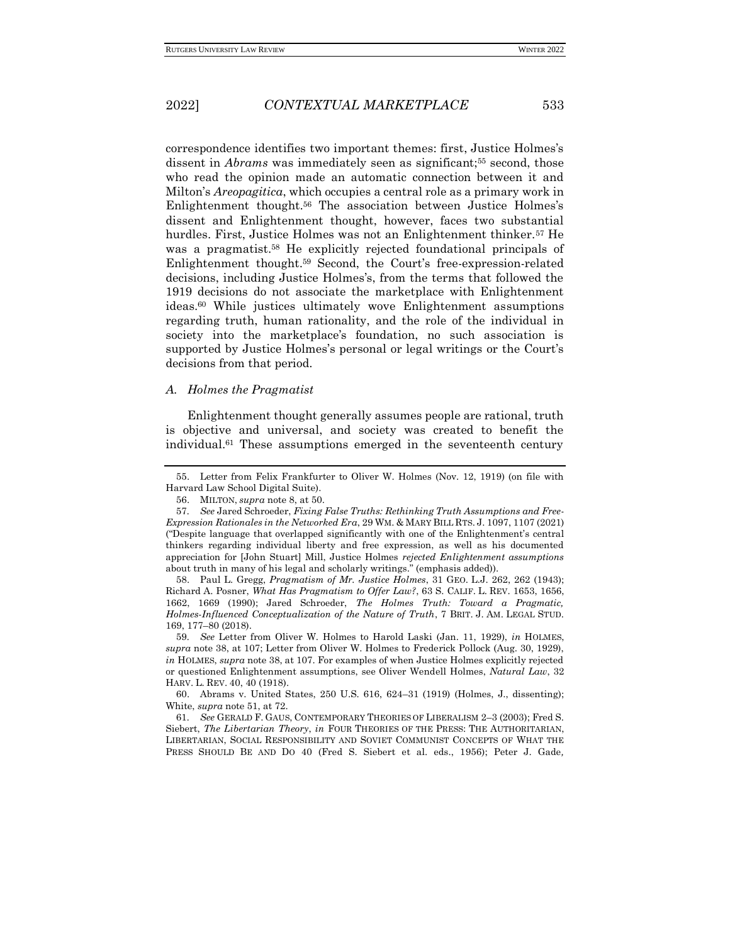correspondence identifies two important themes: first, Justice Holmes's dissent in *Abrams* was immediately seen as significant;<sup>55</sup> second, those who read the opinion made an automatic connection between it and Milton's *Areopagitica*, which occupies a central role as a primary work in Enlightenment thought.<sup>56</sup> The association between Justice Holmes's dissent and Enlightenment thought, however, faces two substantial hurdles. First, Justice Holmes was not an Enlightenment thinker.<sup>57</sup> He was a pragmatist.<sup>58</sup> He explicitly rejected foundational principals of Enlightenment thought.<sup>59</sup> Second, the Court's free-expression-related decisions, including Justice Holmes's, from the terms that followed the 1919 decisions do not associate the marketplace with Enlightenment ideas.<sup>60</sup> While justices ultimately wove Enlightenment assumptions regarding truth, human rationality, and the role of the individual in society into the marketplace's foundation, no such association is supported by Justice Holmes's personal or legal writings or the Court's decisions from that period.

#### *A. Holmes the Pragmatist*

Enlightenment thought generally assumes people are rational, truth is objective and universal, and society was created to benefit the individual.<sup>61</sup> These assumptions emerged in the seventeenth century

58. Paul L. Gregg, *Pragmatism of Mr. Justice Holmes*, 31 GEO. L.J. 262, 262 (1943); Richard A. Posner, *What Has Pragmatism to Offer Law?*, 63 S. CALIF. L. REV. 1653, 1656, 1662, 1669 (1990); Jared Schroeder, *The Holmes Truth: Toward a Pragmatic, Holmes-Influenced Conceptualization of the Nature of Truth*, 7 BRIT. J. AM. LEGAL STUD. 169, 177–80 (2018).

<sup>55.</sup> Letter from Felix Frankfurter to Oliver W. Holmes (Nov. 12, 1919) (on file with Harvard Law School Digital Suite).

<sup>56.</sup> MILTON, *supra* note 8, at 50.

<sup>57</sup>*. See* Jared Schroeder, *Fixing False Truths: Rethinking Truth Assumptions and Free-Expression Rationales in the Networked Era*, 29 WM. & MARY BILL RTS. J. 1097, 1107 (2021) ("Despite language that overlapped significantly with one of the Enlightenment's central thinkers regarding individual liberty and free expression, as well as his documented appreciation for [John Stuart] Mill, Justice Holmes *rejected Enlightenment assumptions* about truth in many of his legal and scholarly writings." (emphasis added)).

<sup>59</sup>*. See* Letter from Oliver W. Holmes to Harold Laski (Jan. 11, 1929), *in* HOLMES, *supra* note 38, at 107; Letter from Oliver W. Holmes to Frederick Pollock (Aug. 30, 1929), *in* HOLMES, *supra* note 38, at 107. For examples of when Justice Holmes explicitly rejected or questioned Enlightenment assumptions, see Oliver Wendell Holmes, *Natural Law*, 32 HARV. L. REV. 40, 40 (1918).

<sup>60.</sup> Abrams v. United States, 250 U.S. 616, 624–31 (1919) (Holmes, J., dissenting); White, *supra* note 51, at 72.

<sup>61</sup>*. See* GERALD F. GAUS, CONTEMPORARY THEORIES OF LIBERALISM 2–3 (2003); Fred S. Siebert, *The Libertarian Theory*, *in* FOUR THEORIES OF THE PRESS: THE AUTHORITARIAN, LIBERTARIAN, SOCIAL RESPONSIBILITY AND SOVIET COMMUNIST CONCEPTS OF WHAT THE PRESS SHOULD BE AND DO 40 (Fred S. Siebert et al. eds., 1956); Peter J. Gade*,*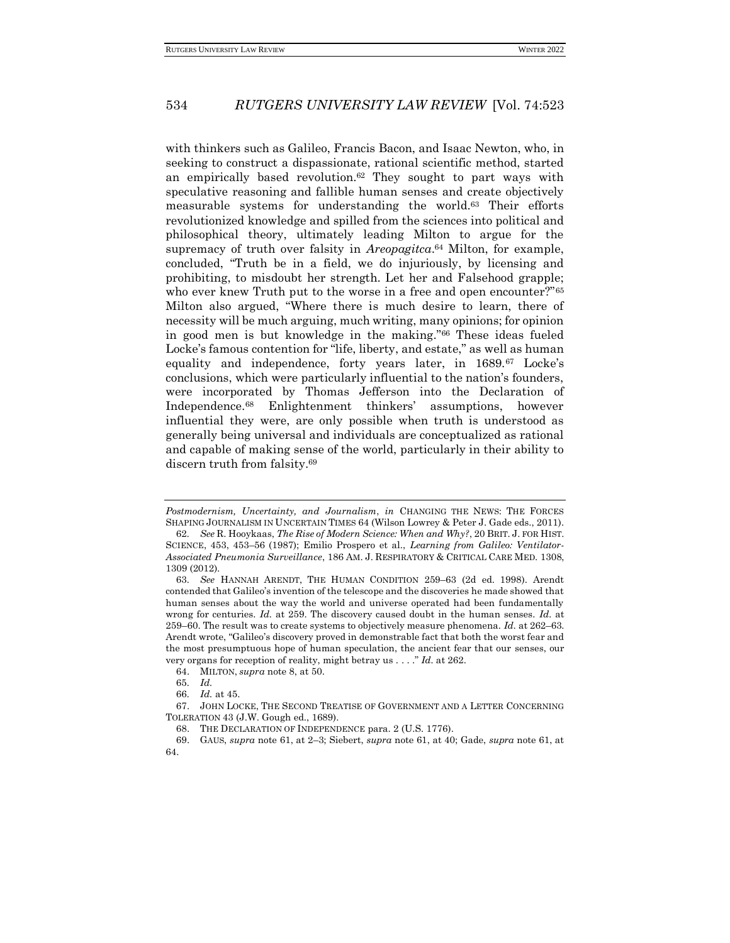with thinkers such as Galileo, Francis Bacon, and Isaac Newton, who, in seeking to construct a dispassionate, rational scientific method, started an empirically based revolution.<sup>62</sup> They sought to part ways with speculative reasoning and fallible human senses and create objectively measurable systems for understanding the world.<sup>63</sup> Their efforts revolutionized knowledge and spilled from the sciences into political and philosophical theory, ultimately leading Milton to argue for the supremacy of truth over falsity in *Areopagitca*. <sup>64</sup> Milton, for example, concluded, "Truth be in a field, we do injuriously, by licensing and prohibiting, to misdoubt her strength. Let her and Falsehood grapple; who ever knew Truth put to the worse in a free and open encounter?"<sup>65</sup> Milton also argued, "Where there is much desire to learn, there of necessity will be much arguing, much writing, many opinions; for opinion in good men is but knowledge in the making."<sup>66</sup> These ideas fueled Locke's famous contention for "life, liberty, and estate," as well as human equality and independence, forty years later, in 1689.<sup>67</sup> Locke's conclusions, which were particularly influential to the nation's founders, were incorporated by Thomas Jefferson into the Declaration of Independence.<sup>68</sup> Enlightenment thinkers' assumptions, however influential they were, are only possible when truth is understood as generally being universal and individuals are conceptualized as rational and capable of making sense of the world, particularly in their ability to discern truth from falsity.<sup>69</sup>

*Postmodernism, Uncertainty, and Journalism*, *in* CHANGING THE NEWS: THE FORCES SHAPING JOURNALISM IN UNCERTAIN TIMES 64 (Wilson Lowrey & Peter J. Gade eds., 2011).

<sup>62</sup>*. See* R. Hooykaas, *The Rise of Modern Science: When and Why?*, 20 BRIT. J. FOR HIST. SCIENCE, 453, 453–56 (1987); Emilio Prospero et al., *Learning from Galileo: Ventilator-Associated Pneumonia Surveillance*, 186 AM. J. RESPIRATORY & CRITICAL CARE MED. 1308, 1309 (2012).

<sup>63</sup>*. See* HANNAH ARENDT, THE HUMAN CONDITION 259–63 (2d ed. 1998). Arendt contended that Galileo's invention of the telescope and the discoveries he made showed that human senses about the way the world and universe operated had been fundamentally wrong for centuries. *Id.* at 259. The discovery caused doubt in the human senses. *Id.* at 259–60. The result was to create systems to objectively measure phenomena. *Id.* at 262–63. Arendt wrote, "Galileo's discovery proved in demonstrable fact that both the worst fear and the most presumptuous hope of human speculation, the ancient fear that our senses, our very organs for reception of reality, might betray us . . . ." *Id.* at 262.

<sup>64.</sup> MILTON, *supra* note 8, at 50.

<sup>65</sup>*. Id.*

<sup>66</sup>*. Id.* at 45.

<sup>67.</sup> JOHN LOCKE, THE SECOND TREATISE OF GOVERNMENT AND A LETTER CONCERNING TOLERATION 43 (J.W. Gough ed., 1689).

<sup>68.</sup> THE DECLARATION OF INDEPENDENCE para. 2 (U.S. 1776).

<sup>69.</sup> GAUS, *supra* note 61, at 2–3; Siebert, *supra* note 61, at 40; Gade, *supra* note 61, at 64.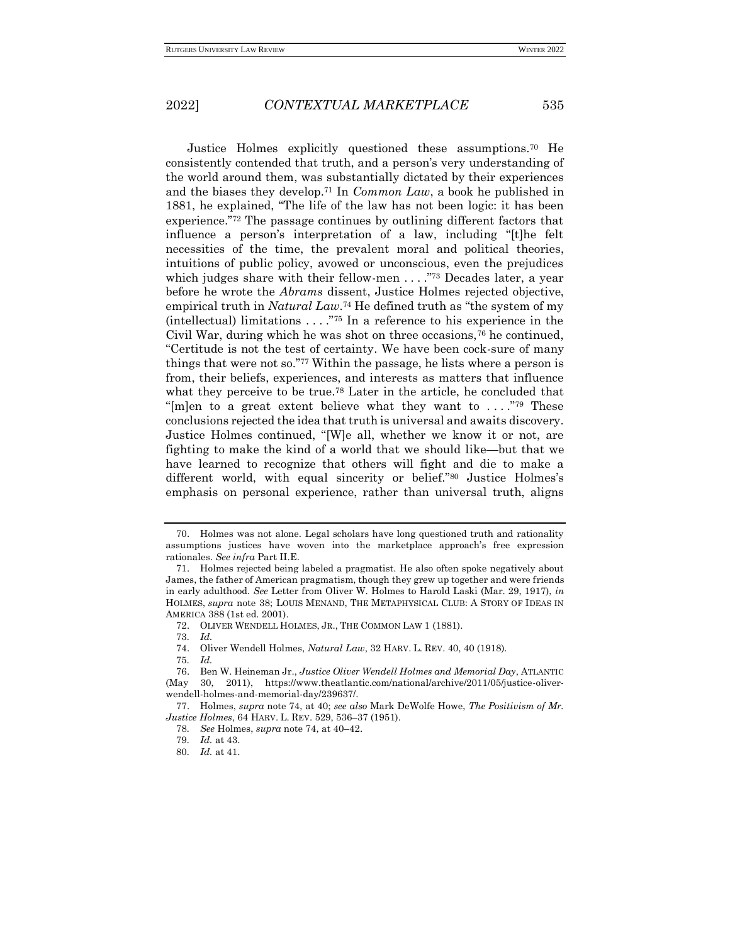Justice Holmes explicitly questioned these assumptions.<sup>70</sup> He consistently contended that truth, and a person's very understanding of the world around them, was substantially dictated by their experiences and the biases they develop.<sup>71</sup> In *Common Law*, a book he published in 1881, he explained, "The life of the law has not been logic: it has been experience."<sup>72</sup> The passage continues by outlining different factors that influence a person's interpretation of a law, including "[t]he felt necessities of the time, the prevalent moral and political theories, intuitions of public policy, avowed or unconscious, even the prejudices which judges share with their fellow-men . . . . . . 73 Decades later, a year before he wrote the *Abrams* dissent, Justice Holmes rejected objective, empirical truth in *Natural Law*. <sup>74</sup> He defined truth as "the system of my (intellectual) limitations  $\dots$ ."<sup>75</sup> In a reference to his experience in the Civil War, during which he was shot on three occasions,<sup>76</sup> he continued, "Certitude is not the test of certainty. We have been cock-sure of many things that were not so."<sup>77</sup> Within the passage, he lists where a person is from, their beliefs, experiences, and interests as matters that influence what they perceive to be true.<sup>78</sup> Later in the article, he concluded that "[m]en to a great extent believe what they want to  $\dots$ ."<sup>79</sup> These conclusions rejected the idea that truth is universal and awaits discovery. Justice Holmes continued, "[W]e all, whether we know it or not, are fighting to make the kind of a world that we should like—but that we have learned to recognize that others will fight and die to make a different world, with equal sincerity or belief."<sup>80</sup> Justice Holmes's emphasis on personal experience, rather than universal truth, aligns

<sup>70.</sup> Holmes was not alone. Legal scholars have long questioned truth and rationality assumptions justices have woven into the marketplace approach's free expression rationales. *See infra* Part II.E.

<sup>71.</sup> Holmes rejected being labeled a pragmatist. He also often spoke negatively about James, the father of American pragmatism, though they grew up together and were friends in early adulthood. *See* Letter from Oliver W. Holmes to Harold Laski (Mar. 29, 1917), *in* HOLMES, *supra* note 38; LOUIS MENAND, THE METAPHYSICAL CLUB: A STORY OF IDEAS IN AMERICA 388 (1st ed. 2001).

<sup>72.</sup> OLIVER WENDELL HOLMES, JR., THE COMMON LAW 1 (1881).

<sup>73</sup>*. Id.*

<sup>74.</sup> Oliver Wendell Holmes, *Natural Law*, 32 HARV. L. REV. 40, 40 (1918).

<sup>75</sup>*. Id.*

<sup>76.</sup> Ben W. Heineman Jr., *Justice Oliver Wendell Holmes and Memorial Day*, ATLANTIC (May 30, 2011), https://www.theatlantic.com/national/archive/2011/05/justice-oliverwendell-holmes-and-memorial-day/239637/.

<sup>77.</sup> Holmes, *supra* note 74, at 40; *see also* Mark DeWolfe Howe, *The Positivism of Mr. Justice Holmes*, 64 HARV. L. REV. 529, 536–37 (1951).

<sup>78</sup>*. See* Holmes, *supra* note 74, at 40–42.

<sup>79</sup>*. Id.* at 43.

<sup>80</sup>*. Id.* at 41.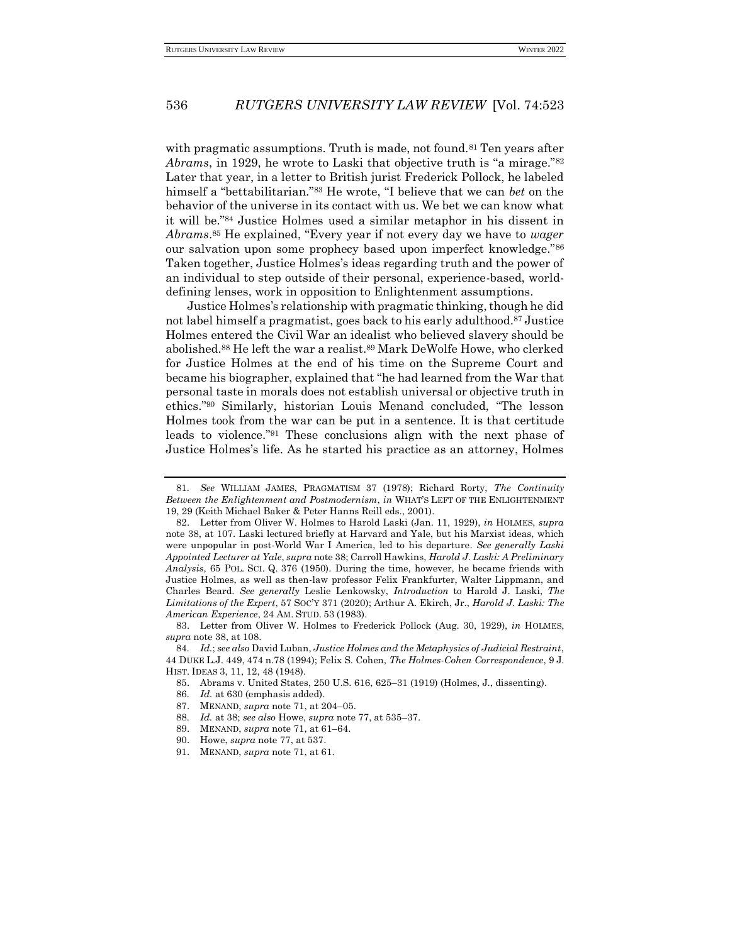with pragmatic assumptions. Truth is made, not found.<sup>81</sup> Ten years after *Abrams*, in 1929, he wrote to Laski that objective truth is "a mirage."<sup>82</sup> Later that year, in a letter to British jurist Frederick Pollock, he labeled himself a "bettabilitarian."<sup>83</sup> He wrote, "I believe that we can *bet* on the behavior of the universe in its contact with us. We bet we can know what it will be."<sup>84</sup> Justice Holmes used a similar metaphor in his dissent in *Abrams*. <sup>85</sup> He explained, "Every year if not every day we have to *wager* our salvation upon some prophecy based upon imperfect knowledge."<sup>86</sup> Taken together, Justice Holmes's ideas regarding truth and the power of an individual to step outside of their personal, experience-based, worlddefining lenses, work in opposition to Enlightenment assumptions.

Justice Holmes's relationship with pragmatic thinking, though he did not label himself a pragmatist, goes back to his early adulthood.<sup>87</sup> Justice Holmes entered the Civil War an idealist who believed slavery should be abolished.<sup>88</sup> He left the war a realist.<sup>89</sup> Mark DeWolfe Howe, who clerked for Justice Holmes at the end of his time on the Supreme Court and became his biographer, explained that "he had learned from the War that personal taste in morals does not establish universal or objective truth in ethics."<sup>90</sup> Similarly, historian Louis Menand concluded, "The lesson Holmes took from the war can be put in a sentence. It is that certitude leads to violence."<sup>91</sup> These conclusions align with the next phase of Justice Holmes's life. As he started his practice as an attorney, Holmes

- 85. Abrams v. United States, 250 U.S. 616, 625–31 (1919) (Holmes, J., dissenting).
- 86*. Id.* at 630 (emphasis added).
- 87. MENAND, *supra* note 71, at 204–05.
- 88*. Id.* at 38; *see also* Howe, *supra* note 77, at 535–37.
- 89. MENAND, *supra* note 71, at 61–64.
- 90. Howe, *supra* note 77, at 537.
- 91. MENAND, *supra* note 71, at 61.

<sup>81</sup>*. See* WILLIAM JAMES, PRAGMATISM 37 (1978); Richard Rorty, *The Continuity Between the Enlightenment and Postmodernism*, *in* WHAT'S LEFT OF THE ENLIGHTENMENT 19, 29 (Keith Michael Baker & Peter Hanns Reill eds., 2001).

<sup>82.</sup> Letter from Oliver W. Holmes to Harold Laski (Jan. 11, 1929), *in* HOLMES, *supra*  note 38, at 107. Laski lectured briefly at Harvard and Yale, but his Marxist ideas, which were unpopular in post-World War I America, led to his departure. *See generally Laski Appointed Lecturer at Yale*, *supra* note 38; Carroll Hawkins, *Harold J. Laski: A Preliminary Analysis*, 65 POL. SCI. Q. 376 (1950). During the time, however, he became friends with Justice Holmes, as well as then-law professor Felix Frankfurter, Walter Lippmann, and Charles Beard. *See generally* Leslie Lenkowsky, *Introduction* to Harold J. Laski, *The Limitations of the Expert*, 57 SOC'Y 371 (2020); Arthur A. Ekirch, Jr., *Harold J. Laski: The American Experience*, 24 AM. STUD. 53 (1983).

<sup>83.</sup> Letter from Oliver W. Holmes to Frederick Pollock (Aug. 30, 1929), *in* HOLMES, *supra* note 38, at 108.

<sup>84</sup>*. Id.*; *see also* David Luban, *Justice Holmes and the Metaphysics of Judicial Restraint*, 44 DUKE L.J. 449, 474 n.78 (1994); Felix S. Cohen, *The Holmes-Cohen Correspondence*, 9 J. HIST. IDEAS 3, 11, 12, 48 (1948).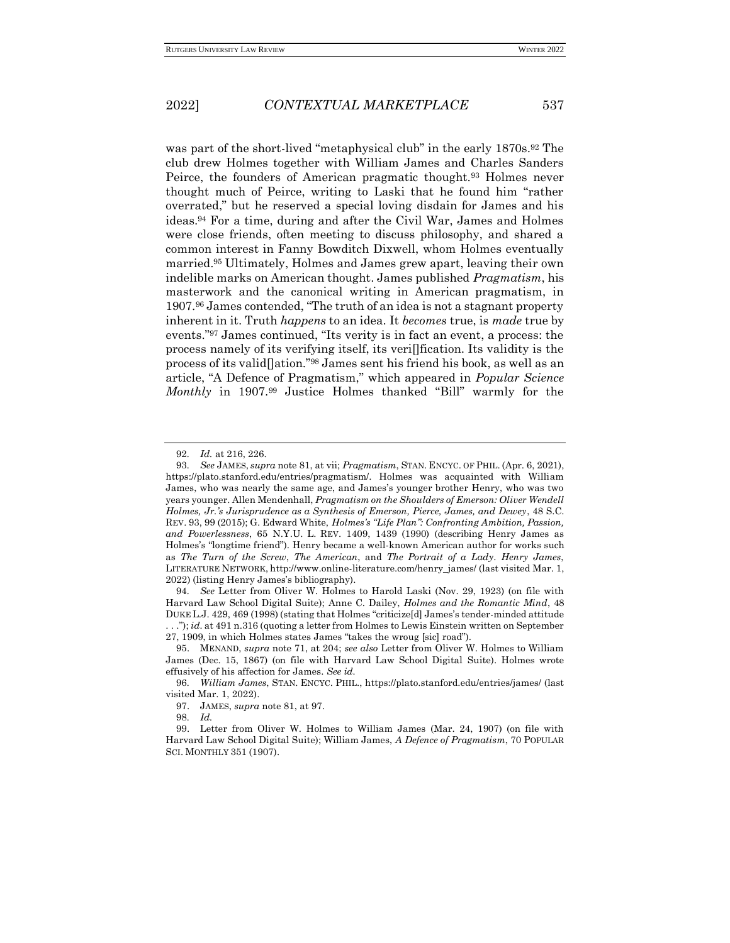was part of the short-lived "metaphysical club" in the early 1870s.<sup>92</sup> The club drew Holmes together with William James and Charles Sanders Peirce, the founders of American pragmatic thought.<sup>93</sup> Holmes never thought much of Peirce, writing to Laski that he found him "rather overrated," but he reserved a special loving disdain for James and his ideas.<sup>94</sup> For a time, during and after the Civil War, James and Holmes were close friends, often meeting to discuss philosophy, and shared a common interest in Fanny Bowditch Dixwell, whom Holmes eventually married.<sup>95</sup> Ultimately, Holmes and James grew apart, leaving their own indelible marks on American thought. James published *Pragmatism*, his masterwork and the canonical writing in American pragmatism, in 1907.<sup>96</sup> James contended, "The truth of an idea is not a stagnant property inherent in it. Truth *happens* to an idea. It *becomes* true, is *made* true by events."<sup>97</sup> James continued, "Its verity is in fact an event, a process: the process namely of its verifying itself, its veri[]fication. Its validity is the process of its valid[]ation."<sup>98</sup> James sent his friend his book, as well as an article, "A Defence of Pragmatism," which appeared in *Popular Science Monthly* in 1907.<sup>99</sup> Justice Holmes thanked "Bill" warmly for the

94*. See* Letter from Oliver W. Holmes to Harold Laski (Nov. 29, 1923) (on file with Harvard Law School Digital Suite); Anne C. Dailey, *Holmes and the Romantic Mind*, 48 DUKE L.J. 429, 469 (1998) (stating that Holmes "criticize[d] James's tender-minded attitude

98*. Id.*

<sup>92</sup>*. Id.* at 216, 226.

<sup>93</sup>*. See* JAMES, *supra* note 81, at vii; *Pragmatism*, STAN. ENCYC. OF PHIL. (Apr. 6, 2021), https://plato.stanford.edu/entries/pragmatism/. Holmes was acquainted with William James, who was nearly the same age, and James's younger brother Henry, who was two years younger. Allen Mendenhall, *Pragmatism on the Shoulders of Emerson: Oliver Wendell Holmes, Jr.'s Jurisprudence as a Synthesis of Emerson, Pierce, James, and Dewey*, 48 S.C. REV. 93, 99 (2015); G. Edward White, *Holmes's "Life Plan": Confronting Ambition, Passion, and Powerlessness*, 65 N.Y.U. L. REV. 1409, 1439 (1990) (describing Henry James as Holmes's "longtime friend"). Henry became a well-known American author for works such as *The Turn of the Screw*, *The American*, and *The Portrait of a Lady*. *Henry James*, LITERATURE NETWORK, http://www.online-literature.com/henry\_james/ (last visited Mar. 1, 2022) (listing Henry James's bibliography).

<sup>.</sup> . ."); *id.* at 491 n.316 (quoting a letter from Holmes to Lewis Einstein written on September 27, 1909, in which Holmes states James "takes the wroug [sic] road").

<sup>95.</sup> MENAND, *supra* note 71, at 204; *see also* Letter from Oliver W. Holmes to William James (Dec. 15, 1867) (on file with Harvard Law School Digital Suite). Holmes wrote effusively of his affection for James. *See id.*

<sup>96</sup>*. William James*, STAN. ENCYC. PHIL., https://plato.stanford.edu/entries/james/ (last visited Mar. 1, 2022).

<sup>97.</sup> JAMES, *supra* note 81, at 97.

<sup>99.</sup> Letter from Oliver W. Holmes to William James (Mar. 24, 1907) (on file with Harvard Law School Digital Suite); William James, *A Defence of Pragmatism*, 70 POPULAR SCI. MONTHLY 351 (1907).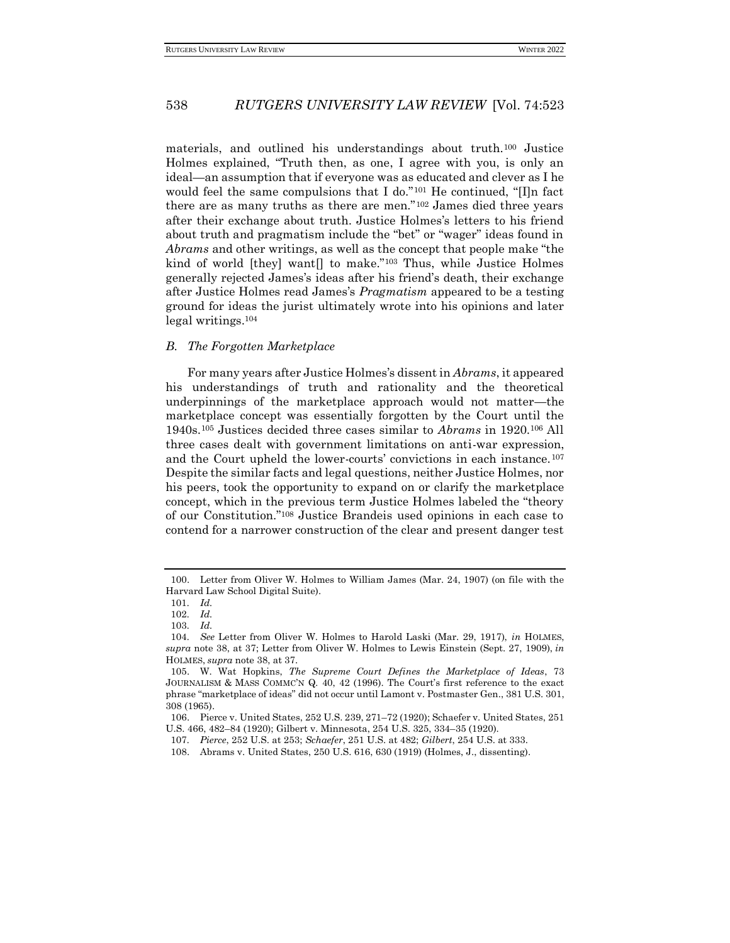materials, and outlined his understandings about truth.<sup>100</sup> Justice Holmes explained, "Truth then, as one, I agree with you, is only an ideal—an assumption that if everyone was as educated and clever as I he would feel the same compulsions that I do."<sup>101</sup> He continued, "[I]n fact there are as many truths as there are men."<sup>102</sup> James died three years after their exchange about truth. Justice Holmes's letters to his friend about truth and pragmatism include the "bet" or "wager" ideas found in *Abrams* and other writings, as well as the concept that people make "the kind of world [they] want[] to make."<sup>103</sup> Thus, while Justice Holmes generally rejected James's ideas after his friend's death, their exchange after Justice Holmes read James's *Pragmatism* appeared to be a testing ground for ideas the jurist ultimately wrote into his opinions and later legal writings.<sup>104</sup>

#### *B. The Forgotten Marketplace*

For many years after Justice Holmes's dissent in *Abrams*, it appeared his understandings of truth and rationality and the theoretical underpinnings of the marketplace approach would not matter—the marketplace concept was essentially forgotten by the Court until the 1940s.<sup>105</sup> Justices decided three cases similar to *Abrams* in 1920.<sup>106</sup> All three cases dealt with government limitations on anti-war expression, and the Court upheld the lower-courts' convictions in each instance.<sup>107</sup> Despite the similar facts and legal questions, neither Justice Holmes, nor his peers, took the opportunity to expand on or clarify the marketplace concept, which in the previous term Justice Holmes labeled the "theory of our Constitution."<sup>108</sup> Justice Brandeis used opinions in each case to contend for a narrower construction of the clear and present danger test

<sup>100.</sup> Letter from Oliver W. Holmes to William James (Mar. 24, 1907) (on file with the Harvard Law School Digital Suite).

<sup>101</sup>*. Id.*

<sup>102</sup>*. Id.*

<sup>103</sup>*. Id.*

<sup>104</sup>*. See* Letter from Oliver W. Holmes to Harold Laski (Mar. 29, 1917), *in* HOLMES, *supra* note 38, at 37; Letter from Oliver W. Holmes to Lewis Einstein (Sept. 27, 1909), *in*  HOLMES, *supra* note 38, at 37.

<sup>105.</sup> W. Wat Hopkins, *The Supreme Court Defines the Marketplace of Ideas*, 73 JOURNALISM & MASS COMMC'N Q*.* 40, 42 (1996). The Court's first reference to the exact phrase "marketplace of ideas" did not occur until Lamont v. Postmaster Gen., 381 U.S. 301, 308 (1965).

<sup>106.</sup> Pierce v. United States, 252 U.S. 239, 271–72 (1920); Schaefer v. United States, 251 U.S. 466, 482–84 (1920); Gilbert v. Minnesota, 254 U.S. 325, 334–35 (1920).

<sup>107</sup>*. Pierce*, 252 U.S. at 253; *Schaefer*, 251 U.S. at 482; *Gilbert*, 254 U.S. at 333.

<sup>108.</sup> Abrams v. United States, 250 U.S. 616, 630 (1919) (Holmes, J., dissenting).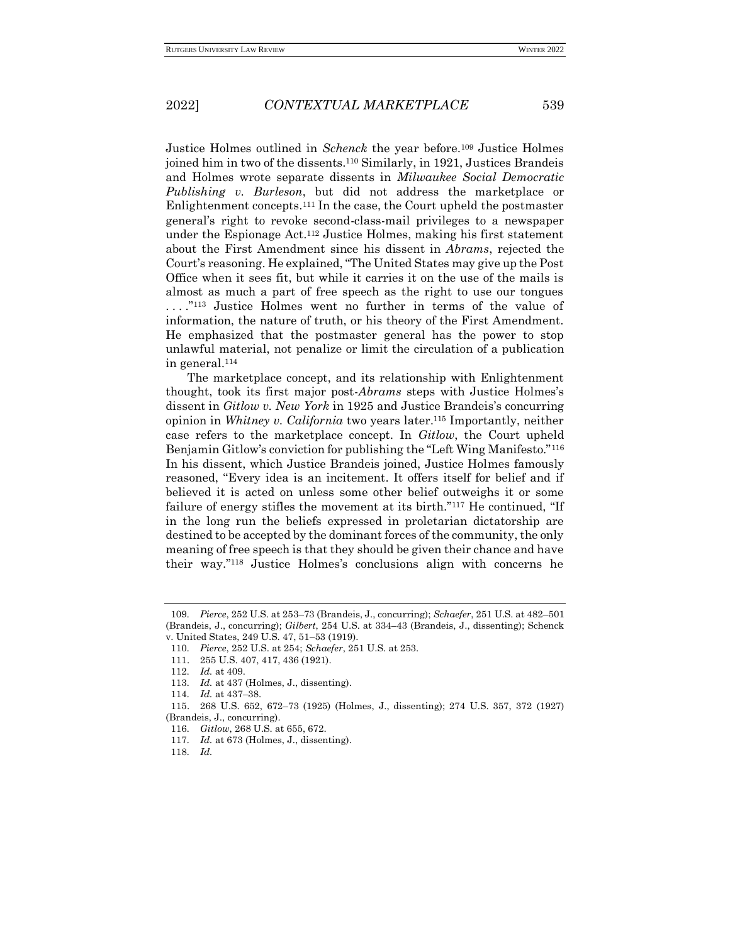Justice Holmes outlined in *Schenck* the year before.<sup>109</sup> Justice Holmes joined him in two of the dissents.<sup>110</sup> Similarly, in 1921, Justices Brandeis and Holmes wrote separate dissents in *Milwaukee Social Democratic Publishing v. Burleson*, but did not address the marketplace or Enlightenment concepts.<sup>111</sup> In the case, the Court upheld the postmaster general's right to revoke second-class-mail privileges to a newspaper under the Espionage Act.<sup>112</sup> Justice Holmes, making his first statement about the First Amendment since his dissent in *Abrams*, rejected the Court's reasoning. He explained, "The United States may give up the Post Office when it sees fit, but while it carries it on the use of the mails is almost as much a part of free speech as the right to use our tongues ...."<sup>113</sup> Justice Holmes went no further in terms of the value of information, the nature of truth, or his theory of the First Amendment. He emphasized that the postmaster general has the power to stop unlawful material, not penalize or limit the circulation of a publication in general.<sup>114</sup>

The marketplace concept, and its relationship with Enlightenment thought, took its first major post-*Abrams* steps with Justice Holmes's dissent in *Gitlow v. New York* in 1925 and Justice Brandeis's concurring opinion in *Whitney v. California* two years later.<sup>115</sup> Importantly, neither case refers to the marketplace concept. In *Gitlow*, the Court upheld Benjamin Gitlow's conviction for publishing the "Left Wing Manifesto."<sup>116</sup> In his dissent, which Justice Brandeis joined, Justice Holmes famously reasoned, "Every idea is an incitement. It offers itself for belief and if believed it is acted on unless some other belief outweighs it or some failure of energy stifles the movement at its birth."<sup>117</sup> He continued, "If in the long run the beliefs expressed in proletarian dictatorship are destined to be accepted by the dominant forces of the community, the only meaning of free speech is that they should be given their chance and have their way."<sup>118</sup> Justice Holmes's conclusions align with concerns he

<sup>109</sup>*. Pierce*, 252 U.S. at 253–73 (Brandeis, J., concurring); *Schaefer*, 251 U.S. at 482–501 (Brandeis, J., concurring); *Gilbert*, 254 U.S. at 334–43 (Brandeis, J., dissenting); Schenck v. United States, 249 U.S. 47, 51–53 (1919).

<sup>110</sup>*. Pierce*, 252 U.S. at 254; *Schaefer*, 251 U.S. at 253.

<sup>111.</sup> 255 U.S. 407, 417, 436 (1921).

<sup>112</sup>*. Id.* at 409.

<sup>113</sup>*. Id.* at 437 (Holmes, J., dissenting).

<sup>114</sup>*. Id.* at 437–38.

<sup>115.</sup> 268 U.S. 652, 672–73 (1925) (Holmes, J., dissenting); 274 U.S. 357, 372 (1927) (Brandeis, J., concurring).

<sup>116</sup>*. Gitlow*, 268 U.S. at 655, 672.

<sup>117</sup>*. Id.* at 673 (Holmes, J., dissenting).

<sup>118</sup>*. Id.*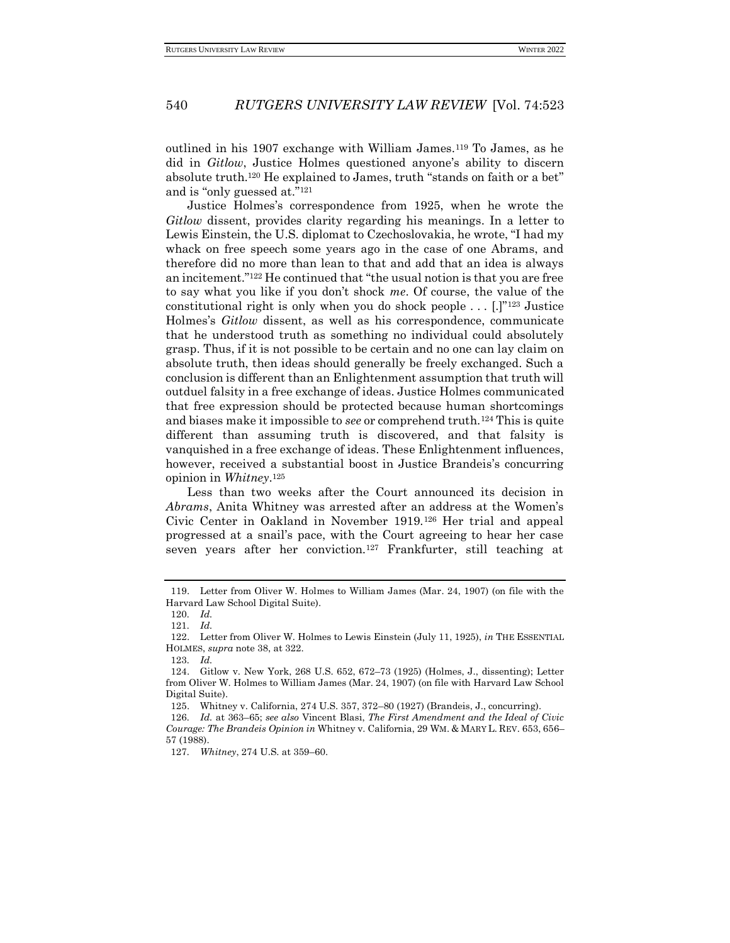outlined in his 1907 exchange with William James.<sup>119</sup> To James, as he did in *Gitlow*, Justice Holmes questioned anyone's ability to discern absolute truth.<sup>120</sup> He explained to James, truth "stands on faith or a bet" and is "only guessed at."<sup>121</sup>

Justice Holmes's correspondence from 1925, when he wrote the *Gitlow* dissent, provides clarity regarding his meanings. In a letter to Lewis Einstein, the U.S. diplomat to Czechoslovakia, he wrote, "I had my whack on free speech some years ago in the case of one Abrams, and therefore did no more than lean to that and add that an idea is always an incitement."<sup>122</sup> He continued that "the usual notion is that you are free to say what you like if you don't shock *me*. Of course, the value of the constitutional right is only when you do shock people  $\dots$  [.]"<sup>123</sup> Justice Holmes's *Gitlow* dissent, as well as his correspondence, communicate that he understood truth as something no individual could absolutely grasp. Thus, if it is not possible to be certain and no one can lay claim on absolute truth, then ideas should generally be freely exchanged. Such a conclusion is different than an Enlightenment assumption that truth will outduel falsity in a free exchange of ideas. Justice Holmes communicated that free expression should be protected because human shortcomings and biases make it impossible to *see* or comprehend truth.<sup>124</sup> This is quite different than assuming truth is discovered, and that falsity is vanquished in a free exchange of ideas. These Enlightenment influences, however, received a substantial boost in Justice Brandeis's concurring opinion in *Whitney*. 125

Less than two weeks after the Court announced its decision in *Abrams*, Anita Whitney was arrested after an address at the Women's Civic Center in Oakland in November 1919.<sup>126</sup> Her trial and appeal progressed at a snail's pace, with the Court agreeing to hear her case seven years after her conviction.<sup>127</sup> Frankfurter, still teaching at

<sup>119.</sup> Letter from Oliver W. Holmes to William James (Mar. 24, 1907) (on file with the Harvard Law School Digital Suite).

<sup>120</sup>*. Id.* 121*. Id.*

<sup>122.</sup> Letter from Oliver W. Holmes to Lewis Einstein (July 11, 1925), *in* THE ESSENTIAL HOLMES, *supra* note 38, at 322.

<sup>123</sup>*. Id.*

<sup>124.</sup> Gitlow v. New York, 268 U.S. 652, 672–73 (1925) (Holmes, J., dissenting); Letter from Oliver W. Holmes to William James (Mar. 24, 1907) (on file with Harvard Law School Digital Suite).

<sup>125.</sup> Whitney v. California, 274 U.S. 357, 372–80 (1927) (Brandeis, J., concurring).

<sup>126</sup>*. Id.* at 363–65; *see also* Vincent Blasi, *The First Amendment and the Ideal of Civic Courage: The Brandeis Opinion in* Whitney v. California, 29 WM. & MARY L. REV. 653, 656– 57 (1988).

<sup>127</sup>*. Whitney*, 274 U.S. at 359–60.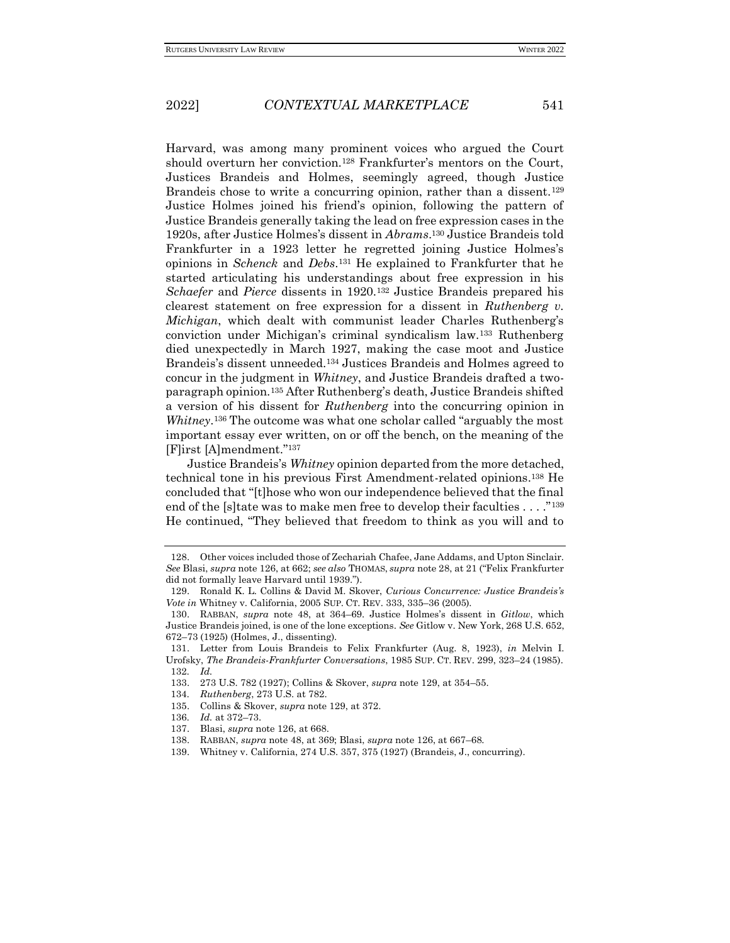Harvard, was among many prominent voices who argued the Court should overturn her conviction.<sup>128</sup> Frankfurter's mentors on the Court, Justices Brandeis and Holmes, seemingly agreed, though Justice Brandeis chose to write a concurring opinion, rather than a dissent.<sup>129</sup> Justice Holmes joined his friend's opinion, following the pattern of Justice Brandeis generally taking the lead on free expression cases in the 1920s, after Justice Holmes's dissent in *Abrams*. <sup>130</sup> Justice Brandeis told Frankfurter in a 1923 letter he regretted joining Justice Holmes's opinions in *Schenck* and *Debs*. <sup>131</sup> He explained to Frankfurter that he started articulating his understandings about free expression in his *Schaefer* and *Pierce* dissents in 1920.<sup>132</sup> Justice Brandeis prepared his clearest statement on free expression for a dissent in *Ruthenberg v. Michigan*, which dealt with communist leader Charles Ruthenberg's conviction under Michigan's criminal syndicalism law.<sup>133</sup> Ruthenberg died unexpectedly in March 1927, making the case moot and Justice Brandeis's dissent unneeded.<sup>134</sup> Justices Brandeis and Holmes agreed to concur in the judgment in *Whitney*, and Justice Brandeis drafted a twoparagraph opinion.<sup>135</sup> After Ruthenberg's death, Justice Brandeis shifted a version of his dissent for *Ruthenberg* into the concurring opinion in *Whitney*. <sup>136</sup> The outcome was what one scholar called "arguably the most important essay ever written, on or off the bench, on the meaning of the [F]irst [A]mendment."<sup>137</sup>

Justice Brandeis's *Whitney* opinion departed from the more detached, technical tone in his previous First Amendment-related opinions. <sup>138</sup> He concluded that "[t]hose who won our independence believed that the final end of the [s]tate was to make men free to develop their faculties . . . ."<sup>139</sup> He continued, "They believed that freedom to think as you will and to

<sup>128.</sup> Other voices included those of Zechariah Chafee, Jane Addams, and Upton Sinclair. *See* Blasi, *supra* note 126, at 662; *see also* THOMAS, *supra* note 28, at 21 ("Felix Frankfurter did not formally leave Harvard until 1939.").

<sup>129.</sup> Ronald K. L. Collins & David M. Skover, *Curious Concurrence: Justice Brandeis's Vote in* Whitney v. California, 2005 SUP. CT. REV. 333, 335–36 (2005).

<sup>130.</sup> RABBAN, *supra* note 48, at 364–69. Justice Holmes's dissent in *Gitlow*, which Justice Brandeis joined, is one of the lone exceptions. *See* Gitlow v. New York, 268 U.S. 652, 672–73 (1925) (Holmes, J., dissenting).

<sup>131.</sup> Letter from Louis Brandeis to Felix Frankfurter (Aug. 8, 1923), *in* Melvin I. Urofsky, *The Brandeis-Frankfurter Conversations*, 1985 SUP. CT. REV. 299, 323–24 (1985). 132*. Id.*

<sup>133.</sup> 273 U.S. 782 (1927); Collins & Skover, *supra* note 129, at 354–55.

<sup>134</sup>*. Ruthenberg*, 273 U.S. at 782.

<sup>135.</sup> Collins & Skover, *supra* note 129, at 372.

<sup>136</sup>*. Id.* at 372–73.

<sup>137.</sup> Blasi, *supra* note 126, at 668.

<sup>138.</sup> RABBAN, *supra* note 48, at 369; Blasi, *supra* note 126, at 667–68.

<sup>139.</sup> Whitney v. California, 274 U.S. 357, 375 (1927) (Brandeis, J., concurring).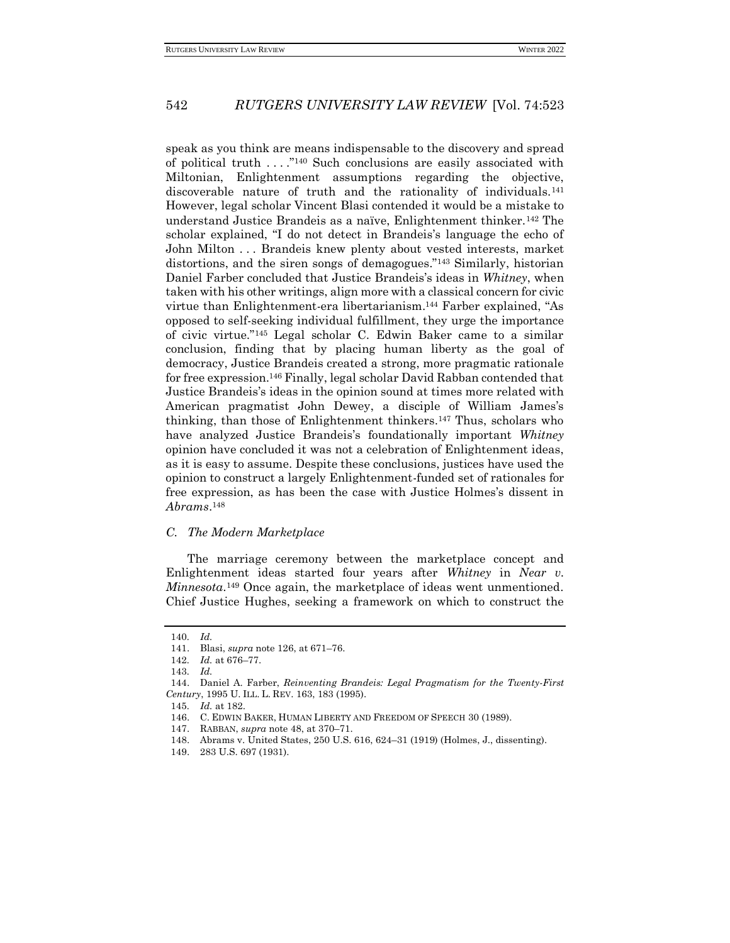speak as you think are means indispensable to the discovery and spread of political truth . . . ."<sup>140</sup> Such conclusions are easily associated with Miltonian, Enlightenment assumptions regarding the objective, discoverable nature of truth and the rationality of individuals.<sup>141</sup> However, legal scholar Vincent Blasi contended it would be a mistake to understand Justice Brandeis as a naïve, Enlightenment thinker.<sup>142</sup> The scholar explained, "I do not detect in Brandeis's language the echo of John Milton . . . Brandeis knew plenty about vested interests, market distortions, and the siren songs of demagogues."<sup>143</sup> Similarly, historian Daniel Farber concluded that Justice Brandeis's ideas in *Whitney*, when taken with his other writings, align more with a classical concern for civic virtue than Enlightenment-era libertarianism.<sup>144</sup> Farber explained, "As opposed to self-seeking individual fulfillment, they urge the importance of civic virtue."<sup>145</sup> Legal scholar C. Edwin Baker came to a similar conclusion, finding that by placing human liberty as the goal of democracy, Justice Brandeis created a strong, more pragmatic rationale for free expression.<sup>146</sup> Finally, legal scholar David Rabban contended that Justice Brandeis's ideas in the opinion sound at times more related with American pragmatist John Dewey, a disciple of William James's thinking, than those of Enlightenment thinkers.<sup>147</sup> Thus, scholars who have analyzed Justice Brandeis's foundationally important *Whitney* opinion have concluded it was not a celebration of Enlightenment ideas, as it is easy to assume. Despite these conclusions, justices have used the opinion to construct a largely Enlightenment-funded set of rationales for free expression, as has been the case with Justice Holmes's dissent in *Abrams*. 148

#### *C. The Modern Marketplace*

The marriage ceremony between the marketplace concept and Enlightenment ideas started four years after *Whitney* in *Near v. Minnesota*. <sup>149</sup> Once again, the marketplace of ideas went unmentioned. Chief Justice Hughes, seeking a framework on which to construct the

<sup>140</sup>*. Id.*

<sup>141.</sup> Blasi, *supra* note 126, at 671–76.

<sup>142</sup>*. Id.* at 676–77.

<sup>143</sup>*. Id.*

<sup>144.</sup> Daniel A. Farber, *Reinventing Brandeis: Legal Pragmatism for the Twenty-First Century*, 1995 U. ILL. L. REV. 163, 183 (1995).

<sup>145</sup>*. Id.* at 182.

<sup>146.</sup> C. EDWIN BAKER, HUMAN LIBERTY AND FREEDOM OF SPEECH 30 (1989).

<sup>147.</sup> RABBAN, *supra* note 48, at 370–71.

<sup>148.</sup> Abrams v. United States, 250 U.S. 616, 624–31 (1919) (Holmes, J., dissenting).

<sup>149.</sup> 283 U.S. 697 (1931).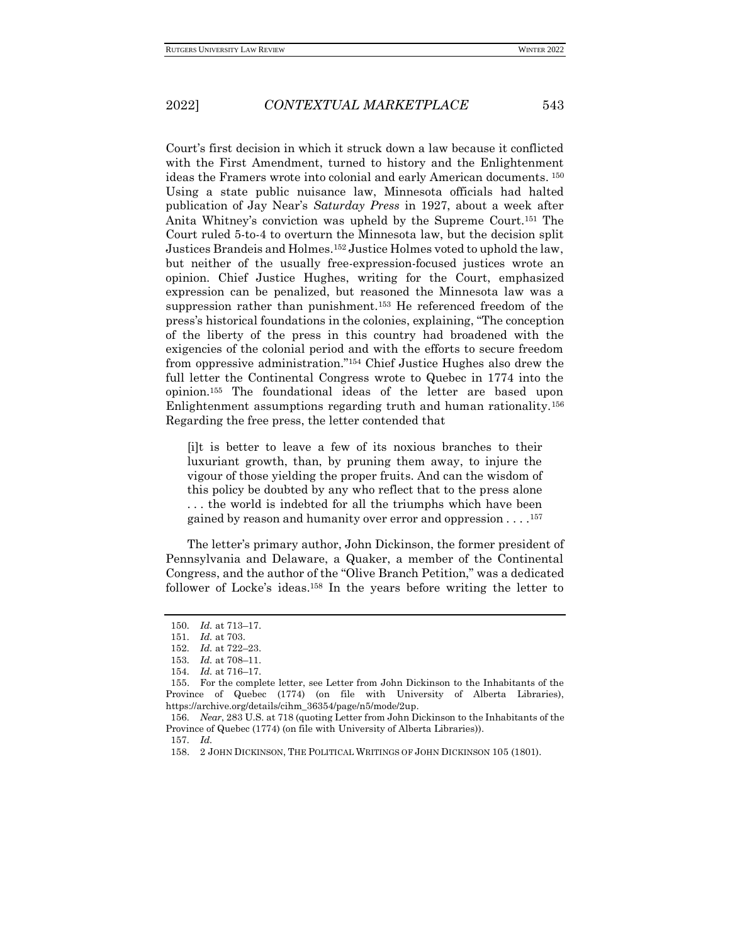Court's first decision in which it struck down a law because it conflicted with the First Amendment, turned to history and the Enlightenment ideas the Framers wrote into colonial and early American documents. <sup>150</sup> Using a state public nuisance law, Minnesota officials had halted publication of Jay Near's *Saturday Press* in 1927, about a week after Anita Whitney's conviction was upheld by the Supreme Court.<sup>151</sup> The Court ruled 5-to-4 to overturn the Minnesota law, but the decision split Justices Brandeis and Holmes.<sup>152</sup> Justice Holmes voted to uphold the law, but neither of the usually free-expression-focused justices wrote an opinion. Chief Justice Hughes, writing for the Court, emphasized expression can be penalized, but reasoned the Minnesota law was a suppression rather than punishment.<sup>153</sup> He referenced freedom of the press's historical foundations in the colonies, explaining, "The conception of the liberty of the press in this country had broadened with the exigencies of the colonial period and with the efforts to secure freedom from oppressive administration."<sup>154</sup> Chief Justice Hughes also drew the full letter the Continental Congress wrote to Quebec in 1774 into the opinion.<sup>155</sup> The foundational ideas of the letter are based upon Enlightenment assumptions regarding truth and human rationality.<sup>156</sup> Regarding the free press, the letter contended that

[i]t is better to leave a few of its noxious branches to their luxuriant growth, than, by pruning them away, to injure the vigour of those yielding the proper fruits. And can the wisdom of this policy be doubted by any who reflect that to the press alone . . . the world is indebted for all the triumphs which have been gained by reason and humanity over error and oppression . . . . 157

The letter's primary author, John Dickinson, the former president of Pennsylvania and Delaware, a Quaker, a member of the Continental Congress, and the author of the "Olive Branch Petition," was a dedicated follower of Locke's ideas.<sup>158</sup> In the years before writing the letter to

157*. Id.*

<sup>150</sup>*. Id.* at 713–17.

<sup>151</sup>*. Id.* at 703.

<sup>152</sup>*. Id.* at 722–23.

<sup>153</sup>*. Id.* at 708–11.

<sup>154</sup>*. Id.* at 716–17.

<sup>155.</sup> For the complete letter, see Letter from John Dickinson to the Inhabitants of the Province of Quebec (1774) (on file with University of Alberta Libraries), https://archive.org/details/cihm\_36354/page/n5/mode/2up.

<sup>156</sup>*. Near*, 283 U.S. at 718 (quoting Letter from John Dickinson to the Inhabitants of the Province of Quebec (1774) (on file with University of Alberta Libraries)).

<sup>158.</sup> 2 JOHN DICKINSON, THE POLITICAL WRITINGS OF JOHN DICKINSON 105 (1801).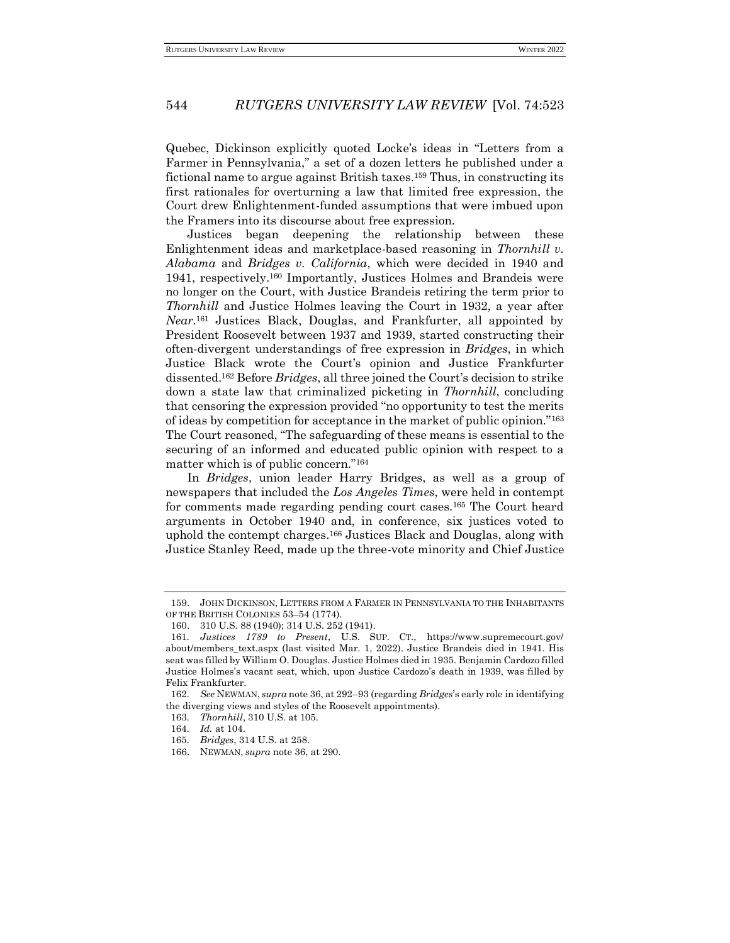Quebec, Dickinson explicitly quoted Locke's ideas in "Letters from a Farmer in Pennsylvania," a set of a dozen letters he published under a fictional name to argue against British taxes.<sup>159</sup> Thus, in constructing its first rationales for overturning a law that limited free expression, the Court drew Enlightenment-funded assumptions that were imbued upon the Framers into its discourse about free expression.

Justices began deepening the relationship between these Enlightenment ideas and marketplace-based reasoning in *Thornhill v. Alabama* and *Bridges v. California*, which were decided in 1940 and 1941, respectively.<sup>160</sup> Importantly, Justices Holmes and Brandeis were no longer on the Court, with Justice Brandeis retiring the term prior to *Thornhill* and Justice Holmes leaving the Court in 1932, a year after *Near.*<sup>161</sup> Justices Black, Douglas, and Frankfurter, all appointed by President Roosevelt between 1937 and 1939, started constructing their often-divergent understandings of free expression in *Bridges*, in which Justice Black wrote the Court's opinion and Justice Frankfurter dissented.<sup>162</sup> Before *Bridges*, all three joined the Court's decision to strike down a state law that criminalized picketing in *Thornhill*, concluding that censoring the expression provided "no opportunity to test the merits of ideas by competition for acceptance in the market of public opinion."<sup>163</sup> The Court reasoned, "The safeguarding of these means is essential to the securing of an informed and educated public opinion with respect to a matter which is of public concern."<sup>164</sup>

In *Bridges*, union leader Harry Bridges, as well as a group of newspapers that included the *Los Angeles Times*, were held in contempt for comments made regarding pending court cases.<sup>165</sup> The Court heard arguments in October 1940 and, in conference, six justices voted to uphold the contempt charges.<sup>166</sup> Justices Black and Douglas, along with Justice Stanley Reed, made up the three-vote minority and Chief Justice

<sup>159.</sup> JOHN DICKINSON, LETTERS FROM A FARMER IN PENNSYLVANIA TO THE INHABITANTS OF THE BRITISH COLONIES 53–54 (1774).

<sup>160.</sup> 310 U.S. 88 (1940); 314 U.S. 252 (1941).

<sup>161</sup>*. Justices 1789 to Present*, U.S. SUP. CT., https://www.supremecourt.gov/ about/members\_text.aspx (last visited Mar. 1, 2022). Justice Brandeis died in 1941. His seat was filled by William O. Douglas. Justice Holmes died in 1935. Benjamin Cardozo filled Justice Holmes's vacant seat, which, upon Justice Cardozo's death in 1939, was filled by Felix Frankfurter.

<sup>162</sup>*. See* NEWMAN, *supra* note 36, at 292–93 (regarding *Bridges*'s early role in identifying the diverging views and styles of the Roosevelt appointments).

<sup>163</sup>*. Thornhill*, 310 U.S. at 105.

<sup>164</sup>*. Id.* at 104.

<sup>165</sup>*. Bridges*, 314 U.S. at 258.

<sup>166.</sup> NEWMAN, *supra* note 36, at 290.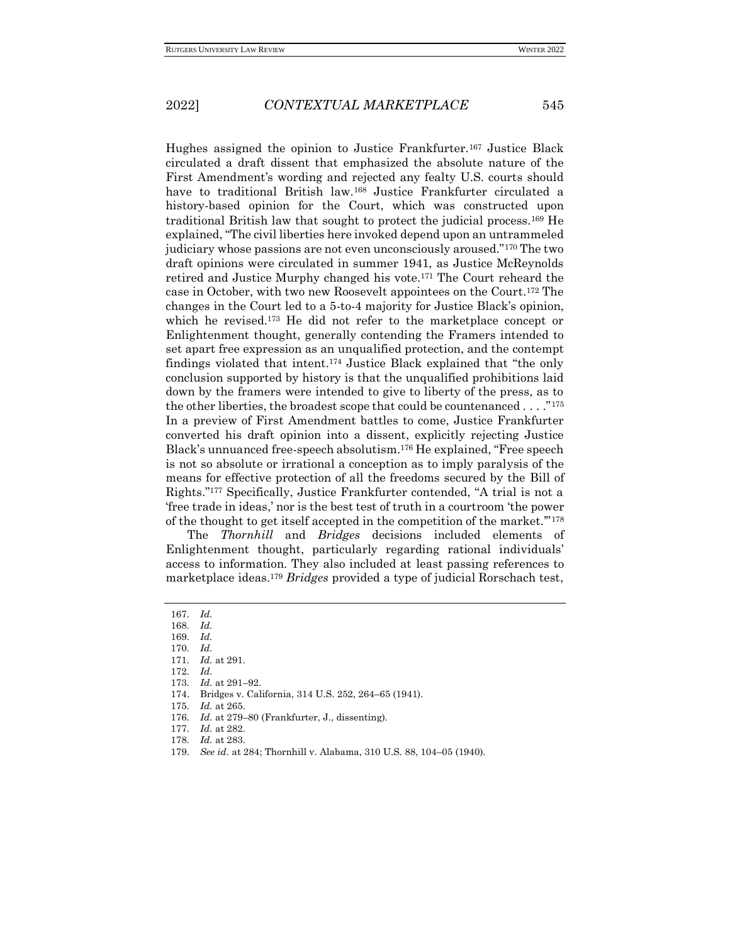Hughes assigned the opinion to Justice Frankfurter.<sup>167</sup> Justice Black circulated a draft dissent that emphasized the absolute nature of the First Amendment's wording and rejected any fealty U.S. courts should have to traditional British law.<sup>168</sup> Justice Frankfurter circulated a history-based opinion for the Court, which was constructed upon traditional British law that sought to protect the judicial process.<sup>169</sup> He explained, "The civil liberties here invoked depend upon an untrammeled judiciary whose passions are not even unconsciously aroused."<sup>170</sup> The two draft opinions were circulated in summer 1941, as Justice McReynolds retired and Justice Murphy changed his vote.<sup>171</sup> The Court reheard the case in October, with two new Roosevelt appointees on the Court.<sup>172</sup> The changes in the Court led to a 5-to-4 majority for Justice Black's opinion, which he revised.<sup>173</sup> He did not refer to the marketplace concept or Enlightenment thought, generally contending the Framers intended to set apart free expression as an unqualified protection, and the contempt findings violated that intent.<sup>174</sup> Justice Black explained that "the only conclusion supported by history is that the unqualified prohibitions laid down by the framers were intended to give to liberty of the press, as to the other liberties, the broadest scope that could be countenanced  $\dots$ ."<sup>175</sup> In a preview of First Amendment battles to come, Justice Frankfurter converted his draft opinion into a dissent, explicitly rejecting Justice Black's unnuanced free-speech absolutism.<sup>176</sup> He explained, "Free speech is not so absolute or irrational a conception as to imply paralysis of the means for effective protection of all the freedoms secured by the [Bill of](about:blank)  [Rights](about:blank)."<sup>177</sup> Specifically, Justice Frankfurter contended, "A trial is not a 'free trade in ideas,' nor is the best test of truth in a courtroom 'the power of the thought to get itself accepted in the competition of the market.'"<sup>178</sup>

The *Thornhill* and *Bridges* decisions included elements of Enlightenment thought, particularly regarding rational individuals' access to information. They also included at least passing references to marketplace ideas.<sup>179</sup> *Bridges* provided a type of judicial Rorschach test,

176*. Id.* at 279–80 (Frankfurter, J., dissenting).

<sup>167</sup>*. Id.*

<sup>168</sup>*. Id.*

<sup>169</sup>*. Id.*

<sup>170</sup>*. Id.* 171*. Id.* at 291.

<sup>172</sup>*. Id.*

<sup>173</sup>*. Id.* at 291–92.

<sup>174.</sup> Bridges v. California, 314 U.S. 252, 264–65 (1941).

<sup>175</sup>*. Id.* at 265.

<sup>177</sup>*. Id.* at 282.

<sup>178</sup>*. Id.* at 283.

<sup>179</sup>*. See id.* at 284; Thornhill v. Alabama, 310 U.S. 88, 104–05 (1940).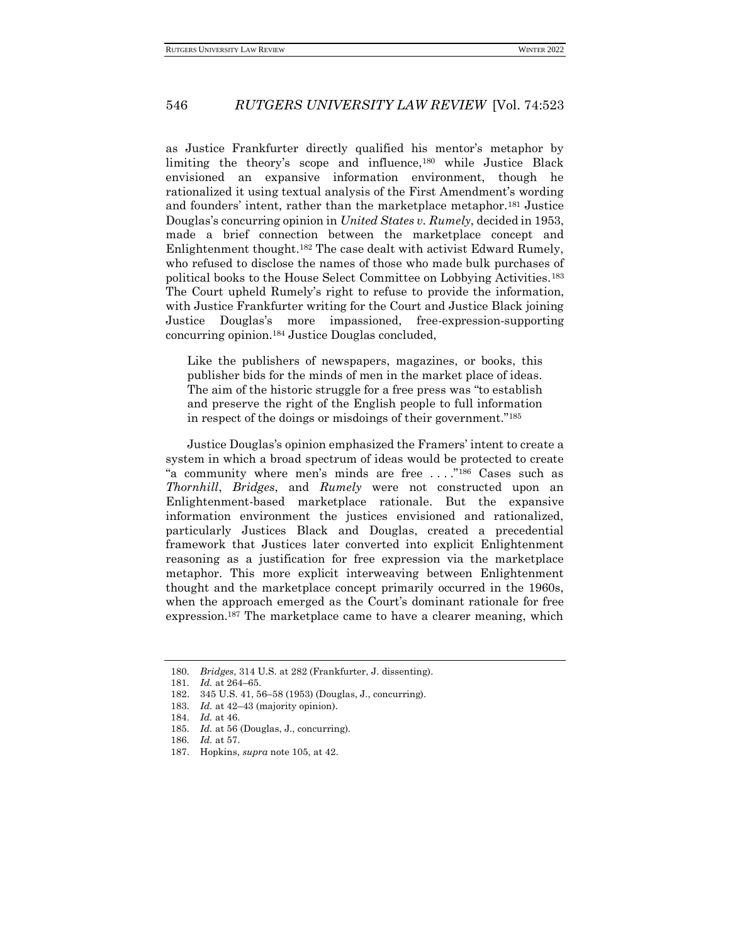as Justice Frankfurter directly qualified his mentor's metaphor by limiting the theory's scope and influence,<sup>180</sup> while Justice Black envisioned an expansive information environment, though he rationalized it using textual analysis of the First Amendment's wording and founders' intent, rather than the marketplace metaphor.<sup>181</sup> Justice Douglas's concurring opinion in *United States v. Rumely*, decided in 1953, made a brief connection between the marketplace concept and Enlightenment thought.<sup>182</sup> The case dealt with activist Edward Rumely, who refused to disclose the names of those who made bulk purchases of political books to the House Select Committee on Lobbying Activities.<sup>183</sup> The Court upheld Rumely's right to refuse to provide the information, with Justice Frankfurter writing for the Court and Justice Black joining Justice Douglas's more impassioned, free-expression-supporting concurring opinion.<sup>184</sup> Justice Douglas concluded,

Like the publishers of newspapers, magazines, or books, this publisher bids for the minds of men in the market place of ideas. The aim of the historic struggle for a free press was "to establish and preserve the right of the English people to full information in respect of the doings or misdoings of their government."<sup>185</sup>

Justice Douglas's opinion emphasized the Framers' intent to create a system in which a broad spectrum of ideas would be protected to create "a community where men's minds are free . . . ."<sup>186</sup> Cases such as *Thornhill*, *Bridges*, and *Rumely* were not constructed upon an Enlightenment-based marketplace rationale. But the expansive information environment the justices envisioned and rationalized, particularly Justices Black and Douglas, created a precedential framework that Justices later converted into explicit Enlightenment reasoning as a justification for free expression via the marketplace metaphor. This more explicit interweaving between Enlightenment thought and the marketplace concept primarily occurred in the 1960s, when the approach emerged as the Court's dominant rationale for free expression.<sup>187</sup> The marketplace came to have a clearer meaning, which

<sup>180</sup>*. Bridges*, 314 U.S. at 282 (Frankfurter, J. dissenting).

<sup>181</sup>*. Id.* at 264–65.

<sup>182.</sup> 345 U.S. 41, 56–58 (1953) (Douglas, J., concurring).

<sup>183</sup>*. Id.* at 42–43 (majority opinion).

<sup>184</sup>*. Id.* at 46.

<sup>185</sup>*. Id.* at 56 (Douglas, J., concurring).

<sup>186</sup>*. Id.* at 57.

<sup>187.</sup> Hopkins, *supra* note 105, at 42.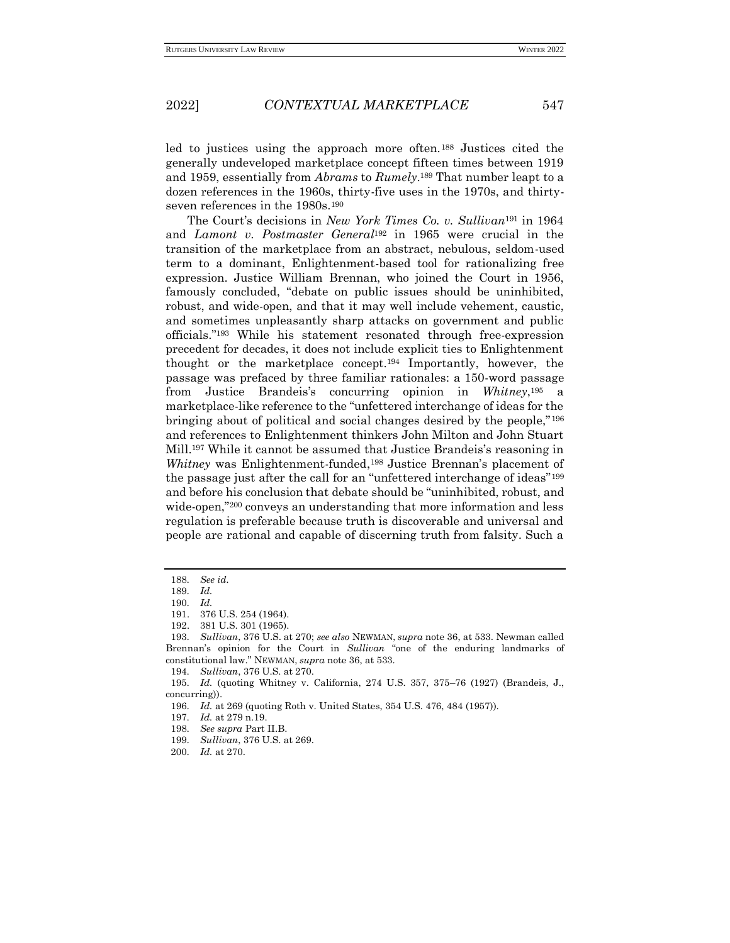led to justices using the approach more often.<sup>188</sup> Justices cited the generally undeveloped marketplace concept fifteen times between 1919 and 1959, essentially from *Abrams* to *Rumely*. <sup>189</sup> That number leapt to a dozen references in the 1960s, thirty-five uses in the 1970s, and thirtyseven references in the 1980s.<sup>190</sup>

The Court's decisions in *New York Times Co. v. Sullivan*<sup>191</sup> in 1964 and *Lamont v. Postmaster General*<sup>192</sup> in 1965 were crucial in the transition of the marketplace from an abstract, nebulous, seldom-used term to a dominant, Enlightenment-based tool for rationalizing free expression. Justice William Brennan, who joined the Court in 1956, famously concluded, "debate on public issues should be uninhibited, robust, and wide-open, and that it may well include vehement, caustic, and sometimes unpleasantly sharp attacks on government and public officials."<sup>193</sup> While his statement resonated through free-expression precedent for decades, it does not include explicit ties to Enlightenment thought or the marketplace concept.<sup>194</sup> Importantly, however, the passage was prefaced by three familiar rationales: a 150-word passage from Justice Brandeis's concurring opinion in *Whitney*, <sup>195</sup> a marketplace-like reference to the "unfettered interchange of ideas for the bringing about of political and social changes desired by the people,"<sup>196</sup> and references to Enlightenment thinkers John Milton and John Stuart Mill.<sup>197</sup> While it cannot be assumed that Justice Brandeis's reasoning in *Whitney* was Enlightenment-funded,<sup>198</sup> Justice Brennan's placement of the passage just after the call for an "unfettered interchange of ideas"<sup>199</sup> and before his conclusion that debate should be "uninhibited, robust, and wide-open,"<sup>200</sup> conveys an understanding that more information and less regulation is preferable because truth is discoverable and universal and people are rational and capable of discerning truth from falsity. Such a

<sup>188</sup>*. See id.*

<sup>189</sup>*. Id.*

<sup>190</sup>*. Id.*

<sup>191.</sup> 376 U.S. 254 (1964).

<sup>192.</sup> 381 U.S. 301 (1965).

<sup>193</sup>*. Sullivan*, 376 U.S. at 270; *see also* NEWMAN, *supra* note 36, at 533. Newman called Brennan's opinion for the Court in *Sullivan* "one of the enduring landmarks of constitutional law." NEWMAN, *supra* note 36, at 533.

<sup>194</sup>*. Sullivan*, 376 U.S. at 270.

<sup>195</sup>*. Id.* (quoting Whitney v. California, 274 U.S. 357, 375–76 (1927) (Brandeis, J., concurring)).

<sup>196</sup>*. Id.* at 269 (quoting Roth v. United States, 354 U.S. 476, 484 (1957)).

<sup>197</sup>*. Id.* at 279 n.19.

<sup>198</sup>*. See supra* Part II.B.

<sup>199</sup>*. Sullivan*, 376 U.S. at 269.

<sup>200</sup>*. Id.* at 270.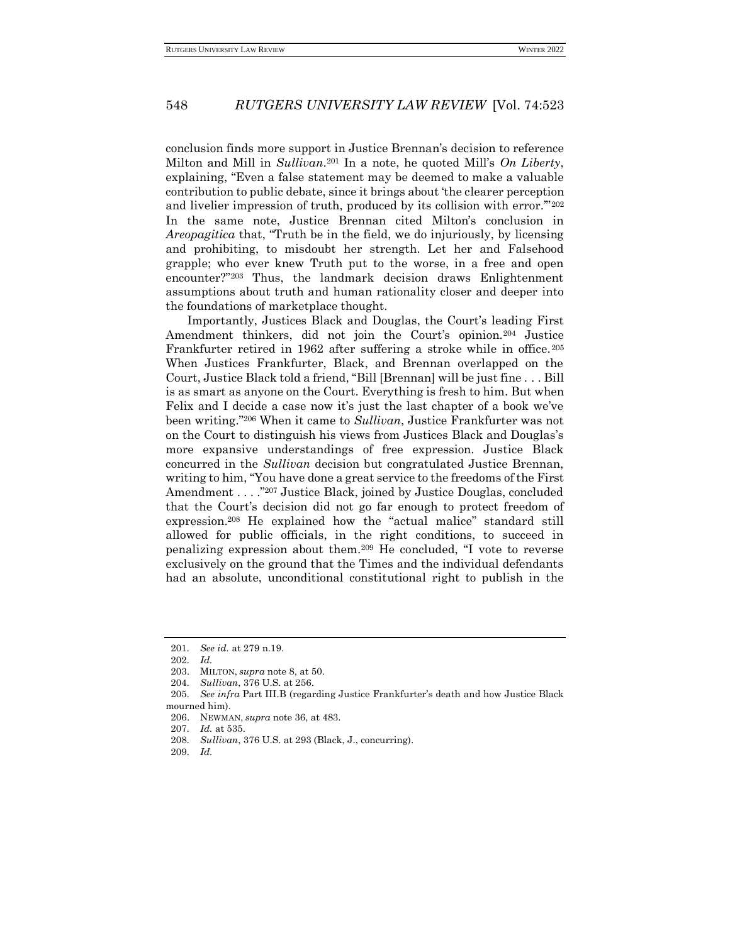conclusion finds more support in Justice Brennan's decision to reference Milton and Mill in *Sullivan*. <sup>201</sup> In a note, he quoted Mill's *On Liberty*, explaining, "Even a false statement may be deemed to make a valuable contribution to public debate, since it brings about 'the clearer perception and livelier impression of truth, produced by its collision with error.""202 In the same note, Justice Brennan cited Milton's conclusion in *Areopagitica* that, "Truth be in the field, we do injuriously, by licensing and prohibiting, to misdoubt her strength. Let her and Falsehood grapple; who ever knew Truth put to the worse, in a free and open encounter?"<sup>203</sup> Thus, the landmark decision draws Enlightenment assumptions about truth and human rationality closer and deeper into the foundations of marketplace thought.

Importantly, Justices Black and Douglas, the Court's leading First Amendment thinkers, did not join the Court's opinion.<sup>204</sup> Justice Frankfurter retired in 1962 after suffering a stroke while in office.<sup>205</sup> When Justices Frankfurter, Black, and Brennan overlapped on the Court, Justice Black told a friend, "Bill [Brennan] will be just fine . . . Bill is as smart as anyone on the Court. Everything is fresh to him. But when Felix and I decide a case now it's just the last chapter of a book we've been writing."<sup>206</sup> When it came to *Sullivan*, Justice Frankfurter was not on the Court to distinguish his views from Justices Black and Douglas's more expansive understandings of free expression. Justice Black concurred in the *Sullivan* decision but congratulated Justice Brennan, writing to him, "You have done a great service to the freedoms of the First Amendment . . . . "207 Justice Black, joined by Justice Douglas, concluded that the Court's decision did not go far enough to protect freedom of expression.<sup>208</sup> He explained how the "actual malice" standard still allowed for public officials, in the right conditions, to succeed in penalizing expression about them.<sup>209</sup> He concluded, "I vote to reverse exclusively on the ground that the Times and the individual defendants had an absolute, unconditional constitutional right to publish in the

<sup>201</sup>*. See id.* at 279 n.19.

<sup>202</sup>*. Id.*

<sup>203.</sup> MILTON, *supra* note 8, at 50.

<sup>204</sup>*. Sullivan*, 376 U.S. at 256.

<sup>205</sup>*. See infra* Part III.B (regarding Justice Frankfurter's death and how Justice Black mourned him).

<sup>206.</sup> NEWMAN, *supra* note 36, at 483.

<sup>207</sup>*. Id.* at 535.

<sup>208</sup>*. Sullivan*, 376 U.S. at 293 (Black, J., concurring).

<sup>209</sup>*. Id.*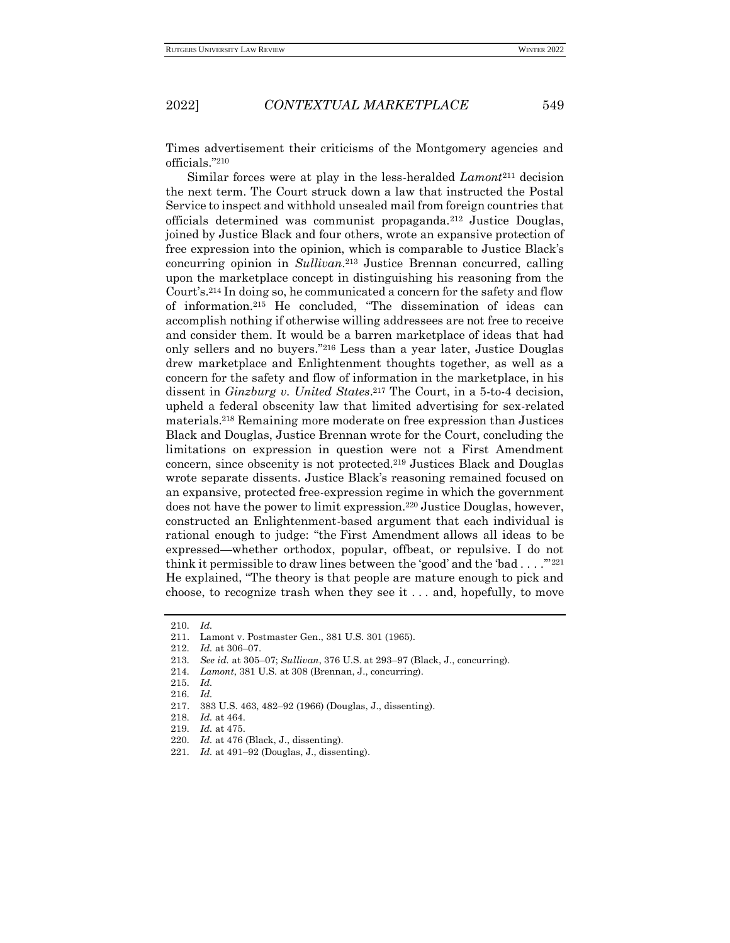Times advertisement their criticisms of the Montgomery agencies and officials."<sup>210</sup>

Similar forces were at play in the less-heralded *Lamont*<sup>211</sup> decision the next term. The Court struck down a law that instructed the Postal Service to inspect and withhold unsealed mail from foreign countries that officials determined was communist propaganda.<sup>212</sup> Justice Douglas, joined by Justice Black and four others, wrote an expansive protection of free expression into the opinion, which is comparable to Justice Black's concurring opinion in *Sullivan*. <sup>213</sup> Justice Brennan concurred, calling upon the marketplace concept in distinguishing his reasoning from the Court's.<sup>214</sup> In doing so, he communicated a concern for the safety and flow of information.<sup>215</sup> He concluded, "The dissemination of ideas can accomplish nothing if otherwise willing addressees are not free to receive and consider them. It would be a barren marketplace of ideas that had only sellers and no buyers."<sup>216</sup> Less than a year later, Justice Douglas drew marketplace and Enlightenment thoughts together, as well as a concern for the safety and flow of information in the marketplace, in his dissent in *Ginzburg v. United States*. <sup>217</sup> The Court, in a 5-to-4 decision, upheld a federal obscenity law that limited advertising for sex-related materials.<sup>218</sup> Remaining more moderate on free expression than Justices Black and Douglas, Justice Brennan wrote for the Court, concluding the limitations on expression in question were not a First Amendment concern, since obscenity is not protected.<sup>219</sup> Justices Black and Douglas wrote separate dissents. Justice Black's reasoning remained focused on an expansive, protected free-expression regime in which the government does not have the power to limit expression.<sup>220</sup> Justice Douglas, however, constructed an Enlightenment-based argument that each individual is rational enough to judge: "the [First Amendment](about:blank) allows all ideas to be expressed—whether orthodox, popular, offbeat, or repulsive. I do not think it permissible to draw lines between the 'good' and the 'bad  $\dots$ ."<sup>221</sup> He explained, "The theory is that people are mature enough to pick and choose, to recognize trash when they see it . . . and, hopefully, to move

<sup>210</sup>*. Id.*

<sup>211.</sup> Lamont v. Postmaster Gen., 381 U.S. 301 (1965).

<sup>212</sup>*. Id.* at 306–07.

<sup>213</sup>*. See id.* at 305–07; *Sullivan*, 376 U.S. at 293–97 (Black, J., concurring).

<sup>214</sup>*. Lamont*, 381 U.S. at 308 (Brennan, J., concurring).

<sup>215</sup>*. Id.*

<sup>216</sup>*. Id.*

<sup>217.</sup> 383 U.S. 463, 482–92 (1966) (Douglas, J., dissenting).

<sup>218</sup>*. Id.* at 464.

<sup>219</sup>*. Id.* at 475.

<sup>220</sup>*. Id.* at 476 (Black, J., dissenting).

<sup>221</sup>*. Id.* at 491–92 (Douglas, J., dissenting).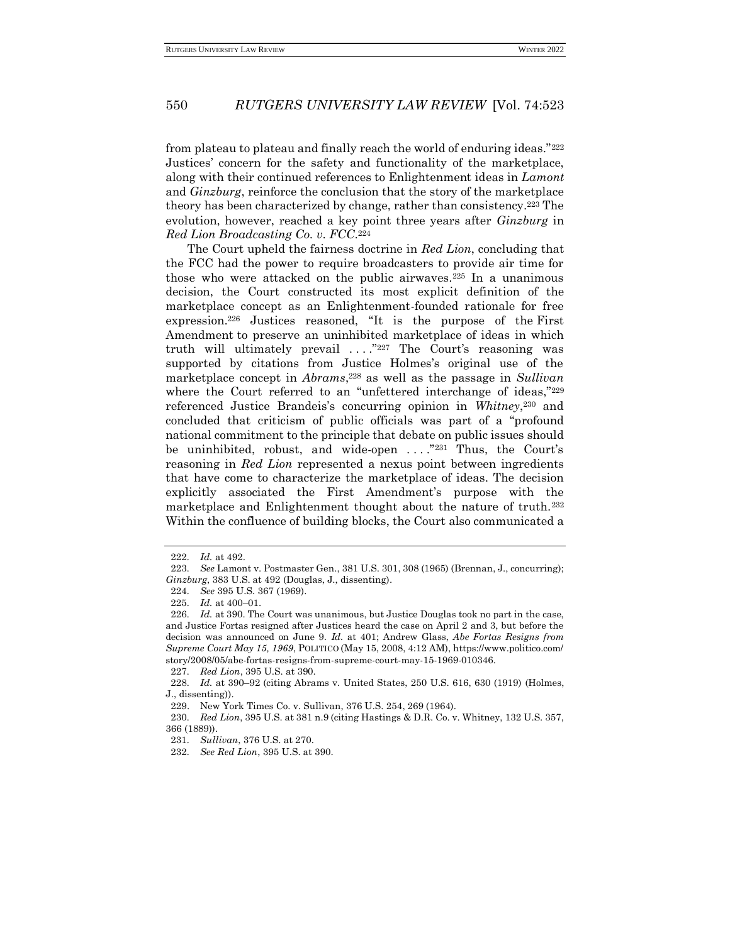from plateau to plateau and finally reach the world of enduring ideas."<sup>222</sup> Justices' concern for the safety and functionality of the marketplace, along with their continued references to Enlightenment ideas in *Lamont*  and *Ginzburg*, reinforce the conclusion that the story of the marketplace theory has been characterized by change, rather than consistency.<sup>223</sup> The evolution, however, reached a key point three years after *Ginzburg* in *Red Lion Broadcasting Co. v. FCC*. 224

The Court upheld the fairness doctrine in *Red Lion*, concluding that the FCC had the power to require broadcasters to provide air time for those who were attacked on the public airwaves.<sup>225</sup> In a unanimous decision, the Court constructed its most explicit definition of the marketplace concept as an Enlightenment-founded rationale for free expression.<sup>226</sup> Justices reasoned, "It is the purpose of the [First](about:blank)  [Amendment](about:blank) to preserve an uninhibited marketplace of ideas in which truth will ultimately prevail  $\dots$   $\overset{327}{\sim}$  The Court's reasoning was supported by citations from Justice Holmes's original use of the marketplace concept in *Abrams*, <sup>228</sup> as well as the passage in *Sullivan*  where the Court referred to an "unfettered interchange of ideas,"229 referenced Justice Brandeis's concurring opinion in *Whitney*, <sup>230</sup> and concluded that criticism of public officials was part of a "profound national commitment to the principle that debate on public issues should be uninhibited, robust, and wide-open ...."<sup>231</sup> Thus, the Court's reasoning in *Red Lion* represented a nexus point between ingredients that have come to characterize the marketplace of ideas. The decision explicitly associated the First Amendment's purpose with the marketplace and Enlightenment thought about the nature of truth.<sup>232</sup> Within the confluence of building blocks, the Court also communicated a

<sup>222</sup>*. Id.* at 492.

<sup>223</sup>*. See* Lamont v. Postmaster Gen., 381 U.S. 301, 308 (1965) (Brennan, J., concurring); *Ginzburg*, 383 U.S. at 492 (Douglas, J., dissenting).

<sup>224</sup>*. See* 395 U.S. 367 (1969).

<sup>225</sup>*. Id.* at 400–01.

<sup>226</sup>*. Id.* at 390. The Court was unanimous, but Justice Douglas took no part in the case, and Justice Fortas resigned after Justices heard the case on April 2 and 3, but before the decision was announced on June 9. *Id.* at 401; Andrew Glass, *Abe Fortas Resigns from Supreme Court May 15, 1969*, POLITICO (May 15, 2008, 4:12 AM), https://www.politico.com/ story/2008/05/abe-fortas-resigns-from-supreme-court-may-15-1969-010346.

<sup>227</sup>*. Red Lion*, 395 U.S. at 390.

<sup>228</sup>*. Id.* at 390–92 (citing Abrams v. United States, 250 U.S. 616, 630 (1919) (Holmes, J., dissenting)).

<sup>229.</sup> New York Times Co. v. Sullivan, 376 U.S. 254, 269 (1964).

<sup>230</sup>*. Red Lion*, 395 U.S. at 381 n.9 (citing Hastings & D.R. Co. v. Whitney, 132 U.S. 357, 366 (1889)).

<sup>231</sup>*. Sullivan*, 376 U.S. at 270.

<sup>232</sup>*. See Red Lion*, 395 U.S. at 390.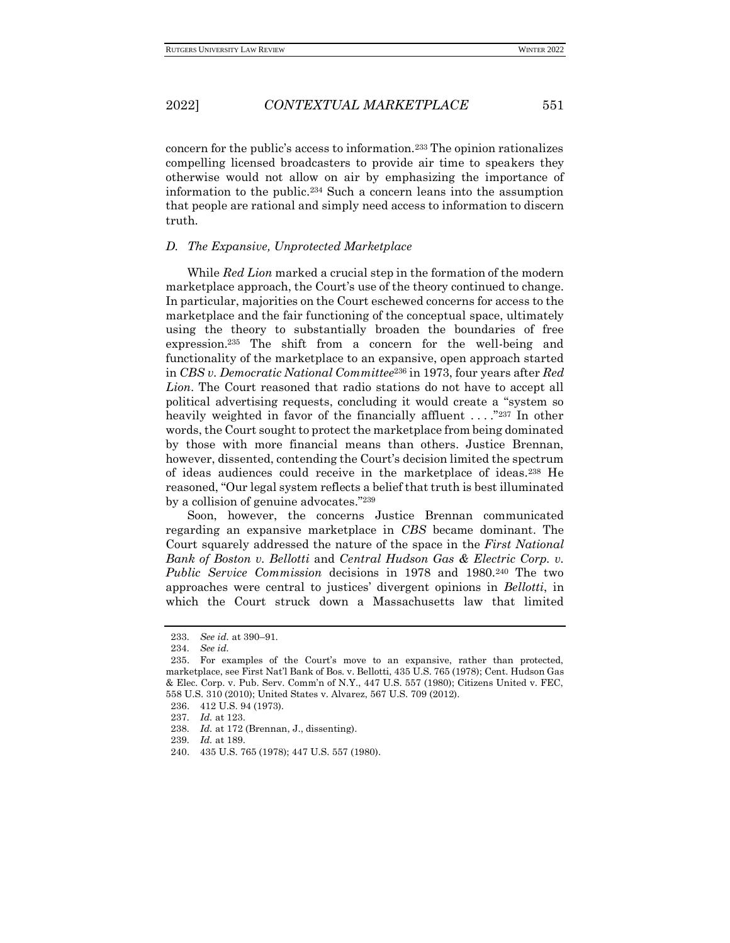concern for the public's access to information.<sup>233</sup> The opinion rationalizes compelling licensed broadcasters to provide air time to speakers they otherwise would not allow on air by emphasizing the importance of information to the public.<sup>234</sup> Such a concern leans into the assumption that people are rational and simply need access to information to discern truth.

#### *D. The Expansive, Unprotected Marketplace*

While *Red Lion* marked a crucial step in the formation of the modern marketplace approach, the Court's use of the theory continued to change. In particular, majorities on the Court eschewed concerns for access to the marketplace and the fair functioning of the conceptual space, ultimately using the theory to substantially broaden the boundaries of free expression.<sup>235</sup> The shift from a concern for the well-being and functionality of the marketplace to an expansive, open approach started in *CBS v. Democratic National Committee*<sup>236</sup> in 1973, four years after *Red Lion*. The Court reasoned that radio stations do not have to accept all political advertising requests, concluding it would create a "system so heavily weighted in favor of the financially affluent ...."<sup>237</sup> In other words, the Court sought to protect the marketplace from being dominated by those with more financial means than others. Justice Brennan, however, dissented, contending the Court's decision limited the spectrum of ideas audiences could receive in the marketplace of ideas.<sup>238</sup> He reasoned, "Our legal system reflects a belief that truth is best illuminated by a collision of genuine advocates."<sup>239</sup>

Soon, however, the concerns Justice Brennan communicated regarding an expansive marketplace in *CBS* became dominant. The Court squarely addressed the nature of the space in the *First National Bank of Boston v. Bellotti* and *Central Hudson Gas & Electric Corp. v. Public Service Commission* decisions in 1978 and 1980.<sup>240</sup> The two approaches were central to justices' divergent opinions in *Bellotti*, in which the Court struck down a Massachusetts law that limited

<sup>233</sup>*. See id.* at 390–91.

<sup>234</sup>*. See id.*

<sup>235.</sup> For examples of the Court's move to an expansive, rather than protected, marketplace, see First Nat'l Bank of Bos. v. Bellotti, 435 U.S. 765 (1978); Cent. Hudson Gas & Elec. Corp. v. Pub. Serv. Comm'n of N.Y., 447 U.S. 557 (1980); Citizens United v. FEC, 558 U.S. 310 (2010); United States v. Alvarez, 567 U.S. 709 (2012).

<sup>236.</sup> 412 U.S. 94 (1973).

<sup>237</sup>*. Id.* at 123.

<sup>238</sup>*. Id.* at 172 (Brennan, J., dissenting).

<sup>239</sup>*. Id.* at 189.

<sup>240.</sup> 435 U.S. 765 (1978); 447 U.S. 557 (1980).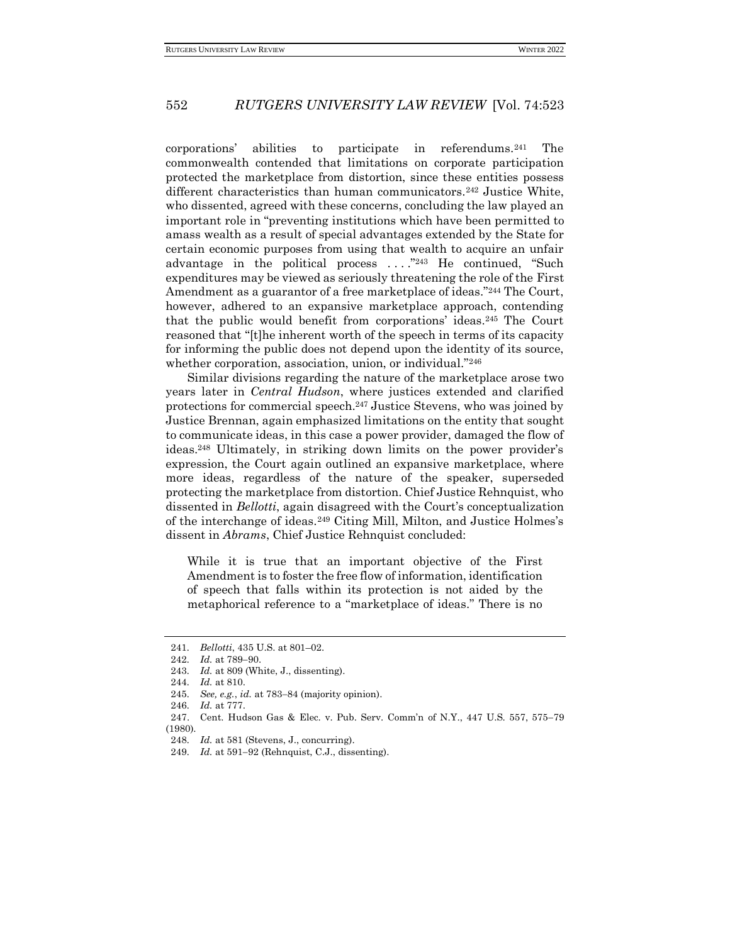corporations' abilities to participate in referendums.<sup>241</sup> The commonwealth contended that limitations on corporate participation protected the marketplace from distortion, since these entities possess different characteristics than human communicators.<sup>242</sup> Justice White, who dissented, agreed with these concerns, concluding the law played an important role in "preventing institutions which have been permitted to amass wealth as a result of special advantages extended by the State for certain economic purposes from using that wealth to acquire an unfair advantage in the political process . . . ."<sup>243</sup> He continued, "Such expenditures may be viewed as seriously threatening the role of the [First](about:blank)  [Amendment](about:blank) as a guarantor of a free marketplace of ideas."<sup>244</sup> The Court, however, adhered to an expansive marketplace approach, contending that the public would benefit from corporations' ideas.<sup>245</sup> The Court reasoned that "[t]he inherent worth of the speech in terms of its capacity for informing the public does not depend upon the identity of its source, whether corporation, association, union, or individual."<sup>246</sup>

Similar divisions regarding the nature of the marketplace arose two years later in *Central Hudson*, where justices extended and clarified protections for commercial speech.<sup>247</sup> Justice Stevens, who was joined by Justice Brennan, again emphasized limitations on the entity that sought to communicate ideas, in this case a power provider, damaged the flow of ideas.<sup>248</sup> Ultimately, in striking down limits on the power provider's expression, the Court again outlined an expansive marketplace, where more ideas, regardless of the nature of the speaker, superseded protecting the marketplace from distortion. Chief Justice Rehnquist, who dissented in *Bellotti*, again disagreed with the Court's conceptualization of the interchange of ideas.<sup>249</sup> Citing Mill, Milton, and Justice Holmes's dissent in *Abrams*, Chief Justice Rehnquist concluded:

While it is true that an important objective of the [First](about:blank)  [Amendment](about:blank) is to foster the free flow of information, identification of speech that falls within its protection is not aided by the metaphorical reference to a "marketplace of ideas." There is no

<sup>241</sup>*. Bellotti*, 435 U.S. at 801–02.

<sup>242</sup>*. Id.* at 789−90.

<sup>243</sup>*. Id.* at 809 (White, J., dissenting).

<sup>244</sup>*. Id.* at 810.

<sup>245</sup>*. See, e.g.*, *id.* at 783−84 (majority opinion).

<sup>246</sup>*. Id.* at 777.

<sup>247.</sup> Cent. Hudson Gas & Elec. v. Pub. Serv. Comm'n of N.Y., 447 U.S. 557, 575−79 (1980).

<sup>248</sup>*. Id.* at 581 (Stevens, J., concurring).

<sup>249</sup>*. Id.* at 591−92 (Rehnquist, C.J., dissenting).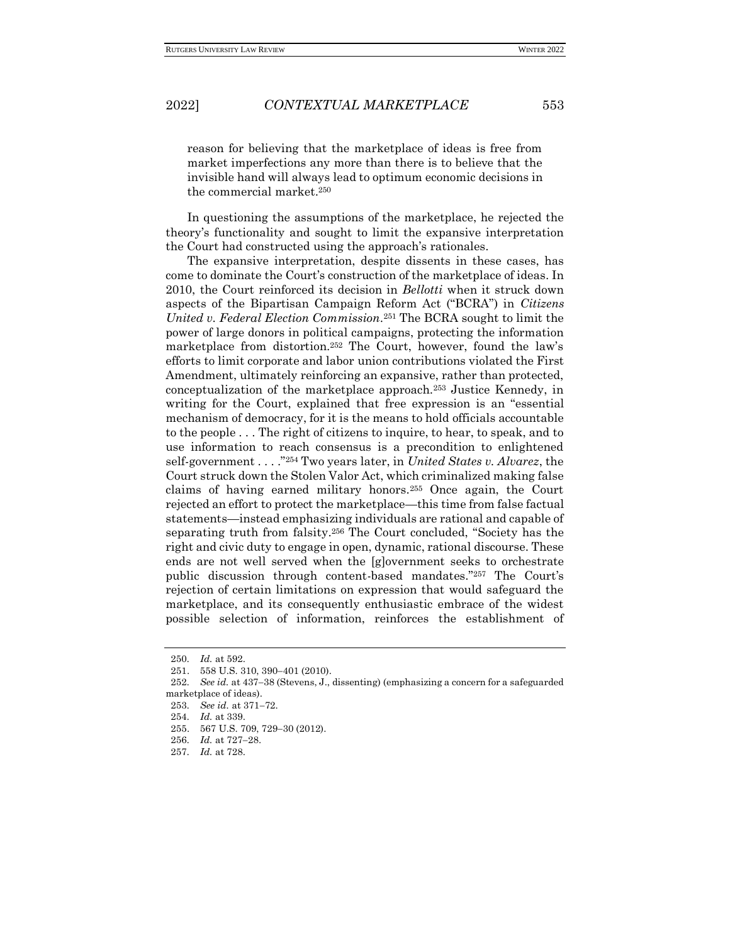reason for believing that the marketplace of ideas is free from market imperfections any more than there is to believe that the invisible hand will always lead to optimum economic decisions in the commercial market.<sup>250</sup>

In questioning the assumptions of the marketplace, he rejected the theory's functionality and sought to limit the expansive interpretation the Court had constructed using the approach's rationales.

The expansive interpretation, despite dissents in these cases, has come to dominate the Court's construction of the marketplace of ideas. In 2010, the Court reinforced its decision in *Bellotti* when it struck down aspects of the Bipartisan Campaign Reform Act ("BCRA") in *Citizens United v. Federal Election Commission*. <sup>251</sup> The BCRA sought to limit the power of large donors in political campaigns, protecting the information marketplace from distortion.<sup>252</sup> The Court, however, found the law's efforts to limit corporate and labor union contributions violated the First Amendment, ultimately reinforcing an expansive, rather than protected, conceptualization of the marketplace approach.<sup>253</sup> Justice Kennedy, in writing for the Court, explained that free expression is an "essential mechanism of democracy, for it is the means to hold officials accountable to the people . . . The right of citizens to inquire, to hear, to speak, and to use information to reach consensus is a precondition to enlightened self-government . . . ."<sup>254</sup> Two years later, in *United States v. Alvarez*, the Court struck down the Stolen Valor Act, which criminalized making false claims of having earned military honors.<sup>255</sup> Once again, the Court rejected an effort to protect the marketplace—this time from false factual statements—instead emphasizing individuals are rational and capable of separating truth from falsity.<sup>256</sup> The Court concluded, "Society has the right and civic duty to engage in open, dynamic, rational discourse. These ends are not well served when the [g]overnment seeks to orchestrate public discussion through content-based mandates."<sup>257</sup> The Court's rejection of certain limitations on expression that would safeguard the marketplace, and its consequently enthusiastic embrace of the widest possible selection of information, reinforces the establishment of

<sup>250</sup>*. Id.* at 592.

<sup>251.</sup> 558 U.S. 310, 390−401 (2010).

<sup>252</sup>*. See id.* at 437−38 (Stevens, J., dissenting) (emphasizing a concern for a safeguarded marketplace of ideas).

<sup>253</sup>*. See id.* at 371−72.

<sup>254</sup>*. Id.* at 339.

<sup>255.</sup> 567 U.S. 709, 729−30 (2012).

<sup>256</sup>*. Id.* at 727−28.

<sup>257</sup>*. Id.* at 728.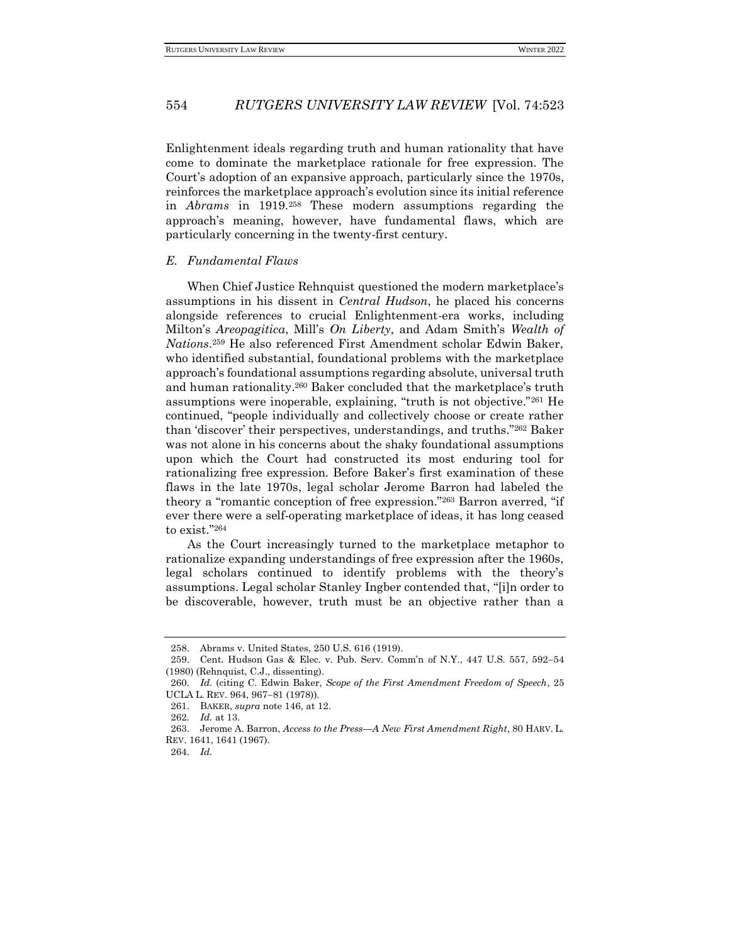Enlightenment ideals regarding truth and human rationality that have come to dominate the marketplace rationale for free expression. The Court's adoption of an expansive approach, particularly since the 1970s, reinforces the marketplace approach's evolution since its initial reference in *Abrams* in 1919.<sup>258</sup> These modern assumptions regarding the approach's meaning, however, have fundamental flaws, which are particularly concerning in the twenty-first century.

#### *E. Fundamental Flaws*

When Chief Justice Rehnquist questioned the modern marketplace's assumptions in his dissent in *Central Hudson*, he placed his concerns alongside references to crucial Enlightenment-era works, including Milton's *Areopagitica*, Mill's *On Liberty*, and Adam Smith's *Wealth of Nations*. <sup>259</sup> He also referenced First Amendment scholar Edwin Baker, who identified substantial, foundational problems with the marketplace approach's foundational assumptions regarding absolute, universal truth and human rationality.<sup>260</sup> Baker concluded that the marketplace's truth assumptions were inoperable, explaining, "truth is not objective."<sup>261</sup> He continued, "people individually and collectively choose or create rather than 'discover' their perspectives, understandings, and truths."<sup>262</sup> Baker was not alone in his concerns about the shaky foundational assumptions upon which the Court had constructed its most enduring tool for rationalizing free expression. Before Baker's first examination of these flaws in the late 1970s, legal scholar Jerome Barron had labeled the theory a "romantic conception of free expression."<sup>263</sup> Barron averred, "if ever there were a self-operating marketplace of ideas, it has long ceased to exist."<sup>264</sup>

As the Court increasingly turned to the marketplace metaphor to rationalize expanding understandings of free expression after the 1960s, legal scholars continued to identify problems with the theory's assumptions. Legal scholar Stanley Ingber contended that, "[i]n order to be discoverable, however, truth must be an objective rather than a

<sup>258.</sup> Abrams v. United States, 250 U.S. 616 (1919).

<sup>259.</sup> Cent. Hudson Gas & Elec. v. Pub. Serv. Comm'n of N.Y., 447 U.S. 557, 592−54 (1980) (Rehnquist, C.J., dissenting).

<sup>260</sup>*. Id.* (citing C. Edwin Baker, *Scope of the First Amendment Freedom of Speech*, 25 UCLA L. REV. 964, 967−81 (1978)).

<sup>261.</sup> BAKER, *supra* note 146, at 12.

<sup>262</sup>*. Id.* at 13.

<sup>263.</sup> Jerome A. Barron, *Access to the Press—A New First Amendment Right*, 80 HARV. L. REV. 1641, 1641 (1967).

<sup>264</sup>*. Id.*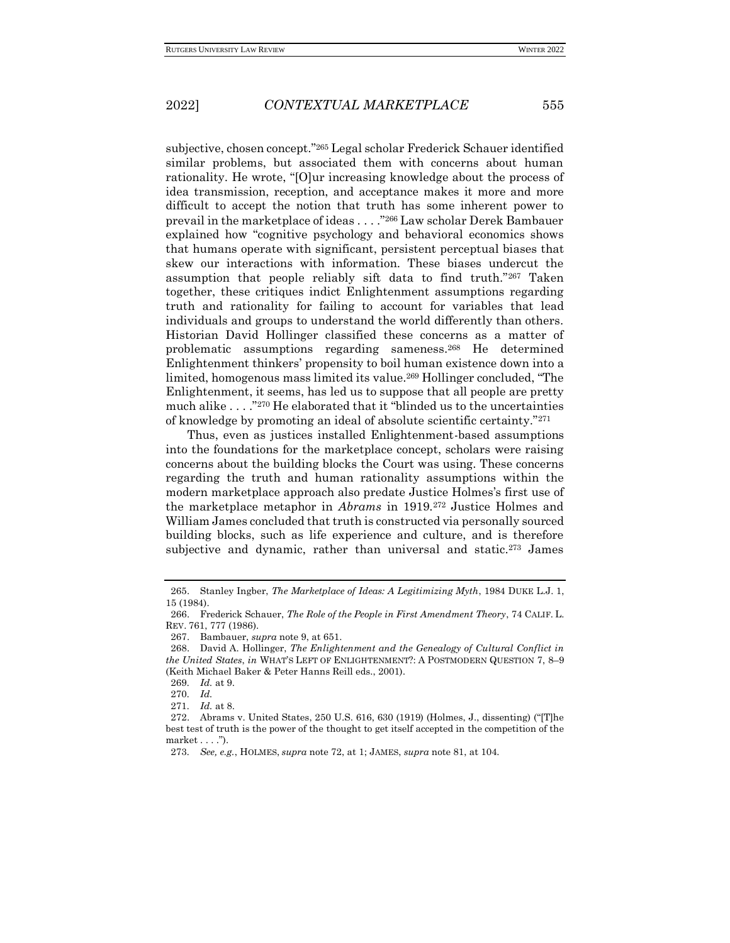subjective, chosen concept."<sup>265</sup> Legal scholar Frederick Schauer identified similar problems, but associated them with concerns about human rationality. He wrote, "[O]ur increasing knowledge about the process of idea transmission, reception, and acceptance makes it more and more difficult to accept the notion that truth has some inherent power to prevail in the marketplace of ideas . . . ."<sup>266</sup> Law scholar Derek Bambauer explained how "cognitive psychology and behavioral economics shows that humans operate with significant, persistent perceptual biases that skew our interactions with information. These biases undercut the assumption that people reliably sift data to find truth."<sup>267</sup> Taken together, these critiques indict Enlightenment assumptions regarding truth and rationality for failing to account for variables that lead individuals and groups to understand the world differently than others. Historian David Hollinger classified these concerns as a matter of problematic assumptions regarding sameness.<sup>268</sup> He determined Enlightenment thinkers' propensity to boil human existence down into a limited, homogenous mass limited its value.<sup>269</sup> Hollinger concluded, "The Enlightenment, it seems, has led us to suppose that all people are pretty much alike . . . ."<sup>270</sup> He elaborated that it "blinded us to the uncertainties of knowledge by promoting an ideal of absolute scientific certainty."<sup>271</sup>

Thus, even as justices installed Enlightenment-based assumptions into the foundations for the marketplace concept, scholars were raising concerns about the building blocks the Court was using. These concerns regarding the truth and human rationality assumptions within the modern marketplace approach also predate Justice Holmes's first use of the marketplace metaphor in *Abrams* in 1919.<sup>272</sup> Justice Holmes and William James concluded that truth is constructed via personally sourced building blocks, such as life experience and culture, and is therefore subjective and dynamic, rather than universal and static.<sup>273</sup> James

<sup>265.</sup> Stanley Ingber, *The Marketplace of Ideas: A Legitimizing Myth*, 1984 DUKE L.J. 1, 15 (1984).

<sup>266.</sup> Frederick Schauer, *The Role of the People in First Amendment Theory*, 74 CALIF. L. REV. 761, 777 (1986).

<sup>267.</sup> Bambauer, *supra* note 9, at 651.

<sup>268.</sup> David A. Hollinger, *The Enlightenment and the Genealogy of Cultural Conflict in the United States*, *in* WHAT'S LEFT OF ENLIGHTENMENT?: A POSTMODERN QUESTION 7, 8–9 (Keith Michael Baker & Peter Hanns Reill eds., 2001)*.*

<sup>269</sup>*. Id.* at 9.

<sup>270</sup>*. Id.*

<sup>271</sup>*. Id.* at 8.

<sup>272.</sup> Abrams v. United States, 250 U.S. 616, 630 (1919) (Holmes, J., dissenting) ("[T]he best test of truth is the power of the thought to get itself accepted in the competition of the market . . . .").

<sup>273</sup>*. See, e.g.*, HOLMES, *supra* note 72, at 1; JAMES, *supra* note 81, at 104.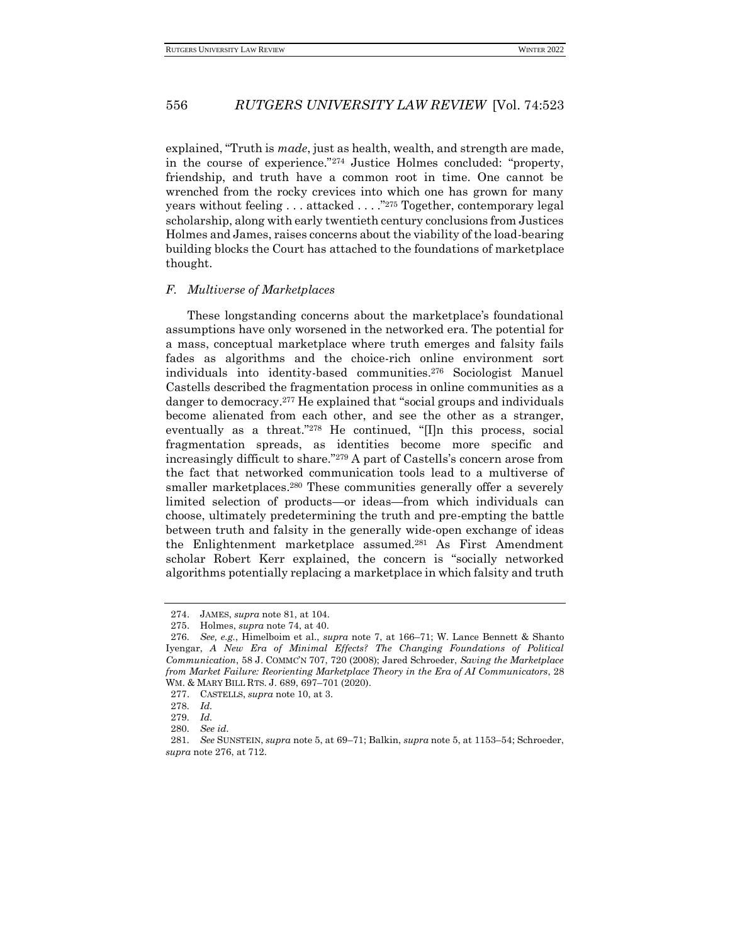explained, "Truth is *made*, just as health, wealth, and strength are made, in the course of experience."<sup>274</sup> Justice Holmes concluded: "property, friendship, and truth have a common root in time. One cannot be wrenched from the rocky crevices into which one has grown for many years without feeling . . . attacked . . . ."<sup>275</sup> Together, contemporary legal scholarship, along with early twentieth century conclusions from Justices Holmes and James, raises concerns about the viability of the load-bearing building blocks the Court has attached to the foundations of marketplace thought.

#### *F. Multiverse of Marketplaces*

These longstanding concerns about the marketplace's foundational assumptions have only worsened in the networked era. The potential for a mass, conceptual marketplace where truth emerges and falsity fails fades as algorithms and the choice-rich online environment sort individuals into identity-based communities.<sup>276</sup> Sociologist Manuel Castells described the fragmentation process in online communities as a danger to democracy.<sup>277</sup> He explained that "social groups and individuals become alienated from each other, and see the other as a stranger, eventually as a threat."<sup>278</sup> He continued, "[I]n this process, social fragmentation spreads, as identities become more specific and increasingly difficult to share."<sup>279</sup> A part of Castells's concern arose from the fact that networked communication tools lead to a multiverse of smaller marketplaces.<sup>280</sup> These communities generally offer a severely limited selection of products—or ideas—from which individuals can choose, ultimately predetermining the truth and pre-empting the battle between truth and falsity in the generally wide-open exchange of ideas the Enlightenment marketplace assumed.<sup>281</sup> As First Amendment scholar Robert Kerr explained, the concern is "socially networked algorithms potentially replacing a marketplace in which falsity and truth

<sup>274.</sup> JAMES, *supra* note 81, at 104.

<sup>275.</sup> Holmes, *supra* note 74, at 40.

<sup>276</sup>*. See, e.g.*, Himelboim et al., *supra* note 7, at 166–71; W. Lance Bennett & Shanto Iyengar, *A New Era of Minimal Effects? The Changing Foundations of Political Communication*, 58 J. COMMC'N 707, 720 (2008); Jared Schroeder, *Saving the Marketplace from Market Failure: Reorienting Marketplace Theory in the Era of AI Communicators*, 28 WM. & MARY BILL RTS. J. 689, 697–701 (2020).

<sup>277.</sup> CASTELLS, *supra* note 10, at 3.

<sup>278</sup>*. Id.*

<sup>279</sup>*. Id.*

<sup>280</sup>*. See id.*

<sup>281</sup>*. See* SUNSTEIN, *supra* note 5, at 69–71; Balkin, *supra* note 5, at 1153–54; Schroeder, *supra* note 276, at 712.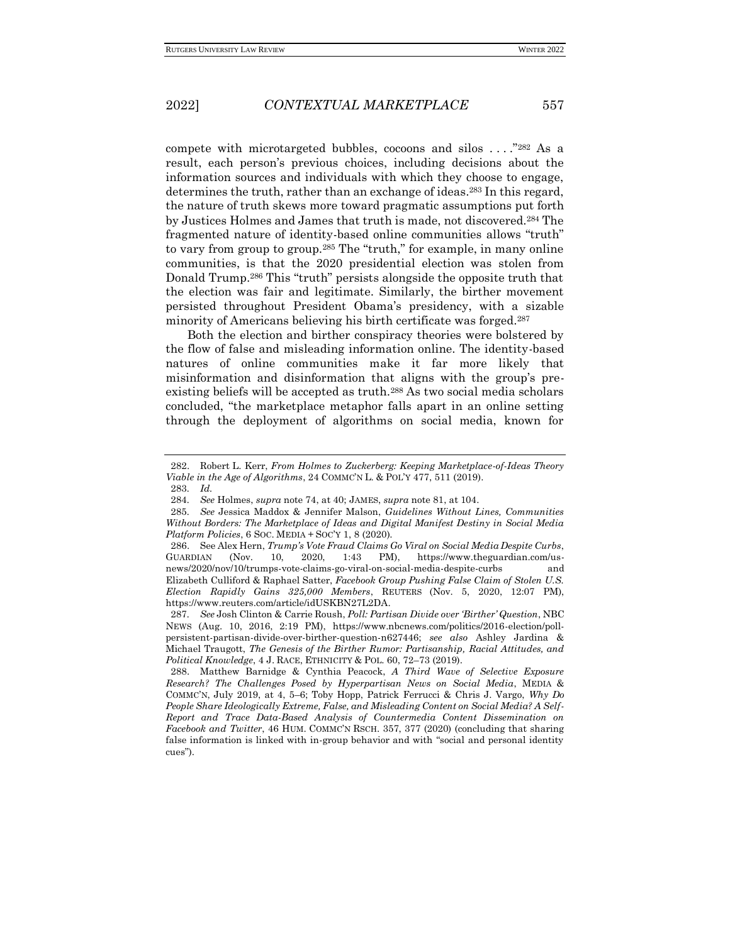compete with microtargeted bubbles, cocoons and silos . . . ."<sup>282</sup> As a result, each person's previous choices, including decisions about the information sources and individuals with which they choose to engage, determines the truth, rather than an exchange of ideas.<sup>283</sup> In this regard, the nature of truth skews more toward pragmatic assumptions put forth by Justices Holmes and James that truth is made, not discovered.<sup>284</sup> The fragmented nature of identity-based online communities allows "truth" to vary from group to group.<sup>285</sup> The "truth," for example, in many online communities, is that the 2020 presidential election was stolen from Donald Trump.<sup>286</sup> This "truth" persists alongside the opposite truth that the election was fair and legitimate. Similarly, the birther movement persisted throughout President Obama's presidency, with a sizable minority of Americans believing his birth certificate was forged.<sup>287</sup>

Both the election and birther conspiracy theories were bolstered by the flow of false and misleading information online. The identity-based natures of online communities make it far more likely that misinformation and disinformation that aligns with the group's preexisting beliefs will be accepted as truth.<sup>288</sup> As two social media scholars concluded, "the marketplace metaphor falls apart in an online setting through the deployment of algorithms on social media, known for

<sup>282.</sup> Robert L. Kerr, *From Holmes to Zuckerberg: Keeping Marketplace-of-Ideas Theory Viable in the Age of Algorithms*, 24 COMMC'N L. & POL'Y 477, 511 (2019).

<sup>283</sup>*. Id.*

<sup>284</sup>*. See* Holmes, *supra* note 74, at 40; JAMES, *supra* note 81, at 104.

<sup>285</sup>*. See* Jessica Maddox & Jennifer Malson, *Guidelines Without Lines, Communities Without Borders: The Marketplace of Ideas and Digital Manifest Destiny in Social Media Platform Policies*, 6 SOC. MEDIA + SOC'Y 1, 8 (2020).

<sup>286.</sup> See Alex Hern, *Trump's Vote Fraud Claims Go Viral on Social Media Despite Curbs*, GUARDIAN (Nov. 10, 2020, 1:43 PM), https://www.theguardian.com/usnews/2020/nov/10/trumps-vote-claims-go-viral-on-social-media-despite-curbs and Elizabeth Culliford & Raphael Satter, *Facebook Group Pushing False Claim of Stolen U.S. Election Rapidly Gains 325,000 Members*, REUTERS (Nov. 5, 2020, 12:07 PM), https://www.reuters.com/article/idUSKBN27L2DA.

<sup>287</sup>*. See* Josh Clinton & Carrie Roush, *Poll: Partisan Divide over 'Birther' Question*, NBC NEWS (Aug. 10, 2016, 2:19 PM), https://www.nbcnews.com/politics/2016-election/pollpersistent-partisan-divide-over-birther-question-n627446; *see also* Ashley Jardina & Michael Traugott, *The Genesis of the Birther Rumor: Partisanship, Racial Attitudes, and Political Knowledge*, 4 J. RACE, ETHNICITY & POL. 60, 72–73 (2019).

<sup>288.</sup> Matthew Barnidge & Cynthia Peacock, *A Third Wave of Selective Exposure Research? The Challenges Posed by Hyperpartisan News on Social Media*, MEDIA & COMMC'N, July 2019, at 4, 5–6; Toby Hopp, Patrick Ferrucci & Chris J. Vargo, *Why Do People Share Ideologically Extreme, False, and Misleading Content on Social Media? A Self-Report and Trace Data-Based Analysis of Countermedia Content Dissemination on Facebook and Twitter*, 46 HUM. COMMC'N RSCH. 357, 377 (2020) (concluding that sharing false information is linked with in-group behavior and with "social and personal identity cues").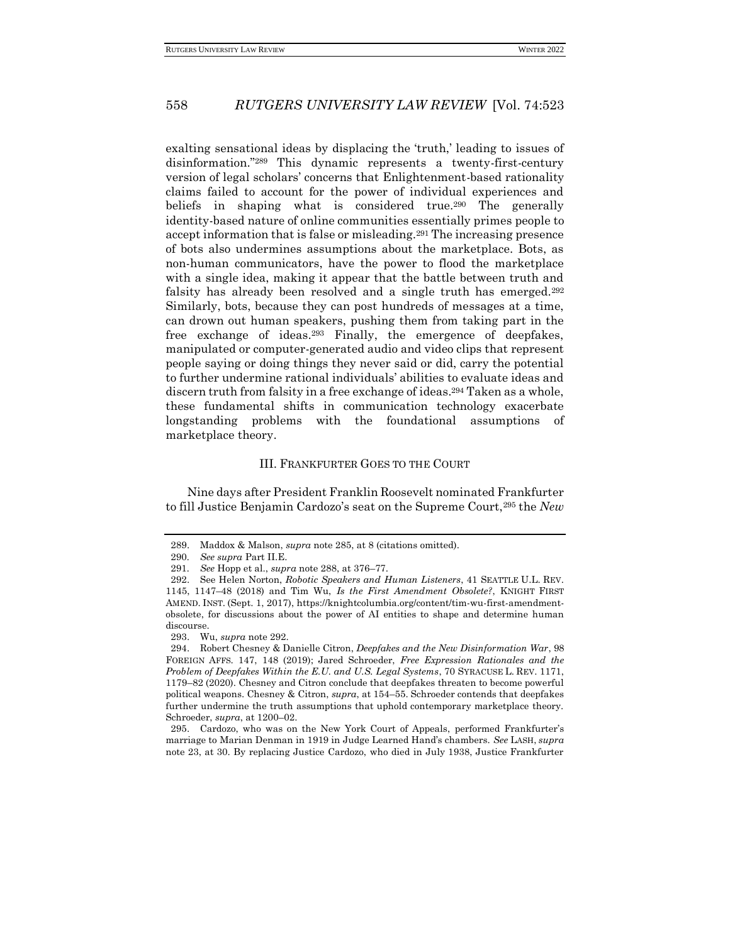exalting sensational ideas by displacing the 'truth,' leading to issues of disinformation."<sup>289</sup> This dynamic represents a twenty-first-century version of legal scholars' concerns that Enlightenment-based rationality claims failed to account for the power of individual experiences and beliefs in shaping what is considered true.<sup>290</sup> The generally identity-based nature of online communities essentially primes people to accept information that is false or misleading.<sup>291</sup> The increasing presence of bots also undermines assumptions about the marketplace. Bots, as non-human communicators, have the power to flood the marketplace with a single idea, making it appear that the battle between truth and falsity has already been resolved and a single truth has emerged.<sup>292</sup> Similarly, bots, because they can post hundreds of messages at a time, can drown out human speakers, pushing them from taking part in the free exchange of ideas.<sup>293</sup> Finally, the emergence of deepfakes, manipulated or computer-generated audio and video clips that represent people saying or doing things they never said or did, carry the potential to further undermine rational individuals' abilities to evaluate ideas and discern truth from falsity in a free exchange of ideas.<sup>294</sup> Taken as a whole, these fundamental shifts in communication technology exacerbate longstanding problems with the foundational assumptions of marketplace theory.

#### III. FRANKFURTER GOES TO THE COURT

Nine days after President Franklin Roosevelt nominated Frankfurter to fill Justice Benjamin Cardozo's seat on the Supreme Court,<sup>295</sup> the *New* 

<sup>289.</sup> Maddox & Malson, *supra* note 285, at 8 (citations omitted).

<sup>290</sup>*. See supra* Part II.E.

<sup>291</sup>*. See* Hopp et al., *supra* note 288, at 376–77.

<sup>292.</sup> See Helen Norton, *Robotic Speakers and Human Listeners*, 41 SEATTLE U.L. REV. 1145, 1147–48 (2018) and Tim Wu, *Is the First Amendment Obsolete?*, KNIGHT FIRST AMEND. INST. (Sept. 1, 2017), https://knightcolumbia.org/content/tim-wu-first-amendmentobsolete, for discussions about the power of AI entities to shape and determine human discourse.

<sup>293.</sup> Wu, *supra* note 292.

<sup>294.</sup> Robert Chesney & Danielle Citron, *Deepfakes and the New Disinformation War*, 98 FOREIGN AFFS. 147, 148 (2019); Jared Schroeder, *Free Expression Rationales and the Problem of Deepfakes Within the E.U. and U.S. Legal Systems*, 70 SYRACUSE L. REV. 1171, 1179–82 (2020). Chesney and Citron conclude that deepfakes threaten to become powerful political weapons. Chesney & Citron, *supra*, at 154–55. Schroeder contends that deepfakes further undermine the truth assumptions that uphold contemporary marketplace theory. Schroeder, *supra*, at 1200–02.

<sup>295.</sup> Cardozo, who was on the New York Court of Appeals, performed Frankfurter's marriage to Marian Denman in 1919 in Judge Learned Hand's chambers. *See* LASH, *supra*  note 23, at 30. By replacing Justice Cardozo, who died in July 1938, Justice Frankfurter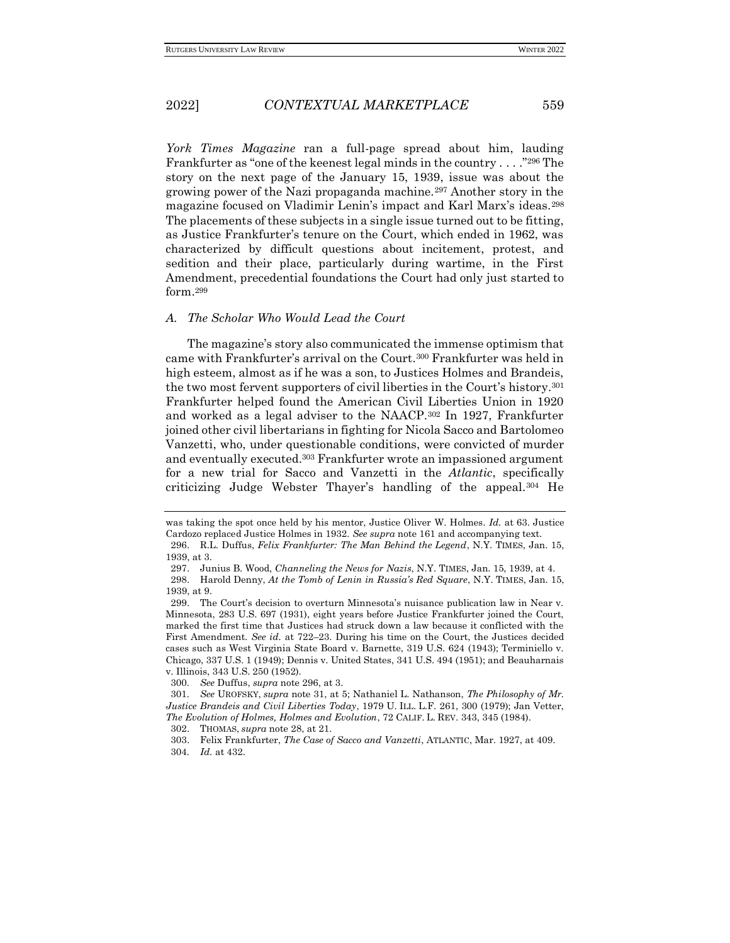*York Times Magazine* ran a full-page spread about him, lauding Frankfurter as "one of the keenest legal minds in the country . . . ."<sup>296</sup> The story on the next page of the January 15, 1939, issue was about the growing power of the Nazi propaganda machine.<sup>297</sup> Another story in the magazine focused on Vladimir Lenin's impact and Karl Marx's ideas.<sup>298</sup> The placements of these subjects in a single issue turned out to be fitting, as Justice Frankfurter's tenure on the Court, which ended in 1962, was characterized by difficult questions about incitement, protest, and sedition and their place, particularly during wartime, in the First Amendment, precedential foundations the Court had only just started to form.<sup>299</sup>

#### *A. The Scholar Who Would Lead the Court*

The magazine's story also communicated the immense optimism that came with Frankfurter's arrival on the Court.<sup>300</sup> Frankfurter was held in high esteem, almost as if he was a son, to Justices Holmes and Brandeis, the two most fervent supporters of civil liberties in the Court's history.<sup>301</sup> Frankfurter helped found the American Civil Liberties Union in 1920 and worked as a legal adviser to the NAACP.<sup>302</sup> In 1927, Frankfurter joined other civil libertarians in fighting for Nicola Sacco and Bartolomeo Vanzetti, who, under questionable conditions, were convicted of murder and eventually executed.<sup>303</sup> Frankfurter wrote an impassioned argument for a new trial for Sacco and Vanzetti in the *Atlantic*, specifically criticizing Judge Webster Thayer's handling of the appeal.<sup>304</sup> He

was taking the spot once held by his mentor, Justice Oliver W. Holmes. *Id.* at 63. Justice Cardozo replaced Justice Holmes in 1932. *See supra* note 161 and accompanying text.

<sup>296.</sup> R.L. Duffus, *Felix Frankfurter: The Man Behind the Legend*, N.Y. TIMES, Jan. 15, 1939, at 3.

<sup>297.</sup> Junius B. Wood, *Channeling the News for Nazis*, N.Y. TIMES, Jan. 15, 1939, at 4.

<sup>298.</sup> Harold Denny, *At the Tomb of Lenin in Russia's Red Square*, N.Y. TIMES, Jan. 15, 1939, at 9.

<sup>299.</sup> The Court's decision to overturn Minnesota's nuisance publication law in Near v. Minnesota, 283 U.S. 697 (1931), eight years before Justice Frankfurter joined the Court, marked the first time that Justices had struck down a law because it conflicted with the First Amendment. *See id.* at 722–23. During his time on the Court, the Justices decided cases such as West Virginia State Board v. Barnette, 319 U.S. 624 (1943); Terminiello v. Chicago, 337 U.S. 1 (1949); Dennis v. United States, 341 U.S. 494 (1951); and Beauharnais v. Illinois, 343 U.S. 250 (1952).

<sup>300</sup>*. See* Duffus, *supra* note 296, at 3.

<sup>301</sup>*. See* UROFSKY, *supra* note 31, at 5; Nathaniel L. Nathanson, *The Philosophy of Mr. Justice Brandeis and Civil Liberties Today*, 1979 U. ILL. L.F. 261, 300 (1979); Jan Vetter, *The Evolution of Holmes, Holmes and Evolution*, 72 CALIF. L. REV. 343, 345 (1984).

<sup>302.</sup> THOMAS, *supra* note 28, at 21.

<sup>303.</sup> Felix Frankfurter, *The Case of Sacco and Vanzetti*, ATLANTIC, Mar. 1927, at 409. 304*. Id.* at 432.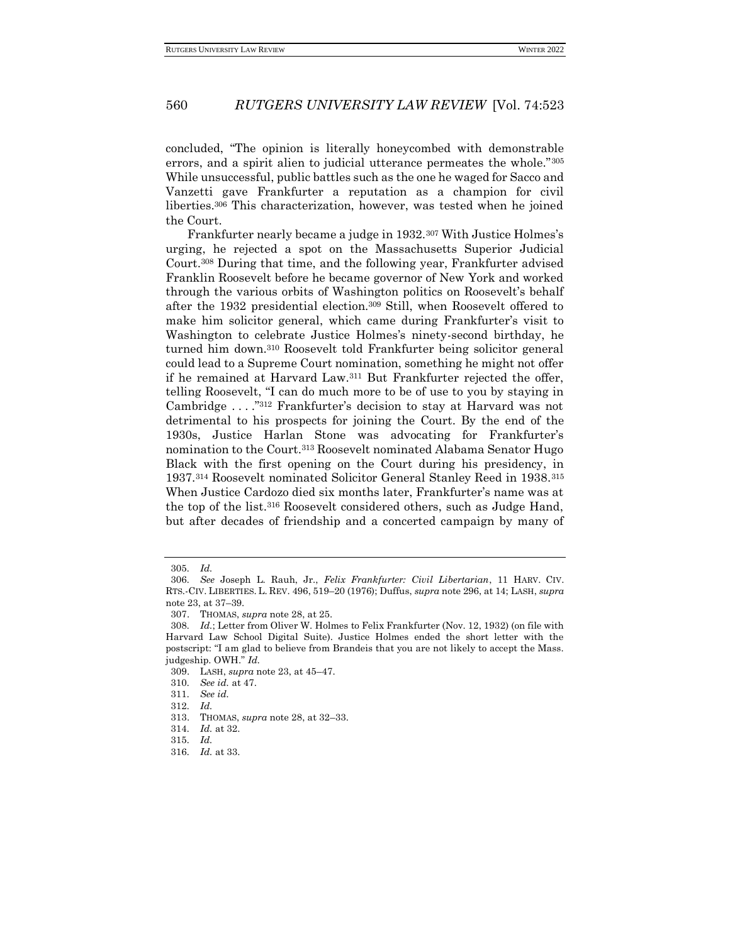concluded, "The opinion is literally honeycombed with demonstrable errors, and a spirit alien to judicial utterance permeates the whole."<sup>305</sup> While unsuccessful, public battles such as the one he waged for Sacco and Vanzetti gave Frankfurter a reputation as a champion for civil liberties.<sup>306</sup> This characterization, however, was tested when he joined the Court.

Frankfurter nearly became a judge in 1932.<sup>307</sup> With Justice Holmes's urging, he rejected a spot on the Massachusetts Superior Judicial Court.<sup>308</sup> During that time, and the following year, Frankfurter advised Franklin Roosevelt before he became governor of New York and worked through the various orbits of Washington politics on Roosevelt's behalf after the 1932 presidential election.<sup>309</sup> Still, when Roosevelt offered to make him solicitor general, which came during Frankfurter's visit to Washington to celebrate Justice Holmes's ninety-second birthday, he turned him down.<sup>310</sup> Roosevelt told Frankfurter being solicitor general could lead to a Supreme Court nomination, something he might not offer if he remained at Harvard Law.<sup>311</sup> But Frankfurter rejected the offer, telling Roosevelt, "I can do much more to be of use to you by staying in Cambridge . . . ."<sup>312</sup> Frankfurter's decision to stay at Harvard was not detrimental to his prospects for joining the Court. By the end of the 1930s, Justice Harlan Stone was advocating for Frankfurter's nomination to the Court.<sup>313</sup> Roosevelt nominated Alabama Senator Hugo Black with the first opening on the Court during his presidency, in 1937.<sup>314</sup> Roosevelt nominated Solicitor General Stanley Reed in 1938.<sup>315</sup> When Justice Cardozo died six months later, Frankfurter's name was at the top of the list.<sup>316</sup> Roosevelt considered others, such as Judge Hand, but after decades of friendship and a concerted campaign by many of

<sup>305</sup>*. Id.*

<sup>306</sup>*. See* Joseph L. Rauh, Jr., *Felix Frankfurter: Civil Libertarian*, 11 HARV. CIV. RTS.-CIV. LIBERTIES. L. REV. 496, 519–20 (1976); Duffus, *supra* note 296, at 14; LASH, *supra*  note 23, at 37–39.

<sup>307.</sup> THOMAS, *supra* note 28, at 25.

<sup>308</sup>*. Id.*; Letter from Oliver W. Holmes to Felix Frankfurter (Nov. 12, 1932) (on file with Harvard Law School Digital Suite). Justice Holmes ended the short letter with the postscript: "I am glad to believe from Brandeis that you are not likely to accept the Mass. judgeship. OWH." *Id.*

<sup>309.</sup> LASH, *supra* note 23, at 45–47.

<sup>310</sup>*. See id.* at 47.

<sup>311</sup>*. See id.*

<sup>312</sup>*. Id.*

<sup>313.</sup> THOMAS, *supra* note 28, at 32–33.

<sup>314</sup>*. Id.* at 32.

<sup>315</sup>*. Id.*

<sup>316</sup>*. Id.* at 33.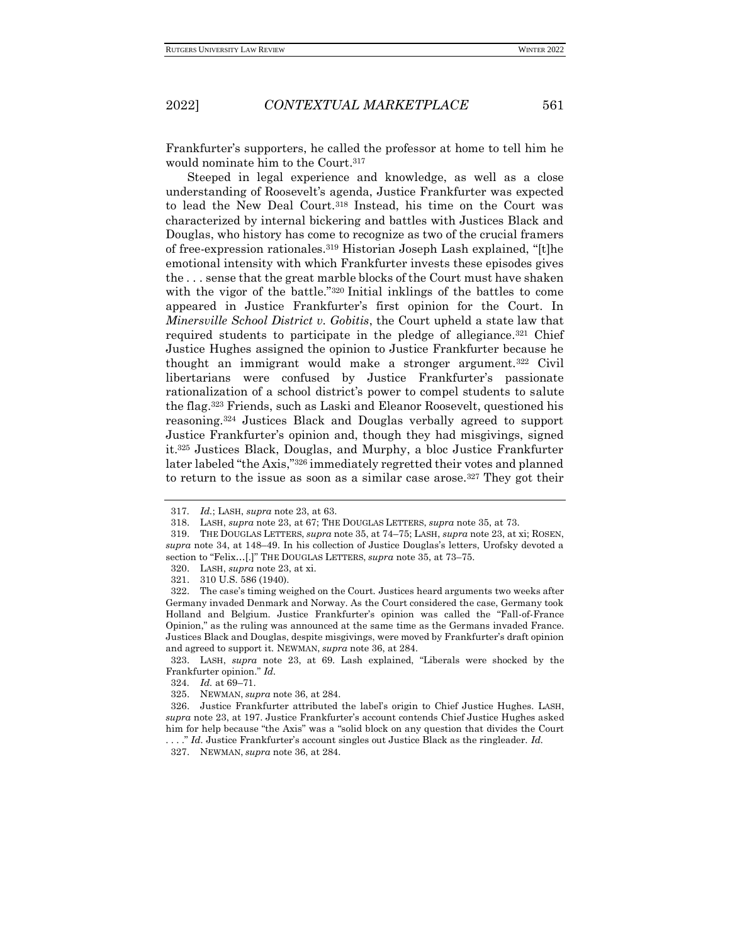Frankfurter's supporters, he called the professor at home to tell him he would nominate him to the Court.<sup>317</sup>

Steeped in legal experience and knowledge, as well as a close understanding of Roosevelt's agenda, Justice Frankfurter was expected to lead the New Deal Court.<sup>318</sup> Instead, his time on the Court was characterized by internal bickering and battles with Justices Black and Douglas, who history has come to recognize as two of the crucial framers of free-expression rationales.<sup>319</sup> Historian Joseph Lash explained, "[t]he emotional intensity with which Frankfurter invests these episodes gives the . . . sense that the great marble blocks of the Court must have shaken with the vigor of the battle."<sup>320</sup> Initial inklings of the battles to come appeared in Justice Frankfurter's first opinion for the Court. In *Minersville School District v. Gobitis*, the Court upheld a state law that required students to participate in the pledge of allegiance*.* <sup>321</sup> Chief Justice Hughes assigned the opinion to Justice Frankfurter because he thought an immigrant would make a stronger argument.<sup>322</sup> Civil libertarians were confused by Justice Frankfurter's passionate rationalization of a school district's power to compel students to salute the flag.<sup>323</sup> Friends, such as Laski and Eleanor Roosevelt, questioned his reasoning.<sup>324</sup> Justices Black and Douglas verbally agreed to support Justice Frankfurter's opinion and, though they had misgivings, signed it.<sup>325</sup> Justices Black, Douglas, and Murphy, a bloc Justice Frankfurter later labeled "the Axis,"<sup>326</sup> immediately regretted their votes and planned to return to the issue as soon as a similar case arose.<sup>327</sup> They got their

323. LASH, *supra* note 23, at 69. Lash explained, "Liberals were shocked by the Frankfurter opinion." *Id.*

<sup>317</sup>*. Id.*; LASH, *supra* note 23, at 63.

<sup>318.</sup> LASH, *supra* note 23, at 67; THE DOUGLAS LETTERS, *supra* note 35, at 73.

<sup>319.</sup> THE DOUGLAS LETTERS, *supra* note 35, at 74–75; LASH, *supra* note 23, at xi; ROSEN, *supra* note 34, at 148–49. In his collection of Justice Douglas's letters, Urofsky devoted a section to "Felix…[.]" THE DOUGLAS LETTERS, *supra* note 35, at 73–75.

<sup>320.</sup> LASH, *supra* note 23, at xi.

<sup>321.</sup> 310 U.S. 586 (1940).

<sup>322.</sup> The case's timing weighed on the Court. Justices heard arguments two weeks after Germany invaded Denmark and Norway. As the Court considered the case, Germany took Holland and Belgium. Justice Frankfurter's opinion was called the "Fall-of-France Opinion," as the ruling was announced at the same time as the Germans invaded France. Justices Black and Douglas, despite misgivings, were moved by Frankfurter's draft opinion and agreed to support it. NEWMAN, *supra* note 36, at 284.

<sup>324</sup>*. Id.* at 69–71.

<sup>325.</sup> NEWMAN, *supra* note 36, at 284.

<sup>326.</sup> Justice Frankfurter attributed the label's origin to Chief Justice Hughes. LASH, *supra* note 23, at 197. Justice Frankfurter's account contends Chief Justice Hughes asked him for help because "the Axis" was a "solid block on any question that divides the Court . . . ." *Id.* Justice Frankfurter's account singles out Justice Black as the ringleader. *Id.*

<sup>327.</sup> NEWMAN, *supra* note 36, at 284.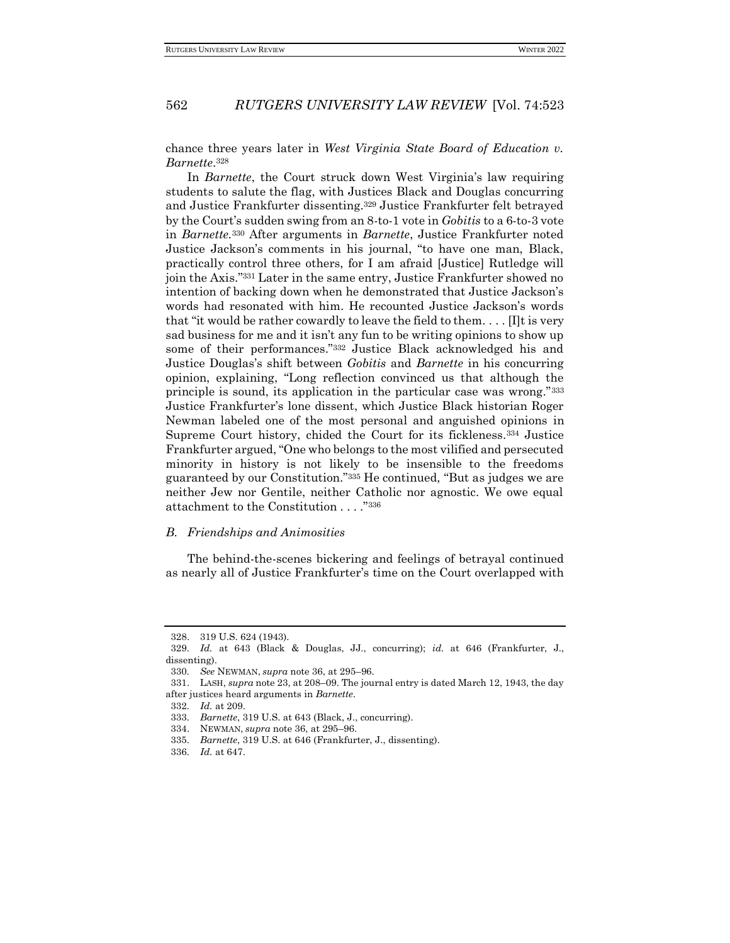chance three years later in *West Virginia State Board of Education v. Barnette*. 328

In *Barnette*, the Court struck down West Virginia's law requiring students to salute the flag, with Justices Black and Douglas concurring and Justice Frankfurter dissenting.<sup>329</sup> Justice Frankfurter felt betrayed by the Court's sudden swing from an 8-to-1 vote in *Gobitis* to a 6-to-3 vote in *Barnette.*<sup>330</sup> After arguments in *Barnette*, Justice Frankfurter noted Justice Jackson's comments in his journal, "to have one man, Black, practically control three others, for I am afraid [Justice] Rutledge will join the Axis."<sup>331</sup> Later in the same entry, Justice Frankfurter showed no intention of backing down when he demonstrated that Justice Jackson's words had resonated with him. He recounted Justice Jackson's words that "it would be rather cowardly to leave the field to them. . . . [I]t is very sad business for me and it isn't any fun to be writing opinions to show up some of their performances."<sup>332</sup> Justice Black acknowledged his and Justice Douglas's shift between *Gobitis* and *Barnette* in his concurring opinion, explaining, "Long reflection convinced us that although the principle is sound, its application in the particular case was wrong."<sup>333</sup> Justice Frankfurter's lone dissent, which Justice Black historian Roger Newman labeled one of the most personal and anguished opinions in Supreme Court history, chided the Court for its fickleness.<sup>334</sup> Justice Frankfurter argued, "One who belongs to the most vilified and persecuted minority in history is not likely to be insensible to the freedoms guaranteed by our Constitution."<sup>335</sup> He continued, "But as judges we are neither Jew nor Gentile, neither Catholic nor agnostic. We owe equal attachment to the Constitution . . . ."<sup>336</sup>

#### *B. Friendships and Animosities*

The behind-the-scenes bickering and feelings of betrayal continued as nearly all of Justice Frankfurter's time on the Court overlapped with

<sup>328.</sup> 319 U.S. 624 (1943).

<sup>329</sup>*. Id.* at 643 (Black & Douglas, JJ., concurring); *id.* at 646 (Frankfurter, J., dissenting).

<sup>330</sup>*. See* NEWMAN, *supra* note 36, at 295–96.

<sup>331.</sup> LASH, *supra* note 23, at 208–09. The journal entry is dated March 12, 1943, the day after justices heard arguments in *Barnette*.

<sup>332</sup>*. Id.* at 209.

<sup>333</sup>*. Barnette*, 319 U.S. at 643 (Black, J., concurring).

<sup>334.</sup> NEWMAN, *supra* note 36, at 295–96.

<sup>335</sup>*. Barnette*, 319 U.S. at 646 (Frankfurter, J., dissenting).

<sup>336</sup>*. Id.* at 647.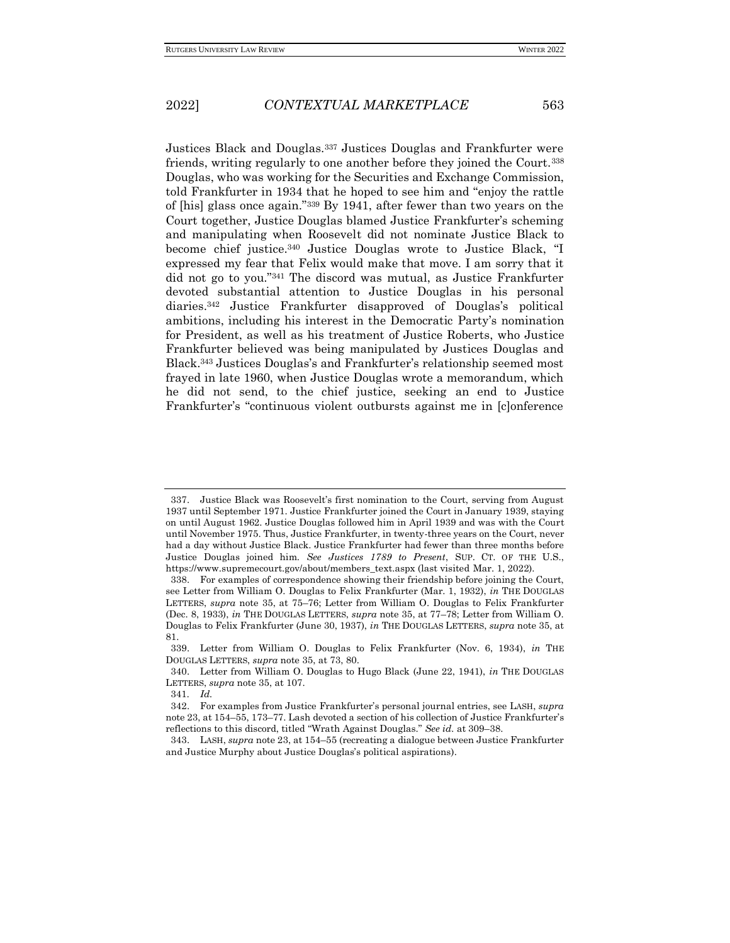Justices Black and Douglas.<sup>337</sup> Justices Douglas and Frankfurter were friends, writing regularly to one another before they joined the Court.<sup>338</sup> Douglas, who was working for the Securities and Exchange Commission, told Frankfurter in 1934 that he hoped to see him and "enjoy the rattle of [his] glass once again."<sup>339</sup> By 1941, after fewer than two years on the Court together, Justice Douglas blamed Justice Frankfurter's scheming and manipulating when Roosevelt did not nominate Justice Black to become chief justice.<sup>340</sup> Justice Douglas wrote to Justice Black, "I expressed my fear that Felix would make that move. I am sorry that it did not go to you."<sup>341</sup> The discord was mutual, as Justice Frankfurter devoted substantial attention to Justice Douglas in his personal diaries.<sup>342</sup> Justice Frankfurter disapproved of Douglas's political ambitions, including his interest in the Democratic Party's nomination for President, as well as his treatment of Justice Roberts, who Justice Frankfurter believed was being manipulated by Justices Douglas and Black.<sup>343</sup> Justices Douglas's and Frankfurter's relationship seemed most frayed in late 1960, when Justice Douglas wrote a memorandum, which he did not send, to the chief justice, seeking an end to Justice Frankfurter's "continuous violent outbursts against me in [c]onference

<sup>337.</sup> Justice Black was Roosevelt's first nomination to the Court, serving from August 1937 until September 1971. Justice Frankfurter joined the Court in January 1939, staying on until August 1962. Justice Douglas followed him in April 1939 and was with the Court until November 1975. Thus, Justice Frankfurter, in twenty-three years on the Court, never had a day without Justice Black. Justice Frankfurter had fewer than three months before Justice Douglas joined him. *See Justices 1789 to Present*, SUP. CT. OF THE U.S., https://www.supremecourt.gov/about/members\_text.aspx (last visited Mar. 1, 2022).

<sup>338.</sup> For examples of correspondence showing their friendship before joining the Court, see Letter from William O. Douglas to Felix Frankfurter (Mar. 1, 1932), *in* THE DOUGLAS LETTERS, *supra* note 35, at 75–76; Letter from William O. Douglas to Felix Frankfurter (Dec. 8, 1933), *in* THE DOUGLAS LETTERS, *supra* note 35, at 77–78; Letter from William O. Douglas to Felix Frankfurter (June 30, 1937), *in* THE DOUGLAS LETTERS, *supra* note 35, at 81.

<sup>339.</sup> Letter from William O. Douglas to Felix Frankfurter (Nov. 6, 1934), *in* THE DOUGLAS LETTERS, *supra* note 35, at 73, 80.

<sup>340.</sup> Letter from William O. Douglas to Hugo Black (June 22, 1941), *in* THE DOUGLAS LETTERS, *supra* note 35, at 107.

<sup>341</sup>*. Id.*

<sup>342.</sup> For examples from Justice Frankfurter's personal journal entries, see LASH, *supra*  note 23, at 154–55, 173–77. Lash devoted a section of his collection of Justice Frankfurter's reflections to this discord, titled "Wrath Against Douglas." *See id.* at 309–38.

<sup>343.</sup> LASH, *supra* note 23, at 154–55 (recreating a dialogue between Justice Frankfurter and Justice Murphy about Justice Douglas's political aspirations).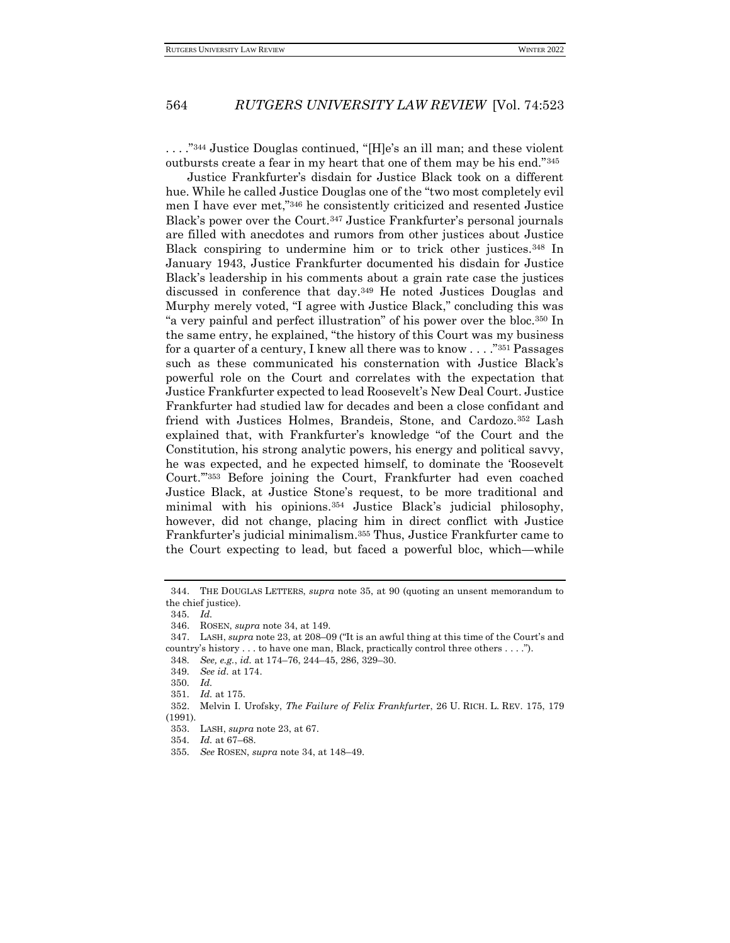. . . ."<sup>344</sup> Justice Douglas continued, "[H]e's an ill man; and these violent outbursts create a fear in my heart that one of them may be his end."<sup>345</sup>

Justice Frankfurter's disdain for Justice Black took on a different hue. While he called Justice Douglas one of the "two most completely evil men I have ever met,"<sup>346</sup> he consistently criticized and resented Justice Black's power over the Court.<sup>347</sup> Justice Frankfurter's personal journals are filled with anecdotes and rumors from other justices about Justice Black conspiring to undermine him or to trick other justices.<sup>348</sup> In January 1943, Justice Frankfurter documented his disdain for Justice Black's leadership in his comments about a grain rate case the justices discussed in conference that day.<sup>349</sup> He noted Justices Douglas and Murphy merely voted, "I agree with Justice Black," concluding this was "a very painful and perfect illustration" of his power over the bloc.<sup>350</sup> In the same entry, he explained, "the history of this Court was my business for a quarter of a century, I knew all there was to know . . . ."<sup>351</sup> Passages such as these communicated his consternation with Justice Black's powerful role on the Court and correlates with the expectation that Justice Frankfurter expected to lead Roosevelt's New Deal Court. Justice Frankfurter had studied law for decades and been a close confidant and friend with Justices Holmes, Brandeis, Stone, and Cardozo.<sup>352</sup> Lash explained that, with Frankfurter's knowledge "of the Court and the Constitution, his strong analytic powers, his energy and political savvy, he was expected, and he expected himself, to dominate the 'Roosevelt Court.'"<sup>353</sup> Before joining the Court, Frankfurter had even coached Justice Black, at Justice Stone's request, to be more traditional and minimal with his opinions.<sup>354</sup> Justice Black's judicial philosophy, however, did not change, placing him in direct conflict with Justice Frankfurter's judicial minimalism.<sup>355</sup> Thus, Justice Frankfurter came to the Court expecting to lead, but faced a powerful bloc, which—while

<sup>344.</sup> THE DOUGLAS LETTERS, *supra* note 35, at 90 (quoting an unsent memorandum to the chief justice).

<sup>345</sup>*. Id.*

<sup>346.</sup> ROSEN, *supra* note 34, at 149.

<sup>347.</sup> LASH, *supra* note 23, at 208–09 ("It is an awful thing at this time of the Court's and country's history . . . to have one man, Black, practically control three others . . . .").

<sup>348</sup>*. See, e.g.*, *id.* at 174–76, 244–45, 286, 329–30.

<sup>349</sup>*. See id.* at 174.

<sup>350</sup>*. Id.*

<sup>351</sup>*. Id.* at 175.

<sup>352.</sup> Melvin I. Urofsky, *The Failure of Felix Frankfurte*r, 26 U. RICH. L. REV. 175, 179 (1991).

<sup>353.</sup> LASH, *supra* note 23, at 67.

<sup>354</sup>*. Id.* at 67–68.

<sup>355</sup>*. See* ROSEN, *supra* note 34, at 148–49.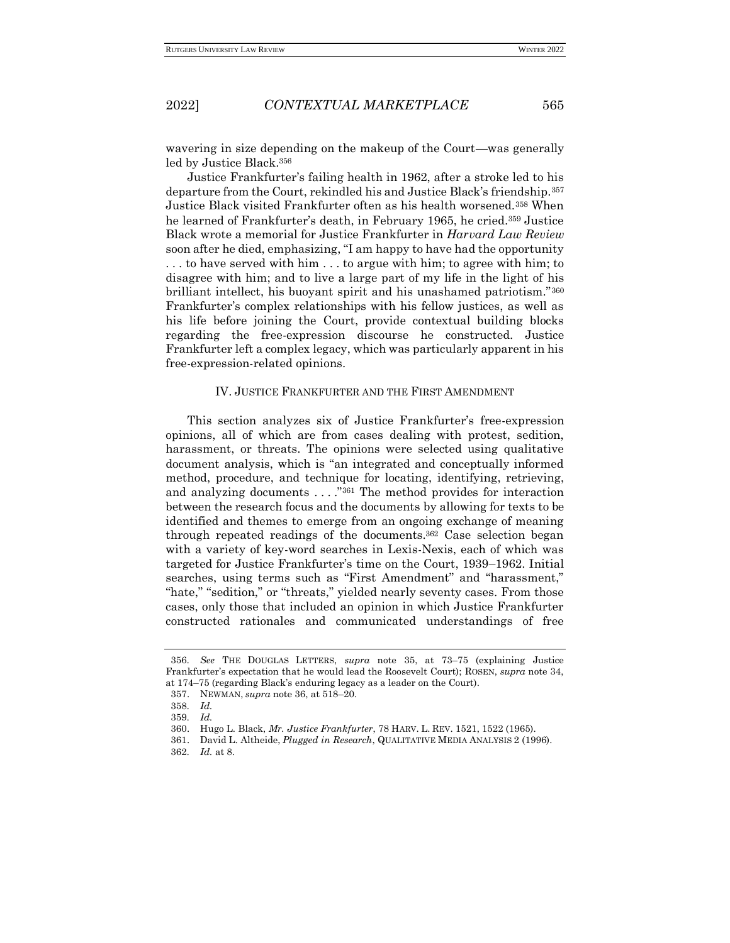wavering in size depending on the makeup of the Court—was generally led by Justice Black.<sup>356</sup>

Justice Frankfurter's failing health in 1962, after a stroke led to his departure from the Court, rekindled his and Justice Black's friendship.<sup>357</sup> Justice Black visited Frankfurter often as his health worsened.<sup>358</sup> When he learned of Frankfurter's death, in February 1965, he cried.<sup>359</sup> Justice Black wrote a memorial for Justice Frankfurter in *Harvard Law Review*  soon after he died, emphasizing, "I am happy to have had the opportunity . . . to have served with him . . . to argue with him; to agree with him; to disagree with him; and to live a large part of my life in the light of his brilliant intellect, his buoyant spirit and his unashamed patriotism."<sup>360</sup> Frankfurter's complex relationships with his fellow justices, as well as his life before joining the Court, provide contextual building blocks regarding the free-expression discourse he constructed. Justice Frankfurter left a complex legacy, which was particularly apparent in his free-expression-related opinions.

#### IV. JUSTICE FRANKFURTER AND THE FIRST AMENDMENT

This section analyzes six of Justice Frankfurter's free-expression opinions, all of which are from cases dealing with protest, sedition, harassment, or threats. The opinions were selected using qualitative document analysis, which is "an integrated and conceptually informed method, procedure, and technique for locating, identifying, retrieving, and analyzing documents . . . ."<sup>361</sup> The method provides for interaction between the research focus and the documents by allowing for texts to be identified and themes to emerge from an ongoing exchange of meaning through repeated readings of the documents.<sup>362</sup> Case selection began with a variety of key-word searches in Lexis-Nexis, each of which was targeted for Justice Frankfurter's time on the Court, 1939–1962. Initial searches, using terms such as "First Amendment" and "harassment," "hate," "sedition," or "threats," yielded nearly seventy cases. From those cases, only those that included an opinion in which Justice Frankfurter constructed rationales and communicated understandings of free

<sup>356</sup>*. See* THE DOUGLAS LETTERS, *supra* note 35, at 73–75 (explaining Justice Frankfurter's expectation that he would lead the Roosevelt Court); ROSEN, *supra* note 34, at 174–75 (regarding Black's enduring legacy as a leader on the Court).

<sup>357.</sup> NEWMAN, *supra* note 36, at 518–20.

<sup>358</sup>*. Id.*

<sup>359</sup>*. Id.*

<sup>360.</sup> Hugo L. Black, *Mr. Justice Frankfurter*, 78 HARV. L. REV. 1521, 1522 (1965).

<sup>361.</sup> David L. Altheide, *Plugged in Research*, QUALITATIVE MEDIA ANALYSIS 2 (1996).

<sup>362</sup>*. Id.* at 8.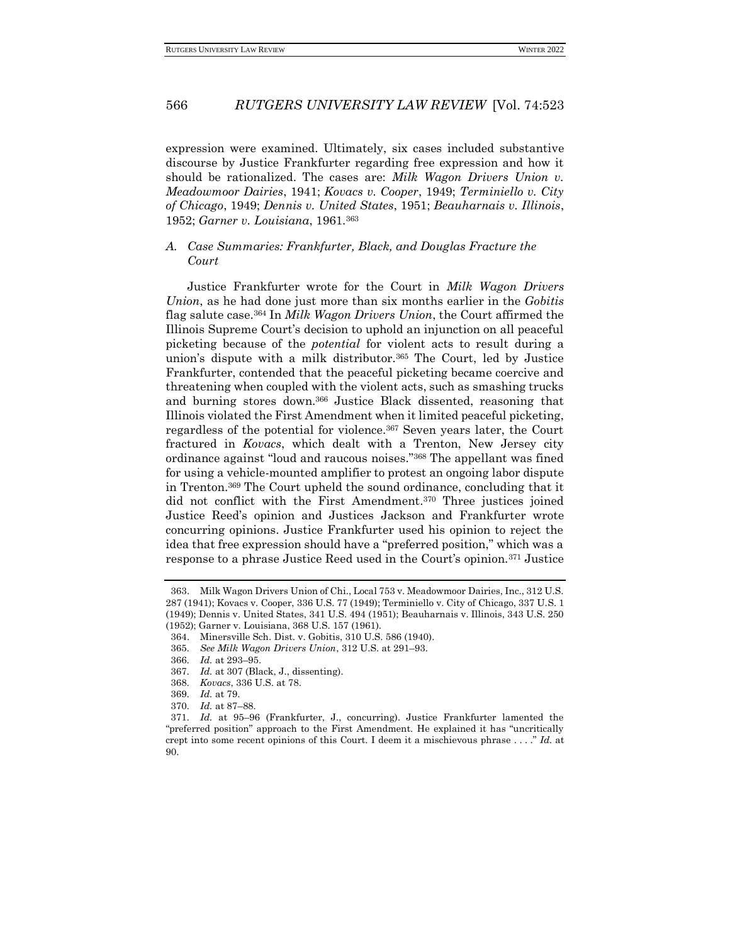expression were examined. Ultimately, six cases included substantive discourse by Justice Frankfurter regarding free expression and how it should be rationalized. The cases are: *Milk Wagon Drivers Union v. Meadowmoor Dairies*, 1941; *Kovacs v. Cooper*, 1949; *Terminiello v. City of Chicago*, 1949; *Dennis v. United States*, 1951; *Beauharnais v. Illinois*, 1952; *Garner v. Louisiana*, 1961.<sup>363</sup>

### *A. Case Summaries: Frankfurter, Black, and Douglas Fracture the Court*

Justice Frankfurter wrote for the Court in *Milk Wagon Drivers Union*, as he had done just more than six months earlier in the *Gobitis*  flag salute case.<sup>364</sup> In *Milk Wagon Drivers Union*, the Court affirmed the Illinois Supreme Court's decision to uphold an injunction on all peaceful picketing because of the *potential* for violent acts to result during a union's dispute with a milk distributor.<sup>365</sup> The Court, led by Justice Frankfurter, contended that the peaceful picketing became coercive and threatening when coupled with the violent acts, such as smashing trucks and burning stores down.<sup>366</sup> Justice Black dissented, reasoning that Illinois violated the First Amendment when it limited peaceful picketing, regardless of the potential for violence.<sup>367</sup> Seven years later, the Court fractured in *Kovacs*, which dealt with a Trenton, New Jersey city ordinance against "loud and raucous noises."<sup>368</sup> The appellant was fined for using a vehicle-mounted amplifier to protest an ongoing labor dispute in Trenton.<sup>369</sup> The Court upheld the sound ordinance, concluding that it did not conflict with the First Amendment.<sup>370</sup> Three justices joined Justice Reed's opinion and Justices Jackson and Frankfurter wrote concurring opinions. Justice Frankfurter used his opinion to reject the idea that free expression should have a "preferred position," which was a response to a phrase Justice Reed used in the Court's opinion.<sup>371</sup> Justice

<sup>363.</sup> Milk Wagon Drivers Union of Chi., Local 753 v. Meadowmoor Dairies, Inc., 312 U.S. 287 (1941); Kovacs v. Cooper, 336 U.S. 77 (1949); Terminiello v. City of Chicago, 337 U.S. 1 (1949); Dennis v. United States, 341 U.S. 494 (1951); Beauharnais v. Illinois, 343 U.S. 250 (1952); Garner v. Louisiana, 368 U.S. 157 (1961).

<sup>364.</sup> Minersville Sch. Dist. v. Gobitis, 310 U.S. 586 (1940).

<sup>365</sup>*. See Milk Wagon Drivers Union*, 312 U.S. at 291–93.

<sup>366</sup>*. Id.* at 293–95.

<sup>367</sup>*. Id.* at 307 (Black, J., dissenting).

<sup>368</sup>*. Kovacs*, 336 U.S. at 78.

<sup>369</sup>*. Id.* at 79.

<sup>370</sup>*. Id.* at 87–88.

<sup>371</sup>*. Id.* at 95–96 (Frankfurter, J., concurring). Justice Frankfurter lamented the "preferred position" approach to the First Amendment. He explained it has "uncritically crept into some recent opinions of this Court. I deem it a mischievous phrase . . . ." *Id.* at 90.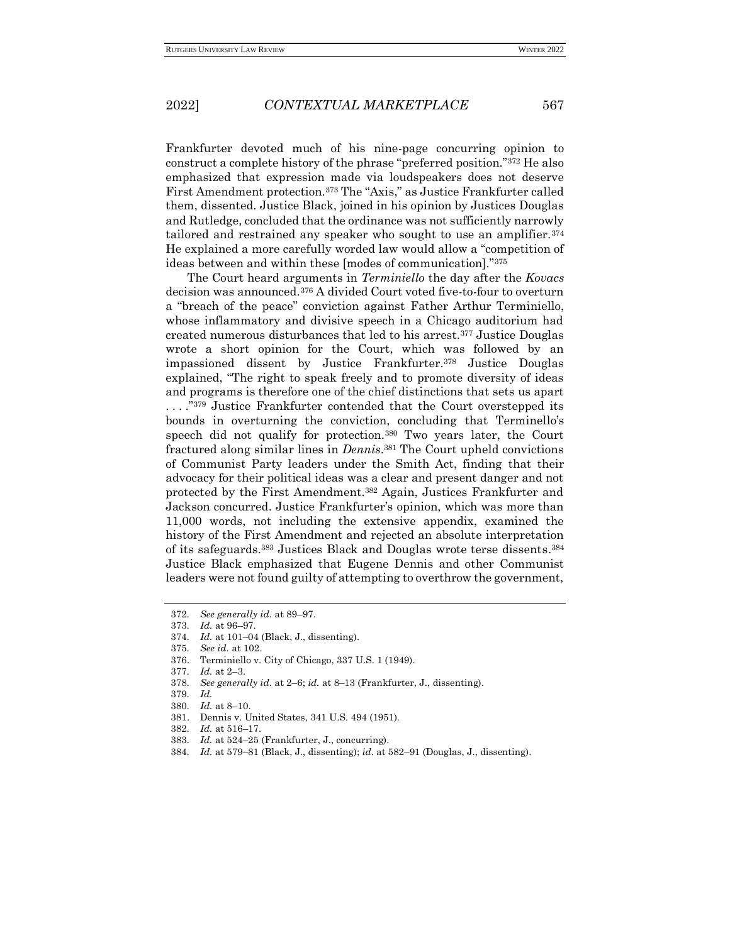Frankfurter devoted much of his nine-page concurring opinion to construct a complete history of the phrase "preferred position."<sup>372</sup> He also emphasized that expression made via loudspeakers does not deserve First Amendment protection.<sup>373</sup> The "Axis," as Justice Frankfurter called them, dissented. Justice Black, joined in his opinion by Justices Douglas and Rutledge, concluded that the ordinance was not sufficiently narrowly tailored and restrained any speaker who sought to use an amplifier.<sup>374</sup> He explained a more carefully worded law would allow a "competition of ideas between and within these [modes of communication]."<sup>375</sup>

The Court heard arguments in *Terminiello* the day after the *Kovacs*  decision was announced.<sup>376</sup> A divided Court voted five-to-four to overturn a "breach of the peace" conviction against Father Arthur Terminiello, whose inflammatory and divisive speech in a Chicago auditorium had created numerous disturbances that led to his arrest.<sup>377</sup> Justice Douglas wrote a short opinion for the Court, which was followed by an impassioned dissent by Justice Frankfurter.<sup>378</sup> Justice Douglas explained, "The right to speak freely and to promote diversity of ideas and programs is therefore one of the chief distinctions that sets us apart ...."<sup>379</sup> Justice Frankfurter contended that the Court overstepped its bounds in overturning the conviction, concluding that Terminello's speech did not qualify for protection.<sup>380</sup> Two years later, the Court fractured along similar lines in *Dennis*. <sup>381</sup> The Court upheld convictions of Communist Party leaders under the Smith Act, finding that their advocacy for their political ideas was a clear and present danger and not protected by the First Amendment.<sup>382</sup> Again, Justices Frankfurter and Jackson concurred. Justice Frankfurter's opinion, which was more than 11,000 words, not including the extensive appendix, examined the history of the First Amendment and rejected an absolute interpretation of its safeguards.<sup>383</sup> Justices Black and Douglas wrote terse dissents.<sup>384</sup> Justice Black emphasized that Eugene Dennis and other Communist leaders were not found guilty of attempting to overthrow the government,

378*. See generally id.* at 2–6; *id.* at 8–13 (Frankfurter, J., dissenting).

- 381. Dennis v. United States, 341 U.S. 494 (1951).
- 382*. Id.* at 516–17.

384*. Id.* at 579–81 (Black, J., dissenting); *id.* at 582–91 (Douglas, J., dissenting).

<sup>372</sup>*. See generally id.* at 89–97.

<sup>373</sup>*. Id.* at 96–97.

<sup>374</sup>*. Id.* at 101–04 (Black, J., dissenting).

<sup>375</sup>*. See id.* at 102.

<sup>376.</sup> Terminiello v. City of Chicago, 337 U.S. 1 (1949).

<sup>377</sup>*. Id.* at 2–3.

<sup>379</sup>*. Id.*

<sup>380</sup>*. Id.* at 8–10.

<sup>383</sup>*. Id.* at 524–25 (Frankfurter, J., concurring).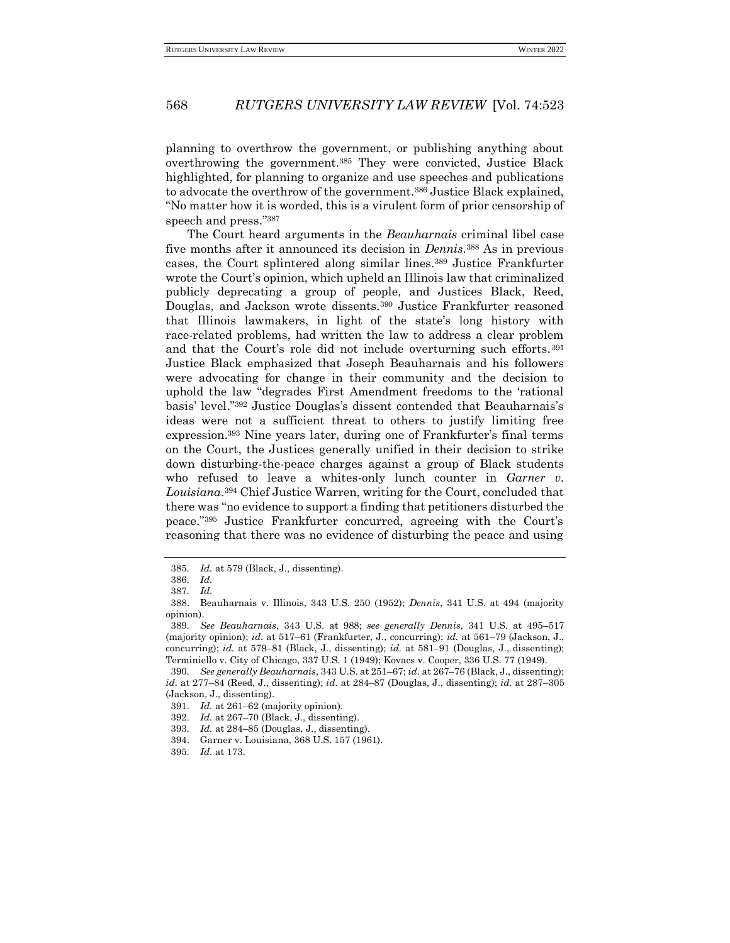planning to overthrow the government, or publishing anything about overthrowing the government.<sup>385</sup> They were convicted, Justice Black highlighted, for planning to organize and use speeches and publications to advocate the overthrow of the government.<sup>386</sup> Justice Black explained, "No matter how it is worded, this is a virulent form of prior censorship of speech and press." 387

The Court heard arguments in the *Beauharnais* criminal libel case five months after it announced its decision in *Dennis*. <sup>388</sup> As in previous cases, the Court splintered along similar lines.<sup>389</sup> Justice Frankfurter wrote the Court's opinion, which upheld an Illinois law that criminalized publicly deprecating a group of people, and Justices Black, Reed, Douglas, and Jackson wrote dissents.<sup>390</sup> Justice Frankfurter reasoned that Illinois lawmakers, in light of the state's long history with race-related problems, had written the law to address a clear problem and that the Court's role did not include overturning such efforts.<sup>391</sup> Justice Black emphasized that Joseph Beauharnais and his followers were advocating for change in their community and the decision to uphold the law "degrades First Amendment freedoms to the 'rational basis' level."<sup>392</sup> Justice Douglas's dissent contended that Beauharnais's ideas were not a sufficient threat to others to justify limiting free expression.<sup>393</sup> Nine years later, during one of Frankfurter's final terms on the Court, the Justices generally unified in their decision to strike down disturbing-the-peace charges against a group of Black students who refused to leave a whites-only lunch counter in *Garner v. Louisiana*. <sup>394</sup> Chief Justice Warren, writing for the Court, concluded that there was "no evidence to support a finding that petitioners disturbed the peace."<sup>395</sup> Justice Frankfurter concurred, agreeing with the Court's reasoning that there was no evidence of disturbing the peace and using

<sup>385</sup>*. Id.* at 579 (Black, J., dissenting).

<sup>386</sup>*. Id.*

<sup>387</sup>*. Id.*

<sup>388.</sup> Beauharnais v. Illinois, 343 U.S. 250 (1952); *Dennis*, 341 U.S. at 494 (majority opinion).

<sup>389</sup>*. See Beauharnais*, 343 U.S. at 988; *see generally Dennis*, 341 U.S. at 495–517 (majority opinion); *id.* at 517–61 (Frankfurter, J., concurring); *id.* at 561–79 (Jackson, J., concurring); *id.* at 579–81 (Black, J., dissenting); *id.* at 581–91 (Douglas, J., dissenting); Terminiello v. City of Chicago, 337 U.S. 1 (1949); Kovacs v. Cooper, 336 U.S. 77 (1949).

<sup>390</sup>*. See generally Beauharnais*, 343 U.S. at 251–67; *id.* at 267–76 (Black, J., dissenting); *id.* at 277–84 (Reed, J., dissenting); *id.* at 284–87 (Douglas, J., dissenting); *id.* at 287–305 (Jackson, J., dissenting).

<sup>391</sup>*. Id.* at 261–62 (majority opinion).

<sup>392</sup>*. Id.* at 267–70 (Black, J., dissenting).

<sup>393</sup>*. Id.* at 284–85 (Douglas, J., dissenting).

<sup>394.</sup> Garner v. Louisiana, 368 U.S. 157 (1961).

<sup>395</sup>*. Id.* at 173.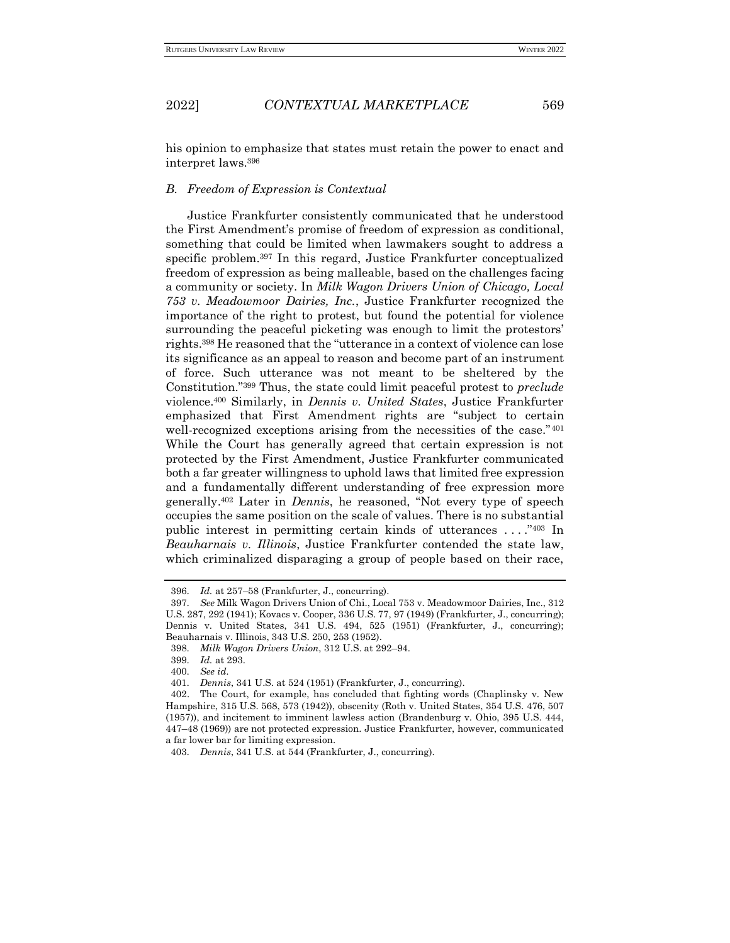his opinion to emphasize that states must retain the power to enact and interpret laws.<sup>396</sup>

### *B. Freedom of Expression is Contextual*

Justice Frankfurter consistently communicated that he understood the First Amendment's promise of freedom of expression as conditional, something that could be limited when lawmakers sought to address a specific problem.<sup>397</sup> In this regard, Justice Frankfurter conceptualized freedom of expression as being malleable, based on the challenges facing a community or society. In *Milk Wagon Drivers Union of Chicago, Local 753 v. Meadowmoor Dairies, Inc.*, Justice Frankfurter recognized the importance of the right to protest, but found the potential for violence surrounding the peaceful picketing was enough to limit the protestors' rights.<sup>398</sup> He reasoned that the "utterance in a context of violence can lose its significance as an appeal to reason and become part of an instrument of force. Such utterance was not meant to be sheltered by the Constitution."<sup>399</sup> Thus, the state could limit peaceful protest to *preclude* violence.<sup>400</sup> Similarly, in *Dennis v. United States*, Justice Frankfurter emphasized that First Amendment rights are "subject to certain well-recognized exceptions arising from the necessities of the case."<sup>401</sup> While the Court has generally agreed that certain expression is not protected by the First Amendment, Justice Frankfurter communicated both a far greater willingness to uphold laws that limited free expression and a fundamentally different understanding of free expression more generally. <sup>402</sup> Later in *Dennis*, he reasoned, "Not every type of speech occupies the same position on the scale of values. There is no substantial public interest in permitting certain kinds of utterances . . . ."<sup>403</sup> In *Beauharnais v. Illinois*, Justice Frankfurter contended the state law, which criminalized disparaging a group of people based on their race,

<sup>396</sup>*. Id.* at 257–58 (Frankfurter, J., concurring).

<sup>397</sup>*. See* Milk Wagon Drivers Union of Chi., Local 753 v. Meadowmoor Dairies, Inc., 312 U.S. 287, 292 (1941); Kovacs v. Cooper, 336 U.S. 77, 97 (1949) (Frankfurter, J., concurring); Dennis v. United States, 341 U.S. 494, 525 (1951) (Frankfurter, J., concurring); Beauharnais v. Illinois, 343 U.S. 250, 253 (1952).

<sup>398</sup>*. Milk Wagon Drivers Union*, 312 U.S. at 292–94.

<sup>399</sup>*. Id.* at 293.

<sup>400</sup>*. See id.*

<sup>401</sup>*. Dennis*, 341 U.S. at 524 (1951) (Frankfurter, J., concurring).

<sup>402.</sup> The Court, for example, has concluded that fighting words (Chaplinsky v. New Hampshire, 315 U.S. 568, 573 (1942)), obscenity (Roth v. United States, 354 U.S. 476, 507 (1957)), and incitement to imminent lawless action (Brandenburg v. Ohio, 395 U.S. 444, 447–48 (1969)) are not protected expression. Justice Frankfurter, however, communicated a far lower bar for limiting expression.

<sup>403</sup>*. Dennis*, 341 U.S. at 544 (Frankfurter, J., concurring).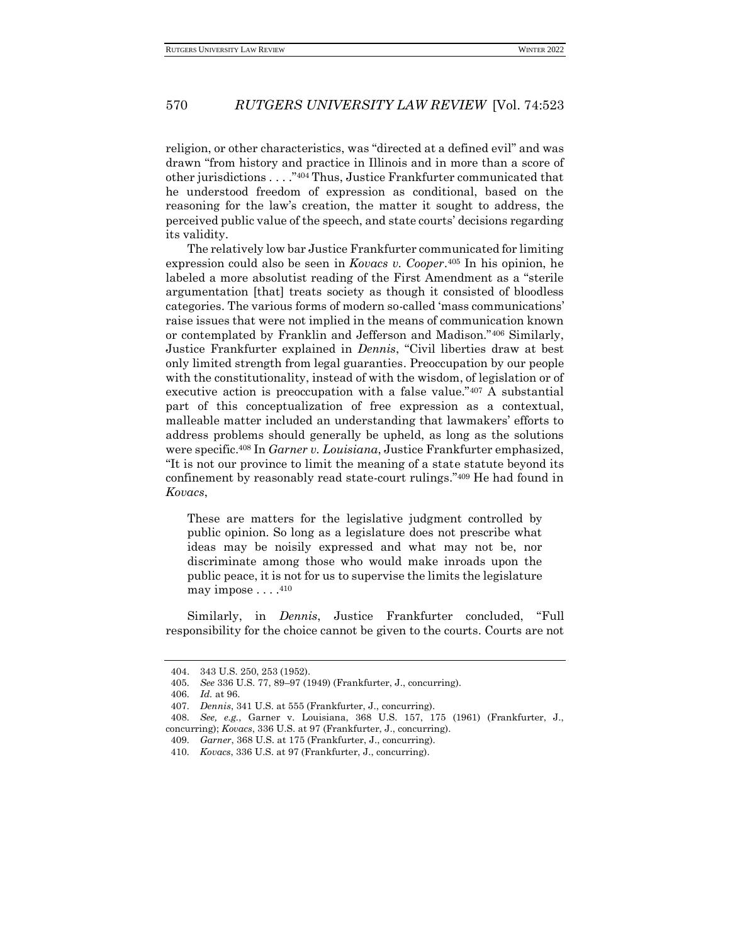religion, or other characteristics, was "directed at a defined evil" and was drawn "from history and practice in Illinois and in more than a score of other jurisdictions . . . ."<sup>404</sup> Thus, Justice Frankfurter communicated that he understood freedom of expression as conditional, based on the reasoning for the law's creation, the matter it sought to address, the perceived public value of the speech, and state courts' decisions regarding its validity.

The relatively low bar Justice Frankfurter communicated for limiting expression could also be seen in *Kovacs v. Cooper*. <sup>405</sup> In his opinion, he labeled a more absolutist reading of the First Amendment as a "sterile argumentation [that] treats society as though it consisted of bloodless categories. The various forms of modern so-called 'mass communications' raise issues that were not implied in the means of communication known or contemplated by Franklin and Jefferson and Madison."<sup>406</sup> Similarly, Justice Frankfurter explained in *Dennis*, "Civil liberties draw at best only limited strength from legal guaranties. Preoccupation by our people with the constitutionality, instead of with the wisdom, of legislation or of executive action is preoccupation with a false value."<sup>407</sup> A substantial part of this conceptualization of free expression as a contextual, malleable matter included an understanding that lawmakers' efforts to address problems should generally be upheld, as long as the solutions were specific.<sup>408</sup> In *Garner v. Louisiana*, Justice Frankfurter emphasized, "It is not our province to limit the meaning of a state statute beyond its confinement by reasonably read state-court rulings."<sup>409</sup> He had found in *Kovacs*,

These are matters for the legislative judgment controlled by public opinion. So long as a legislature does not prescribe what ideas may be noisily expressed and what may not be, nor discriminate among those who would make inroads upon the public peace, it is not for us to supervise the limits the legislature may impose . . . . 410

Similarly, in *Dennis*, Justice Frankfurter concluded, "Full responsibility for the choice cannot be given to the courts. Courts are not

<sup>404.</sup> 343 U.S. 250, 253 (1952).

<sup>405</sup>*. See* 336 U.S. 77, 89–97 (1949) (Frankfurter, J., concurring).

<sup>406</sup>*. Id.* at 96.

<sup>407</sup>*. Dennis*, 341 U.S. at 555 (Frankfurter, J., concurring).

<sup>408</sup>*. See, e.g.*, Garner v. Louisiana, 368 U.S. 157, 175 (1961) (Frankfurter, J., concurring); *Kovacs*, 336 U.S. at 97 (Frankfurter, J., concurring).

<sup>409</sup>*. Garner*, 368 U.S. at 175 (Frankfurter, J., concurring).

<sup>410</sup>*. Kovacs*, 336 U.S. at 97 (Frankfurter, J., concurring).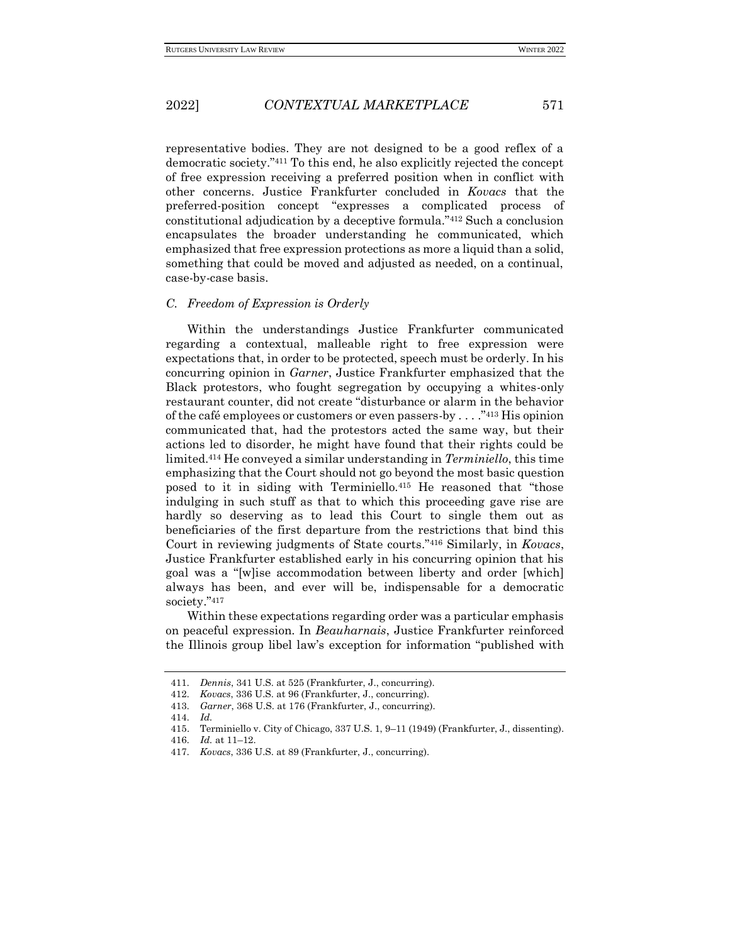representative bodies. They are not designed to be a good reflex of a democratic society."<sup>411</sup> To this end, he also explicitly rejected the concept of free expression receiving a preferred position when in conflict with other concerns. Justice Frankfurter concluded in *Kovacs* that the preferred-position concept "expresses a complicated process of constitutional adjudication by a deceptive formula."<sup>412</sup> Such a conclusion encapsulates the broader understanding he communicated, which emphasized that free expression protections as more a liquid than a solid, something that could be moved and adjusted as needed, on a continual, case-by-case basis.

#### *C. Freedom of Expression is Orderly*

Within the understandings Justice Frankfurter communicated regarding a contextual, malleable right to free expression were expectations that, in order to be protected, speech must be orderly. In his concurring opinion in *Garner*, Justice Frankfurter emphasized that the Black protestors, who fought segregation by occupying a whites-only restaurant counter, did not create "disturbance or alarm in the behavior of the café employees or customers or even passers-by . . . ."<sup>413</sup> His opinion communicated that, had the protestors acted the same way, but their actions led to disorder, he might have found that their rights could be limited.<sup>414</sup> He conveyed a similar understanding in *Terminiello*, this time emphasizing that the Court should not go beyond the most basic question posed to it in siding with Terminiello.<sup>415</sup> He reasoned that "those indulging in such stuff as that to which this proceeding gave rise are hardly so deserving as to lead this Court to single them out as beneficiaries of the first departure from the restrictions that bind this Court in reviewing judgments of State courts."<sup>416</sup> Similarly, in *Kovacs*, Justice Frankfurter established early in his concurring opinion that his goal was a "[w]ise accommodation between liberty and order [which] always has been, and ever will be, indispensable for a democratic society."417

Within these expectations regarding order was a particular emphasis on peaceful expression. In *Beauharnais*, Justice Frankfurter reinforced the Illinois group libel law's exception for information "published with

<sup>411</sup>*. Dennis*, 341 U.S. at 525 (Frankfurter, J., concurring).

<sup>412</sup>*. Kovacs*, 336 U.S. at 96 (Frankfurter, J., concurring).

<sup>413</sup>*. Garner*, 368 U.S. at 176 (Frankfurter, J., concurring).

<sup>414</sup>*. Id.*

<sup>415.</sup> Terminiello v. City of Chicago, 337 U.S. 1, 9–11 (1949) (Frankfurter, J., dissenting).

<sup>416</sup>*. Id.* at 11–12.

<sup>417</sup>*. Kovacs*, 336 U.S. at 89 (Frankfurter, J., concurring).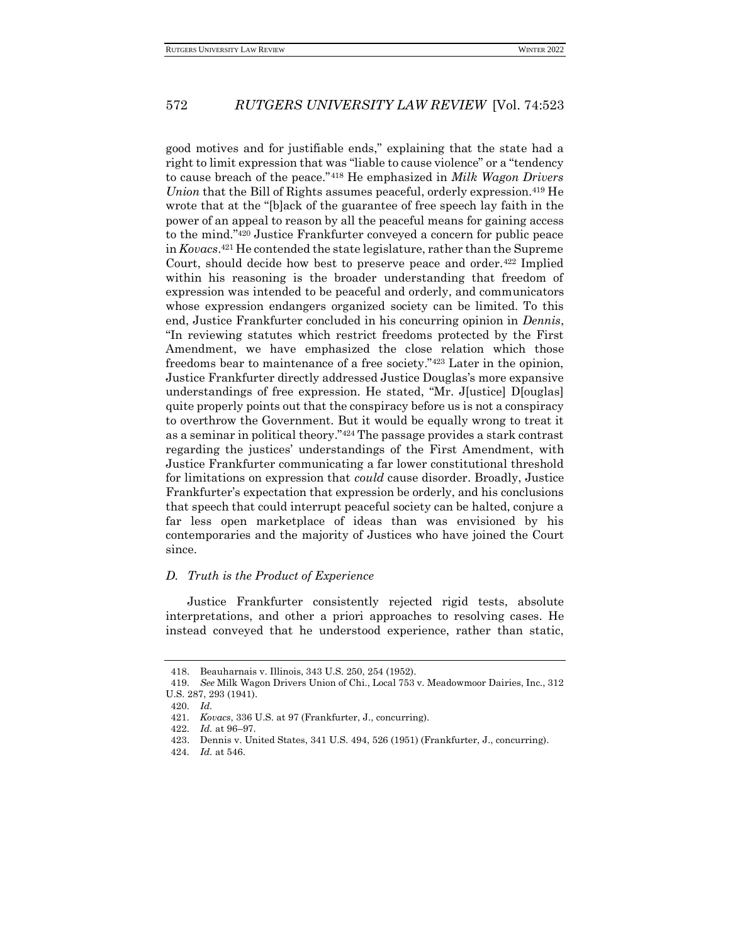good motives and for justifiable ends," explaining that the state had a right to limit expression that was "liable to cause violence" or a "tendency to cause breach of the peace."<sup>418</sup> He emphasized in *Milk Wagon Drivers Union* that the Bill of Rights assumes peaceful, orderly expression.<sup>419</sup> He wrote that at the "[b]ack of the guarantee of free speech lay faith in the power of an appeal to reason by all the peaceful means for gaining access to the mind."<sup>420</sup> Justice Frankfurter conveyed a concern for public peace in *Kovacs*. <sup>421</sup> He contended the state legislature, rather than the Supreme Court, should decide how best to preserve peace and order.<sup>422</sup> Implied within his reasoning is the broader understanding that freedom of expression was intended to be peaceful and orderly, and communicators whose expression endangers organized society can be limited. To this end, Justice Frankfurter concluded in his concurring opinion in *Dennis*, "In reviewing statutes which restrict freedoms protected by the First Amendment, we have emphasized the close relation which those freedoms bear to maintenance of a free society."<sup>423</sup> Later in the opinion, Justice Frankfurter directly addressed Justice Douglas's more expansive understandings of free expression. He stated, "Mr. J[ustice] D[ouglas] quite properly points out that the conspiracy before us is not a conspiracy to overthrow the Government. But it would be equally wrong to treat it as a seminar in political theory."<sup>424</sup> The passage provides a stark contrast regarding the justices' understandings of the First Amendment, with Justice Frankfurter communicating a far lower constitutional threshold for limitations on expression that *could* cause disorder. Broadly, Justice Frankfurter's expectation that expression be orderly, and his conclusions that speech that could interrupt peaceful society can be halted, conjure a far less open marketplace of ideas than was envisioned by his contemporaries and the majority of Justices who have joined the Court since.

#### *D. Truth is the Product of Experience*

Justice Frankfurter consistently rejected rigid tests, absolute interpretations, and other a priori approaches to resolving cases. He instead conveyed that he understood experience, rather than static,

<sup>418.</sup> Beauharnais v. Illinois, 343 U.S. 250, 254 (1952).

<sup>419</sup>*. See* Milk Wagon Drivers Union of Chi., Local 753 v. Meadowmoor Dairies, Inc., 312 U.S. 287, 293 (1941).

<sup>420</sup>*. Id.*

<sup>421</sup>*. Kovacs*, 336 U.S. at 97 (Frankfurter, J., concurring).

<sup>422</sup>*. Id.* at 96–97.

<sup>423.</sup> Dennis v. United States, 341 U.S. 494, 526 (1951) (Frankfurter, J., concurring).

<sup>424</sup>*. Id.* at 546.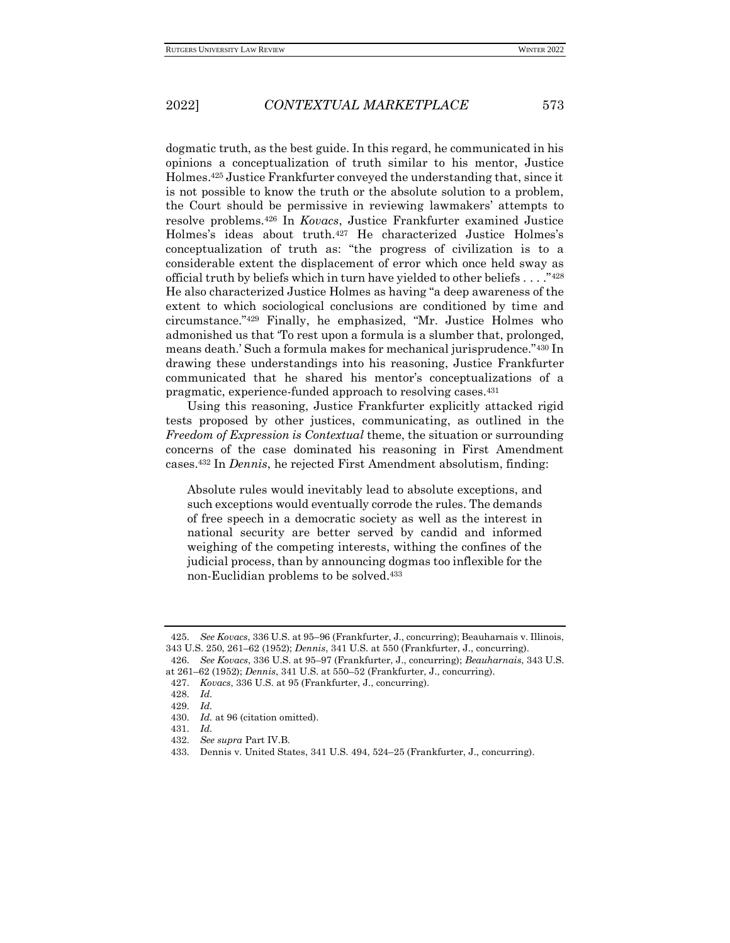dogmatic truth, as the best guide. In this regard, he communicated in his opinions a conceptualization of truth similar to his mentor, Justice Holmes.<sup>425</sup> Justice Frankfurter conveyed the understanding that, since it is not possible to know the truth or the absolute solution to a problem, the Court should be permissive in reviewing lawmakers' attempts to resolve problems.<sup>426</sup> In *Kovacs*, Justice Frankfurter examined Justice Holmes's ideas about truth.<sup>427</sup> He characterized Justice Holmes's conceptualization of truth as: "the progress of civilization is to a considerable extent the displacement of error which once held sway as official truth by beliefs which in turn have yielded to other beliefs  $\dots$ ."<sup>428</sup> He also characterized Justice Holmes as having "a deep awareness of the extent to which sociological conclusions are conditioned by time and circumstance."<sup>429</sup> Finally, he emphasized, "Mr. Justice Holmes who admonished us that 'To rest upon a formula is a slumber that, prolonged, means death.' Such a formula makes for mechanical jurisprudence."<sup>430</sup> In drawing these understandings into his reasoning, Justice Frankfurter communicated that he shared his mentor's conceptualizations of a pragmatic, experience-funded approach to resolving cases.<sup>431</sup>

Using this reasoning, Justice Frankfurter explicitly attacked rigid tests proposed by other justices, communicating, as outlined in the *Freedom of Expression is Contextual* theme, the situation or surrounding concerns of the case dominated his reasoning in First Amendment cases.<sup>432</sup> In *Dennis*, he rejected First Amendment absolutism, finding:

Absolute rules would inevitably lead to absolute exceptions, and such exceptions would eventually corrode the rules. The demands of free speech in a democratic society as well as the interest in national security are better served by candid and informed weighing of the competing interests, withing the confines of the judicial process, than by announcing dogmas too inflexible for the non-Euclidian problems to be solved.<sup>433</sup>

<sup>425</sup>*. See Kovacs*, 336 U.S. at 95–96 (Frankfurter, J., concurring); Beauharnais v. Illinois, 343 U.S. 250, 261–62 (1952); *Dennis*, 341 U.S. at 550 (Frankfurter, J., concurring).

<sup>426</sup>*. See Kovacs*, 336 U.S. at 95–97 (Frankfurter, J., concurring); *Beauharnais*, 343 U.S. at 261–62 (1952); *Dennis*, 341 U.S. at 550–52 (Frankfurter, J., concurring).

<sup>427</sup>*. Kovacs*, 336 U.S. at 95 (Frankfurter, J., concurring).

<sup>428</sup>*. Id.* 429*. Id.*

<sup>430</sup>*. Id.* at 96 (citation omitted).

<sup>431</sup>*. Id.*

<sup>432</sup>*. See supra* Part IV.B*.*

<sup>433</sup>*.* Dennis v. United States, 341 U.S. 494, 524–25 (Frankfurter, J., concurring).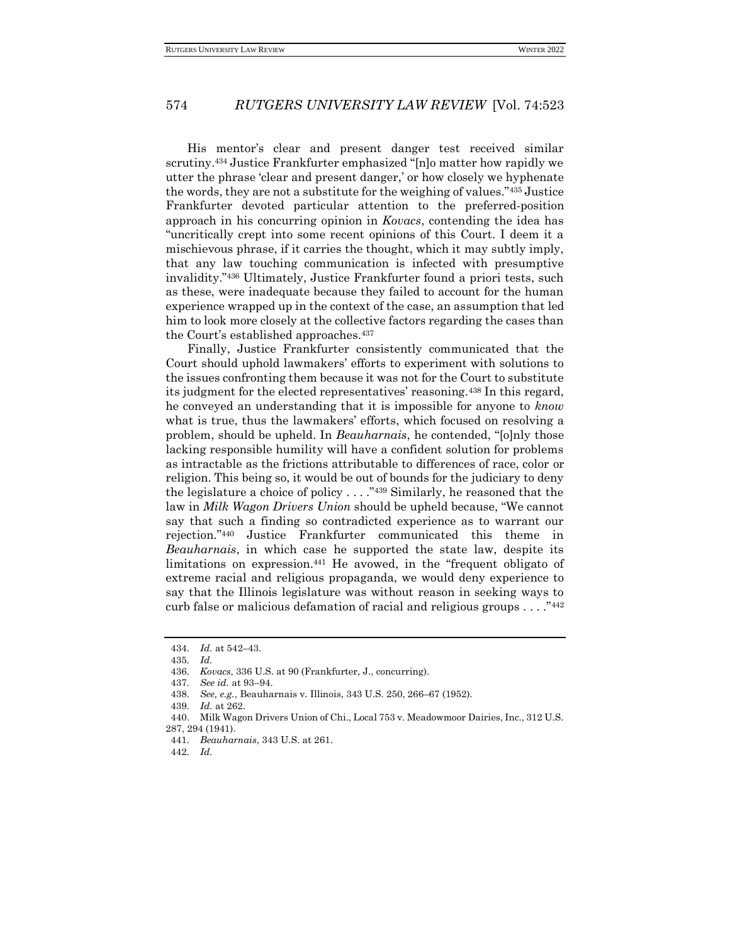His mentor's clear and present danger test received similar scrutiny.<sup>434</sup> Justice Frankfurter emphasized "[n]o matter how rapidly we utter the phrase 'clear and present danger,' or how closely we hyphenate the words, they are not a substitute for the weighing of values."<sup>435</sup> Justice Frankfurter devoted particular attention to the preferred-position approach in his concurring opinion in *Kovacs*, contending the idea has "uncritically crept into some recent opinions of this Court. I deem it a mischievous phrase, if it carries the thought, which it may subtly imply, that any law touching communication is infected with presumptive invalidity."<sup>436</sup> Ultimately, Justice Frankfurter found a priori tests, such as these, were inadequate because they failed to account for the human experience wrapped up in the context of the case, an assumption that led him to look more closely at the collective factors regarding the cases than the Court's established approaches.<sup>437</sup>

Finally, Justice Frankfurter consistently communicated that the Court should uphold lawmakers' efforts to experiment with solutions to the issues confronting them because it was not for the Court to substitute its judgment for the elected representatives' reasoning.<sup>438</sup> In this regard, he conveyed an understanding that it is impossible for anyone to *know* what is true, thus the lawmakers' efforts, which focused on resolving a problem, should be upheld. In *Beauharnais*, he contended, "[o]nly those lacking responsible humility will have a confident solution for problems as intractable as the frictions attributable to differences of race, color or religion. This being so, it would be out of bounds for the judiciary to deny the legislature a choice of policy . . . ."<sup>439</sup> Similarly, he reasoned that the law in *Milk Wagon Drivers Union* should be upheld because, "We cannot say that such a finding so contradicted experience as to warrant our rejection."<sup>440</sup> Justice Frankfurter communicated this theme in *Beauharnais*, in which case he supported the state law, despite its limitations on expression.<sup>441</sup> He avowed, in the "frequent obligato of extreme racial and religious propaganda, we would deny experience to say that the Illinois legislature was without reason in seeking ways to curb false or malicious defamation of racial and religious groups . . . ."<sup>442</sup>

<sup>434</sup>*. Id.* at 542–43.

<sup>435</sup>*. Id.*

<sup>436</sup>*. Kovacs*, 336 U.S. at 90 (Frankfurter, J., concurring).

<sup>437</sup>*. See id.* at 93–94.

<sup>438</sup>*. See, e.g.*, Beauharnais v. Illinois, 343 U.S. 250, 266–67 (1952).

<sup>439</sup>*. Id.* at 262.

<sup>440.</sup> Milk Wagon Drivers Union of Chi., Local 753 v. Meadowmoor Dairies, Inc., 312 U.S.

<sup>287, 294 (1941).</sup>

<sup>441</sup>*. Beauharnais*, 343 U.S. at 261.

<sup>442</sup>*. Id.*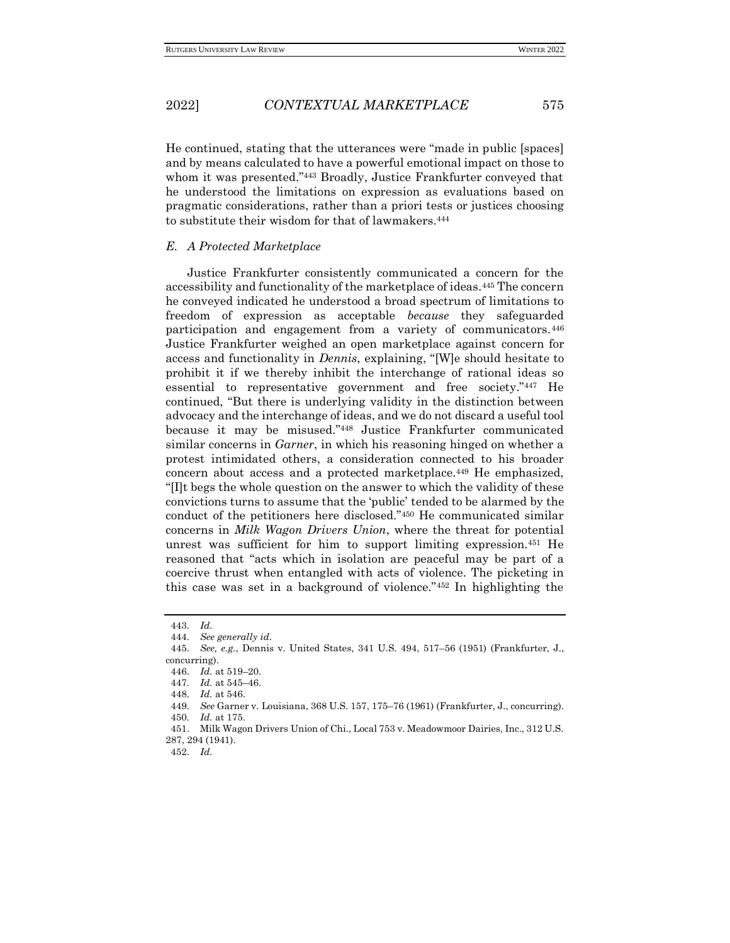He continued, stating that the utterances were "made in public [spaces] and by means calculated to have a powerful emotional impact on those to whom it was presented."<sup>443</sup> Broadly, Justice Frankfurter conveyed that he understood the limitations on expression as evaluations based on pragmatic considerations, rather than a priori tests or justices choosing to substitute their wisdom for that of lawmakers.<sup>444</sup>

#### *E. A Protected Marketplace*

Justice Frankfurter consistently communicated a concern for the accessibility and functionality of the marketplace of ideas.<sup>445</sup> The concern he conveyed indicated he understood a broad spectrum of limitations to freedom of expression as acceptable *because* they safeguarded participation and engagement from a variety of communicators.<sup>446</sup> Justice Frankfurter weighed an open marketplace against concern for access and functionality in *Dennis*, explaining, "[W]e should hesitate to prohibit it if we thereby inhibit the interchange of rational ideas so essential to representative government and free society."<sup>447</sup> He continued, "But there is underlying validity in the distinction between advocacy and the interchange of ideas, and we do not discard a useful tool because it may be misused."<sup>448</sup> Justice Frankfurter communicated similar concerns in *Garner*, in which his reasoning hinged on whether a protest intimidated others, a consideration connected to his broader concern about access and a protected marketplace.<sup>449</sup> He emphasized, "[I]t begs the whole question on the answer to which the validity of these convictions turns to assume that the 'public' tended to be alarmed by the conduct of the petitioners here disclosed."<sup>450</sup> He communicated similar concerns in *Milk Wagon Drivers Union*, where the threat for potential unrest was sufficient for him to support limiting expression.<sup>451</sup> He reasoned that "acts which in isolation are peaceful may be part of a coercive thrust when entangled with acts of violence. The picketing in this case was set in a background of violence."<sup>452</sup> In highlighting the

452*. Id.*

<sup>443</sup>*. Id.*

<sup>444</sup>*. See generally id.*

<sup>445</sup>*. See, e.g.*, Dennis v. United States, 341 U.S. 494, 517–56 (1951) (Frankfurter, J., concurring).

<sup>446</sup>*. Id.* at 519–20.

<sup>447</sup>*. Id.* at 545–46.

<sup>448</sup>*. Id.* at 546.

<sup>449</sup>*. See* Garner v. Louisiana, 368 U.S. 157, 175–76 (1961) (Frankfurter, J., concurring). 450*. Id.* at 175.

<sup>451.</sup> Milk Wagon Drivers Union of Chi., Local 753 v. Meadowmoor Dairies, Inc., 312 U.S. 287, 294 (1941).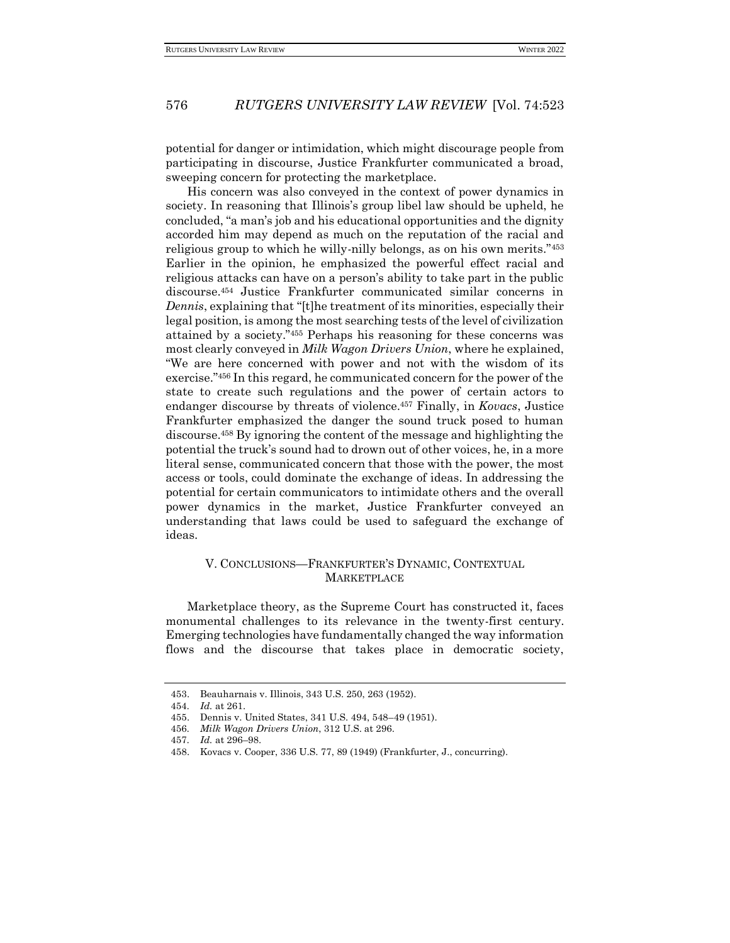potential for danger or intimidation, which might discourage people from participating in discourse, Justice Frankfurter communicated a broad, sweeping concern for protecting the marketplace.

His concern was also conveyed in the context of power dynamics in society. In reasoning that Illinois's group libel law should be upheld, he concluded, "a man's job and his educational opportunities and the dignity accorded him may depend as much on the reputation of the racial and religious group to which he willy-nilly belongs, as on his own merits."<sup>453</sup> Earlier in the opinion, he emphasized the powerful effect racial and religious attacks can have on a person's ability to take part in the public discourse.<sup>454</sup> Justice Frankfurter communicated similar concerns in *Dennis*, explaining that "[t]he treatment of its minorities, especially their legal position, is among the most searching tests of the level of civilization attained by a society."<sup>455</sup> Perhaps his reasoning for these concerns was most clearly conveyed in *Milk Wagon Drivers Union*, where he explained, "We are here concerned with power and not with the wisdom of its exercise."<sup>456</sup> In this regard, he communicated concern for the power of the state to create such regulations and the power of certain actors to endanger discourse by threats of violence.<sup>457</sup> Finally, in *Kovacs*, Justice Frankfurter emphasized the danger the sound truck posed to human discourse.<sup>458</sup> By ignoring the content of the message and highlighting the potential the truck's sound had to drown out of other voices, he, in a more literal sense, communicated concern that those with the power, the most access or tools, could dominate the exchange of ideas. In addressing the potential for certain communicators to intimidate others and the overall power dynamics in the market, Justice Frankfurter conveyed an understanding that laws could be used to safeguard the exchange of ideas.

### V. CONCLUSIONS—FRANKFURTER'S DYNAMIC, CONTEXTUAL **MARKETPLACE**

Marketplace theory, as the Supreme Court has constructed it, faces monumental challenges to its relevance in the twenty-first century. Emerging technologies have fundamentally changed the way information flows and the discourse that takes place in democratic society,

<sup>453.</sup> Beauharnais v. Illinois, 343 U.S. 250, 263 (1952).

<sup>454</sup>*. Id.* at 261.

<sup>455.</sup> Dennis v. United States, 341 U.S. 494, 548–49 (1951).

<sup>456</sup>*. Milk Wagon Drivers Union*, 312 U.S. at 296.

<sup>457</sup>*. Id.* at 296–98.

<sup>458.</sup> Kovacs v. Cooper, 336 U.S. 77, 89 (1949) (Frankfurter, J., concurring).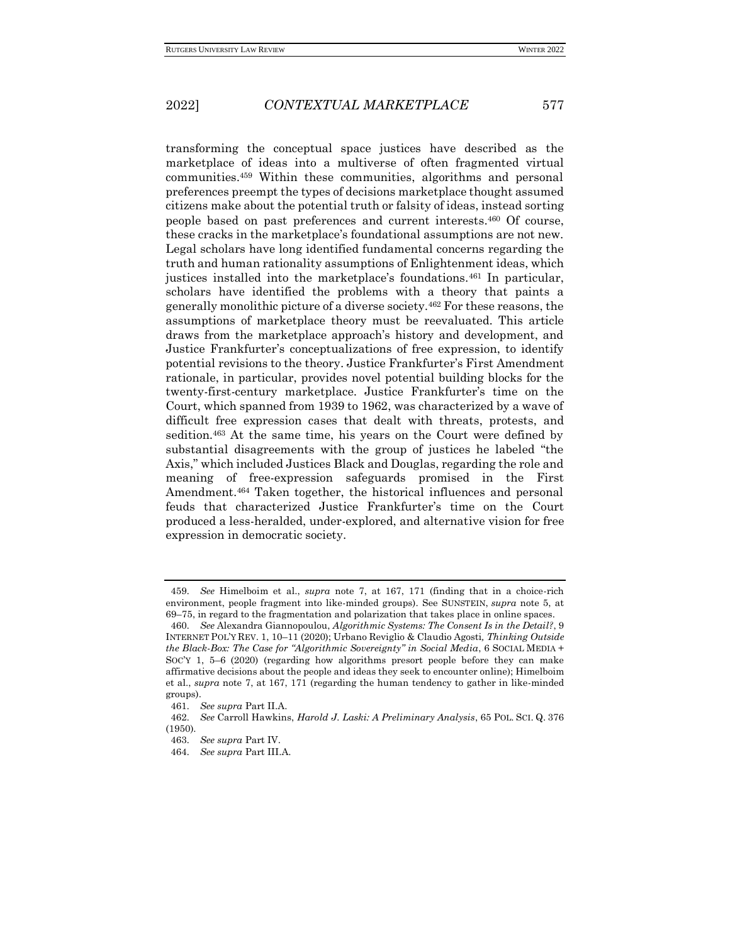transforming the conceptual space justices have described as the marketplace of ideas into a multiverse of often fragmented virtual communities.<sup>459</sup> Within these communities, algorithms and personal preferences preempt the types of decisions marketplace thought assumed citizens make about the potential truth or falsity of ideas, instead sorting people based on past preferences and current interests.<sup>460</sup> Of course, these cracks in the marketplace's foundational assumptions are not new. Legal scholars have long identified fundamental concerns regarding the truth and human rationality assumptions of Enlightenment ideas, which justices installed into the marketplace's foundations.<sup>461</sup> In particular, scholars have identified the problems with a theory that paints a generally monolithic picture of a diverse society.<sup>462</sup> For these reasons, the assumptions of marketplace theory must be reevaluated. This article draws from the marketplace approach's history and development, and Justice Frankfurter's conceptualizations of free expression, to identify potential revisions to the theory. Justice Frankfurter's First Amendment rationale, in particular, provides novel potential building blocks for the twenty-first-century marketplace. Justice Frankfurter's time on the Court, which spanned from 1939 to 1962, was characterized by a wave of difficult free expression cases that dealt with threats, protests, and sedition.<sup>463</sup> At the same time, his years on the Court were defined by substantial disagreements with the group of justices he labeled "the Axis," which included Justices Black and Douglas, regarding the role and meaning of free-expression safeguards promised in the First Amendment.<sup>464</sup> Taken together, the historical influences and personal feuds that characterized Justice Frankfurter's time on the Court produced a less-heralded, under-explored, and alternative vision for free expression in democratic society.

<sup>459</sup>*. See* Himelboim et al., *supra* note 7, at 167, 171 (finding that in a choice-rich environment, people fragment into like-minded groups). See SUNSTEIN, *supra* note 5, at 69–75, in regard to the fragmentation and polarization that takes place in online spaces.

<sup>460</sup>*. See* Alexandra Giannopoulou, *Algorithmic Systems: The Consent Is in the Detail?*, 9 INTERNET POL'Y REV. 1, 10–11 (2020); Urbano Reviglio & Claudio Agosti*, Thinking Outside the Black-Box: The Case for "Algorithmic Sovereignty" in Social Media*, 6 SOCIAL MEDIA + SOC'Y 1, 5–6 (2020) (regarding how algorithms presort people before they can make affirmative decisions about the people and ideas they seek to encounter online); Himelboim et al., *supra* note 7, at 167, 171 (regarding the human tendency to gather in like-minded groups).

<sup>461</sup>*. See supra* Part II.A.

<sup>462</sup>*. See* Carroll Hawkins, *Harold J. Laski: A Preliminary Analysis*, 65 POL. SCI. Q. 376 (1950).

<sup>463</sup>*. See supra* Part IV.

<sup>464</sup>*. See supra* Part III.A.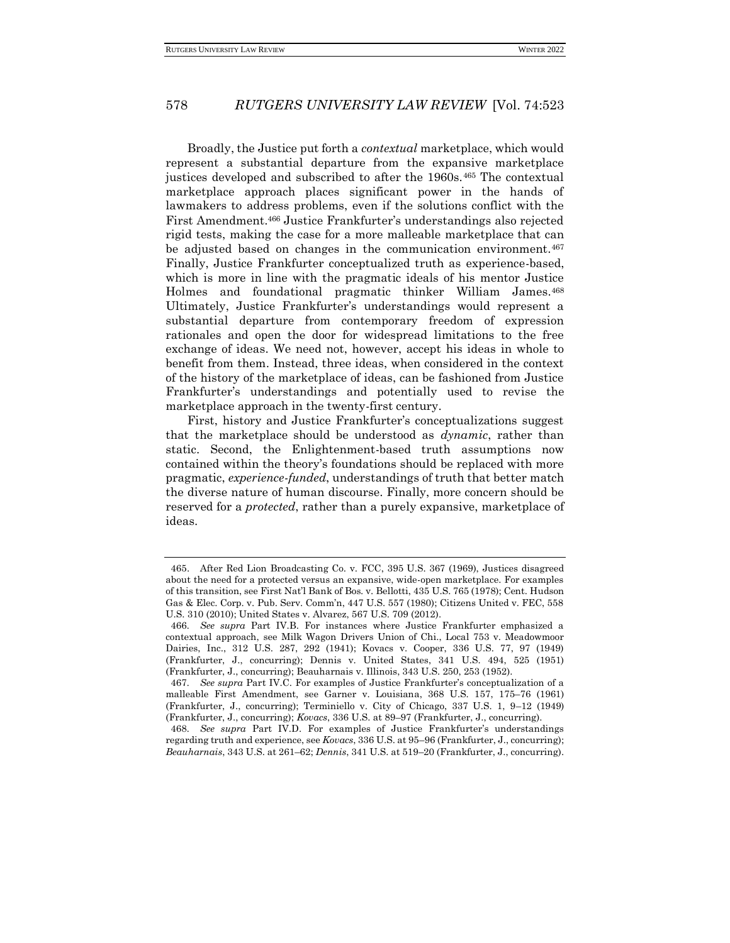Broadly, the Justice put forth a *contextual* marketplace, which would represent a substantial departure from the expansive marketplace justices developed and subscribed to after the 1960s.<sup>465</sup> The contextual marketplace approach places significant power in the hands of lawmakers to address problems, even if the solutions conflict with the First Amendment.<sup>466</sup> Justice Frankfurter's understandings also rejected rigid tests, making the case for a more malleable marketplace that can be adjusted based on changes in the communication environment.<sup>467</sup> Finally, Justice Frankfurter conceptualized truth as experience-based, which is more in line with the pragmatic ideals of his mentor Justice Holmes and foundational pragmatic thinker William James.<sup>468</sup> Ultimately, Justice Frankfurter's understandings would represent a substantial departure from contemporary freedom of expression rationales and open the door for widespread limitations to the free exchange of ideas. We need not, however, accept his ideas in whole to benefit from them. Instead, three ideas, when considered in the context of the history of the marketplace of ideas, can be fashioned from Justice Frankfurter's understandings and potentially used to revise the marketplace approach in the twenty-first century.

First, history and Justice Frankfurter's conceptualizations suggest that the marketplace should be understood as *dynamic*, rather than static. Second, the Enlightenment-based truth assumptions now contained within the theory's foundations should be replaced with more pragmatic, *experience-funded*, understandings of truth that better match the diverse nature of human discourse. Finally, more concern should be reserved for a *protected*, rather than a purely expansive, marketplace of ideas.

<sup>465.</sup> After Red Lion Broadcasting Co. v. FCC, 395 U.S. 367 (1969), Justices disagreed about the need for a protected versus an expansive, wide-open marketplace. For examples of this transition, see First Nat'l Bank of Bos. v. Bellotti, 435 U.S. 765 (1978); Cent. Hudson Gas & Elec. Corp. v. Pub. Serv. Comm'n, 447 U.S. 557 (1980); Citizens United v. FEC, 558 U.S. 310 (2010); United States v. Alvarez, 567 U.S. 709 (2012).

<sup>466</sup>*. See supra* Part IV.B. For instances where Justice Frankfurter emphasized a contextual approach, see Milk Wagon Drivers Union of Chi., Local 753 v. Meadowmoor Dairies, Inc., 312 U.S. 287, 292 (1941); Kovacs v. Cooper, 336 U.S. 77, 97 (1949) (Frankfurter, J., concurring); Dennis v. United States, 341 U.S. 494, 525 (1951) (Frankfurter, J., concurring); Beauharnais v. Illinois, 343 U.S. 250, 253 (1952).

<sup>467</sup>*. See supra* Part IV.C. For examples of Justice Frankfurter's conceptualization of a malleable First Amendment, see Garner v. Louisiana, 368 U.S. 157, 175–76 (1961) (Frankfurter, J., concurring); Terminiello v. City of Chicago, 337 U.S. 1, 9–12 (1949) (Frankfurter, J., concurring); *Kovacs*, 336 U.S. at 89–97 (Frankfurter, J., concurring).

<sup>468</sup>*. See supra* Part IV.D. For examples of Justice Frankfurter's understandings regarding truth and experience, see *Kovacs*, 336 U.S. at 95–96 (Frankfurter, J., concurring); *Beauharnais*, 343 U.S. at 261–62; *Dennis*, 341 U.S. at 519–20 (Frankfurter, J., concurring).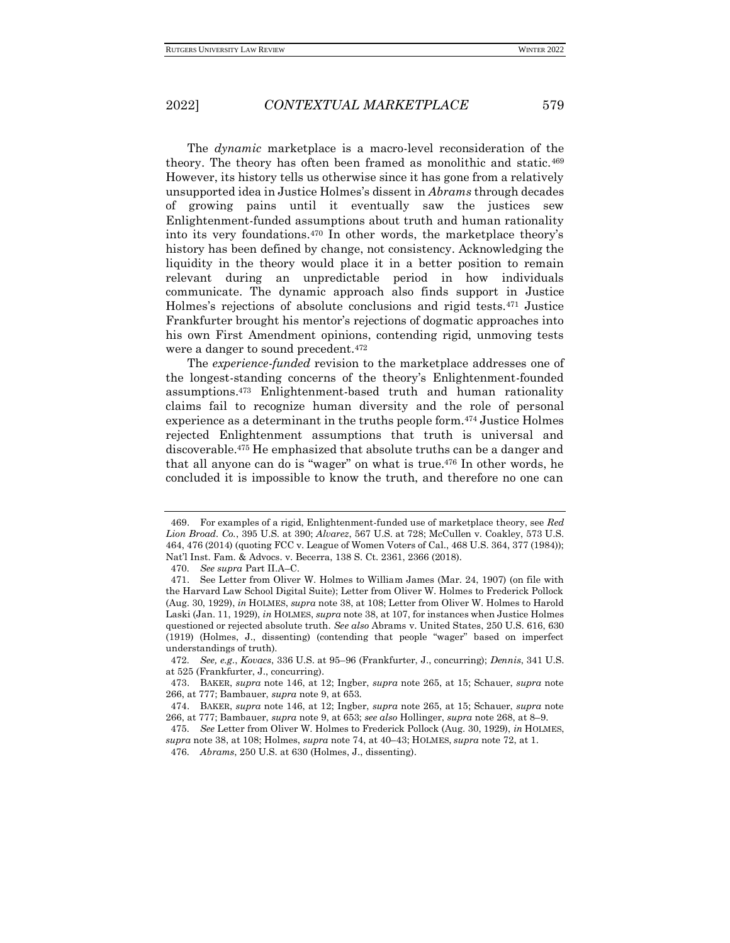The *dynamic* marketplace is a macro-level reconsideration of the theory. The theory has often been framed as monolithic and static.<sup>469</sup> However, its history tells us otherwise since it has gone from a relatively unsupported idea in Justice Holmes's dissent in *Abrams* through decades of growing pains until it eventually saw the justices sew Enlightenment-funded assumptions about truth and human rationality into its very foundations.<sup>470</sup> In other words, the marketplace theory's history has been defined by change, not consistency. Acknowledging the liquidity in the theory would place it in a better position to remain relevant during an unpredictable period in how individuals communicate. The dynamic approach also finds support in Justice Holmes's rejections of absolute conclusions and rigid tests.<sup>471</sup> Justice Frankfurter brought his mentor's rejections of dogmatic approaches into his own First Amendment opinions, contending rigid, unmoving tests were a danger to sound precedent.<sup>472</sup>

The *experience-funded* revision to the marketplace addresses one of the longest-standing concerns of the theory's Enlightenment-founded assumptions.<sup>473</sup> Enlightenment-based truth and human rationality claims fail to recognize human diversity and the role of personal experience as a determinant in the truths people form.<sup>474</sup> Justice Holmes rejected Enlightenment assumptions that truth is universal and discoverable.<sup>475</sup> He emphasized that absolute truths can be a danger and that all anyone can do is "wager" on what is true.<sup>476</sup> In other words, he concluded it is impossible to know the truth, and therefore no one can

470*. See supra* Part II.A–C.

<sup>469.</sup> For examples of a rigid, Enlightenment-funded use of marketplace theory, see *Red Lion Broad. Co.*, 395 U.S. at 390; *Alvarez*, 567 U.S. at 728; McCullen v. Coakley, 573 U.S. 464, 476 (2014) (quoting FCC v. League of Women Voters of Cal., 468 U.S. 364, 377 (1984)); Nat'l Inst. Fam. & Advocs. v. Becerra, 138 S. Ct. 2361, 2366 (2018).

<sup>471.</sup> See Letter from Oliver W. Holmes to William James (Mar. 24, 1907) (on file with the Harvard Law School Digital Suite); Letter from Oliver W. Holmes to Frederick Pollock (Aug. 30, 1929), *in* HOLMES, *supra* note 38, at 108; Letter from Oliver W. Holmes to Harold Laski (Jan. 11, 1929), *in* HOLMES, *supra* note 38, at 107, for instances when Justice Holmes questioned or rejected absolute truth. *See also* Abrams v. United States, 250 U.S. 616, 630 (1919) (Holmes, J., dissenting) (contending that people "wager" based on imperfect understandings of truth).

<sup>472</sup>*. See, e.g*., *Kovacs*, 336 U.S. at 95–96 (Frankfurter, J., concurring); *Dennis*, 341 U.S. at 525 (Frankfurter, J., concurring).

<sup>473.</sup> BAKER, *supra* note 146, at 12; Ingber, *supra* note 265, at 15; Schauer, *supra* note 266, at 777; Bambauer, *supra* note 9, at 653.

<sup>474.</sup> BAKER, *supra* note 146, at 12; Ingber, *supra* note 265, at 15; Schauer, *supra* note 266, at 777; Bambauer, *supra* note 9, at 653; *see also* Hollinger, *supra* note 268, at 8–9.

<sup>475</sup>*. See* Letter from Oliver W. Holmes to Frederick Pollock (Aug. 30, 1929), *in* HOLMES, *supra* note 38, at 108; Holmes, *supra* note 74, at 40–43; HOLMES, *supra* note 72, at 1.

<sup>476</sup>*. Abrams*, 250 U.S. at 630 (Holmes, J., dissenting).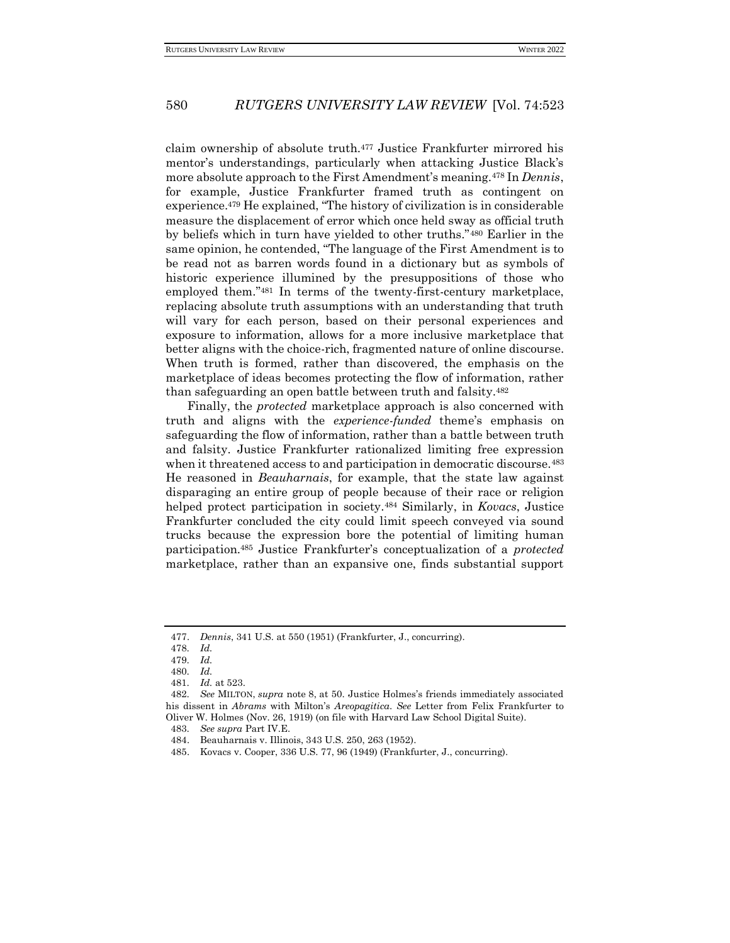claim ownership of absolute truth.<sup>477</sup> Justice Frankfurter mirrored his mentor's understandings, particularly when attacking Justice Black's more absolute approach to the First Amendment's meaning.<sup>478</sup> In *Dennis*, for example, Justice Frankfurter framed truth as contingent on experience.<sup>479</sup> He explained, "The history of civilization is in considerable measure the displacement of error which once held sway as official truth by beliefs which in turn have yielded to other truths."<sup>480</sup> Earlier in the same opinion, he contended, "The language of the First Amendment is to be read not as barren words found in a dictionary but as symbols of historic experience illumined by the presuppositions of those who employed them."<sup>481</sup> In terms of the twenty-first-century marketplace, replacing absolute truth assumptions with an understanding that truth will vary for each person, based on their personal experiences and exposure to information, allows for a more inclusive marketplace that better aligns with the choice-rich, fragmented nature of online discourse. When truth is formed, rather than discovered, the emphasis on the marketplace of ideas becomes protecting the flow of information, rather than safeguarding an open battle between truth and falsity.<sup>482</sup>

Finally, the *protected* marketplace approach is also concerned with truth and aligns with the *experience-funded* theme's emphasis on safeguarding the flow of information, rather than a battle between truth and falsity. Justice Frankfurter rationalized limiting free expression when it threatened access to and participation in democratic discourse.<sup>483</sup> He reasoned in *Beauharnais*, for example, that the state law against disparaging an entire group of people because of their race or religion helped protect participation in society.<sup>484</sup> Similarly, in *Kovacs*, Justice Frankfurter concluded the city could limit speech conveyed via sound trucks because the expression bore the potential of limiting human participation.<sup>485</sup> Justice Frankfurter's conceptualization of a *protected*  marketplace, rather than an expansive one, finds substantial support

<sup>477.</sup> *Dennis*, 341 U.S. at 550 (1951) (Frankfurter, J., concurring).

<sup>478</sup>*. Id.*

<sup>479</sup>*. Id.*

<sup>480</sup>*. Id.*

<sup>481</sup>*. Id.* at 523.

<sup>482</sup>*. See* MILTON, *supra* note 8, at 50. Justice Holmes's friends immediately associated his dissent in *Abrams* with Milton's *Areopagitica*. *See* Letter from Felix Frankfurter to Oliver W. Holmes (Nov. 26, 1919) (on file with Harvard Law School Digital Suite).

<sup>483</sup>*. See supra* Part IV.E.

<sup>484.</sup> Beauharnais v. Illinois, 343 U.S. 250, 263 (1952).

<sup>485.</sup> Kovacs v. Cooper, 336 U.S. 77, 96 (1949) (Frankfurter, J., concurring).